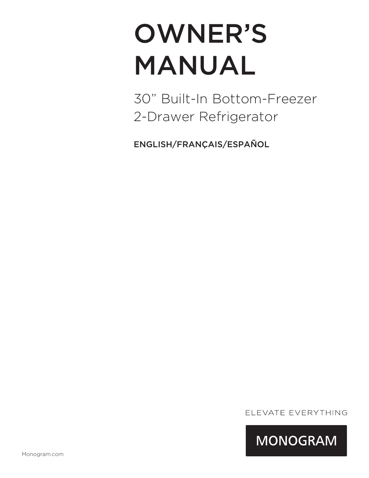# OWNER'S MANUAL

30" Built-In Bottom-Freezer 2-Drawer Refrigerator

ENGLISH/FRANÇAIS/ESPAÑOL

ELEVATE EVERYTHING

**MONOGRAM**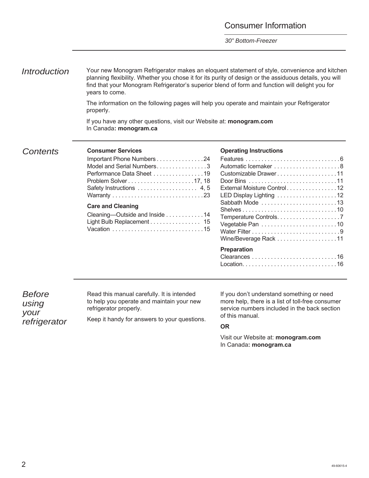#### Consumer Information

*30" Bottom-Freezer*

*Introduction* Your new Monogram Refrigerator makes an eloquent statement of style, convenience and kitchen planning flexibility. Whether you chose it for its purity of design or the assiduous details, you will find that your Monogram Refrigerator's superior blend of form and function will delight you for years to come.

> The information on the following pages will help you operate and maintain your Refrigerator properly.

If you have any other questions, visit our Website at: **monogram.com**  In Canada**: monogram.ca**

#### *Contents* **Consumer Services**

| Important Phone Numbers 24     |
|--------------------------------|
| Model and Serial Numbers3      |
| Performance Data Sheet 19      |
|                                |
| Safety Instructions 4, 5       |
|                                |
| <b>Care and Cleaning</b>       |
| Cleaning-Outside and Inside 14 |
| Light Bulb Replacement 15      |
|                                |

#### **Operating Instructions**

| Customizable Drawer11       |
|-----------------------------|
|                             |
| External Moisture Control12 |
| LED Display Lighting 12     |
| Sabbath Mode 13             |
|                             |
| Temperature Controls7       |
| Vegetable Pan 10            |
|                             |
| Wine/Beverage Rack 11       |
| <b>Preparation</b>          |
|                             |
|                             |

*Before using your refrigerator* Read this manual carefully. It is intended to help you operate and maintain your new refrigerator properly.

Keep it handy for answers to your questions.

If you don't understand something or need more help, there is a list of toll-free consumer service numbers included in the back section of this manual.

#### **OR**

Visit our Website at: **monogram.com**  In Canada**: monogram.ca**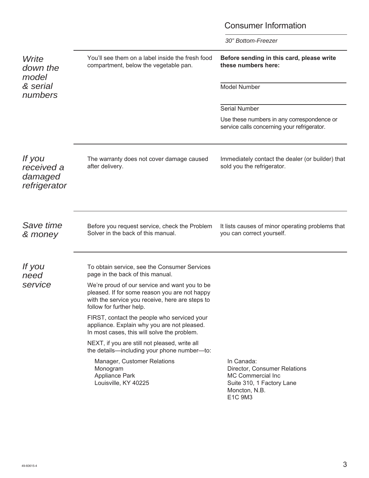### Consumer Information

| Write<br>down the<br>model<br>& serial<br>numbers      | You'll see them on a label inside the fresh food<br>compartment, below the vegetable pan.                                                                                                                                                                                                                                                                                                                                                                                                                                                                                                                  | Before sending in this card, please write<br>these numbers here:<br>Model Number<br><b>Serial Number</b><br>Use these numbers in any correspondence or<br>service calls concerning your refrigerator. |
|--------------------------------------------------------|------------------------------------------------------------------------------------------------------------------------------------------------------------------------------------------------------------------------------------------------------------------------------------------------------------------------------------------------------------------------------------------------------------------------------------------------------------------------------------------------------------------------------------------------------------------------------------------------------------|-------------------------------------------------------------------------------------------------------------------------------------------------------------------------------------------------------|
| <i>If</i> you<br>received a<br>damaged<br>refrigerator | The warranty does not cover damage caused<br>after delivery.                                                                                                                                                                                                                                                                                                                                                                                                                                                                                                                                               | Immediately contact the dealer (or builder) that<br>sold you the refrigerator.                                                                                                                        |
| Save time<br>& money                                   | Before you request service, check the Problem<br>Solver in the back of this manual.                                                                                                                                                                                                                                                                                                                                                                                                                                                                                                                        | It lists causes of minor operating problems that<br>you can correct yourself.                                                                                                                         |
| <i>If you</i><br>need<br>service                       | To obtain service, see the Consumer Services<br>page in the back of this manual.<br>We're proud of our service and want you to be<br>pleased. If for some reason you are not happy<br>with the service you receive, here are steps to<br>follow for further help.<br>FIRST, contact the people who serviced your<br>appliance. Explain why you are not pleased.<br>In most cases, this will solve the problem.<br>NEXT, if you are still not pleased, write all<br>the details—including your phone number—to:<br>Manager, Customer Relations<br>Monogram<br><b>Appliance Park</b><br>Louisville, KY 40225 | In Canada:<br>Director, Consumer Relations<br>MC Commercial Inc<br>Suite 310, 1 Factory Lane<br>Moncton, N.B.<br>E1C 9M3                                                                              |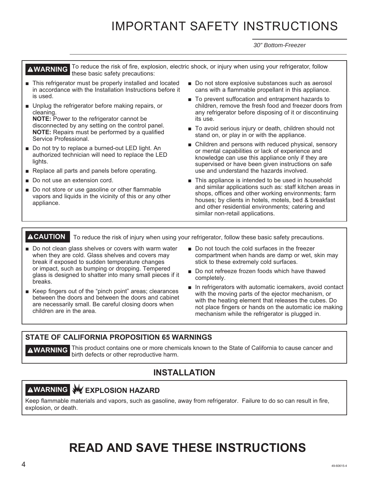# IMPORTANT SAFETY INSTRUCTIONS

*30" Bottom-Freezer*

**AWARNING** To reduce the risk of fire, explosion, electric shock, or injury when using your refrigerator, follow these basic safety precautions:

- This refrigerator must be properly installed and located in accordance with the Installation Instructions before it is used.
- Unplug the refrigerator before making repairs, or cleaning.

**NOTE:** Power to the refrigerator cannot be disconnected by any setting on the control panel. **NOTE:** Repairs must be performed by a qualified Service Professional.

- Do not try to replace a burned-out LED light. An authorized technician will need to replace the LED lights.
- Replace all parts and panels before operating.
- Do not use an extension cord.
- Do not store or use gasoline or other flammable vapors and liquids in the vicinity of this or any other appliance.
- $\blacksquare$  Do not store explosive substances such as aerosol cans with a flammable propellant in this appliance.
- To prevent suffocation and entrapment hazards to children, remove the fresh food and freezer doors from any refrigerator before disposing of it or discontinuing its use.
- To avoid serious injury or death, children should not stand on, or play in or with the appliance.
- $\blacksquare$  Children and persons with reduced physical, sensory or mental capabilities or lack of experience and knowledge can use this appliance only if they are supervised or have been given instructions on safe use and understand the hazards involved.
- This appliance is intended to be used in household and similar applications such as: staff kitchen areas in shops, offices and other working environments; farm houses; by clients in hotels, motels, bed & breakfast and other residential environments; catering and similar non-retail applications.

**ACAUTION** To reduce the risk of injury when using your refrigerator, follow these basic safety precautions.

- Do not clean glass shelves or covers with warm water when they are cold. Glass shelves and covers may break if exposed to sudden temperature changes or impact, such as bumping or dropping. Tempered glass is designed to shatter into many small pieces if it breaks.
- Keep fingers out of the "pinch point" areas; clearances between the doors and between the doors and cabinet are necessarily small. Be careful closing doors when children are in the area.
- Do not touch the cold surfaces in the freezer compartment when hands are damp or wet, skin may stick to these extremely cold surfaces.
- Do not refreeze frozen foods which have thawed completely.
- $\blacksquare$  In refrigerators with automatic icemakers, avoid contact with the moving parts of the ejector mechanism, or with the heating element that releases the cubes. Do not place fingers or hands on the automatic ice making mechanism while the refrigerator is plugged in.

#### **STATE OF CALIFORNIA PROPOSITION 65 WARNINGS**

**AWARNING** This product contains one or more chemicals known to the State of California to cause cancer and birth defects or other reproductive harm.

#### **INSTALLATION**

# **AWARNING WEXPLOSION HAZARD**

Keep flammable materials and vapors, such as gasoline, away from refrigerator. Failure to do so can result in fire, explosion, or death.

# **READ AND SAVE THESE INSTRUCTIONS**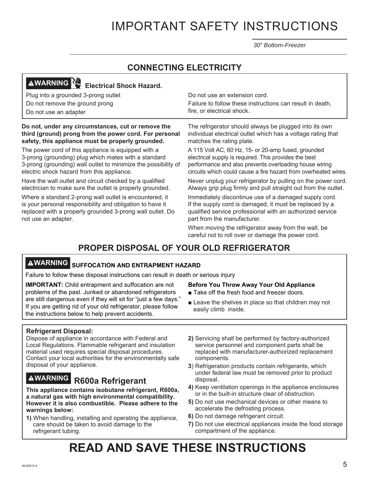# IMPORTANT SAFETY INSTRUCTIONS

*30" Bottom-Freezer*

#### **CONNECTING ELECTRICITY**

# **AWARNING WARNING** Electrical Shock Hazard.

Plug into a grounded 3-prong outlet Do not remove the ground prong

Do not use an adapter

#### **Do not, under any circumstances, cut or remove the third (ground) prong from the power cord. For personal safety, this appliance must be properly grounded.**

The power cord of this appliance is equipped with a 3-prong (grounding) plug which mates with a standard 3-prong (grounding) wall outlet to minimize the possibility of electric shock hazard from this appliance.

Have the wall outlet and circuit checked by a qualified electrician to make sure the outlet is properly grounded.

Where a standard 2-prong wall outlet is encountered, it is your personal responsibility and obligation to have it replaced with a properly grounded 3-prong wall outlet. Do not use an adapter.

Do not use an extension cord.

Failure to follow these instructions can result in death, fire, or electrical shock.

The refrigerator should always be plugged into its own individual electrical outlet which has a voltage rating that matches the rating plate.

A 115 Volt AC, 60 Hz, 15- or 20-amp fused, grounded electrical supply is required. This provides the best performance and also prevents overloading house wiring circuits which could cause a fire hazard from overheated wires.

Never unplug your refrigerator by pulling on the power cord. Always grip plug firmly and pull straight out from the outlet.

Immediately discontinue use of a damaged supply cord. If the supply cord is damaged, it must be replaced by a qualified service professional with an authorized service part from the manufacturer.

When moving the refrigerator away from the wall, be careful not to roll over or damage the power cord.

### **PROPER DISPOSAL OF YOUR OLD REFRIGERATOR**

# **WARNING SUFFOCATION AND ENTRAPMENT HAZARD**

Failure to follow these disposal instructions can result in death or serious injury

**IMPORTANT:** Child entrapment and suffocation are not problems of the past. Junked or abandoned refrigerators are still dangerous even if they will sit for "just a few days." If you are getting rid of your old refrigerator, please follow the instructions below to help prevent accidents.

#### **Before You Throw Away Your Old Appliance**

- Take off the fresh food and freezer doors.
- $\blacksquare$  Leave the shelves in place so that children may not easily climb inside.

#### **Refrigerant Disposal:**

Dispose of appliance in accordance with Federal and Local Regulations. Flammable refrigerant and insulation material used requires special disposal procedures. Contact your local authorities for the environmentally safe disposal of your appliance.

# **WARNING R600a Refrigerant**

**This appliance contains isobutane refrigerant, R600a, a natural gas with high environmental compatibility. However it is also combustible. Please adhere to the warnings below:**

**1)** When handling, installing and operating the appliance, care should be taken to avoid damage to the refrigerant tubing.

- **2)** Servicing shall be performed by factory-authorized service personnel and component parts shall be replaced with manufacturer-authorized replacement components.
- **3**) Refrigeration products contain refrigerants, which under federal law must be removed prior to product disposal.
- **4)** Keep ventilation openings in the appliance enclosures or in the built-in structure clear of obstruction.
- **5)** Do not use mechanical devices or other means to accelerate the defrosting process.
- **6)** Do not damage refrigerant circuit.
- **7)** Do not use electrical appliances inside the food storage compartment of the appliance.

# **READ AND SAVE THESE INSTRUCTIONS**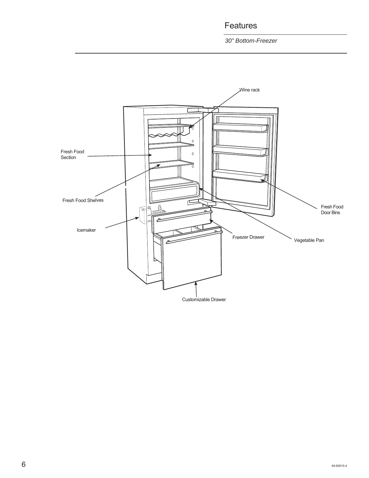Features

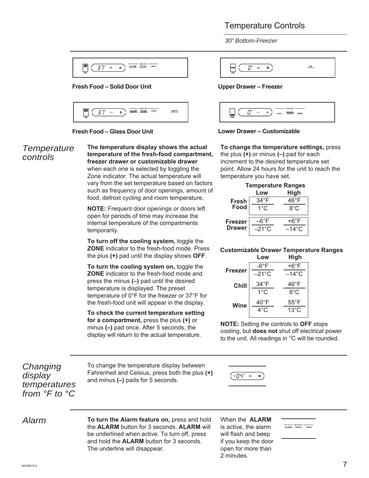#### Temperature Controls

*30" Bottom-Freezer*



#### **Fresh Food – Solid Door Unit**





#### *Temperature controls*

**The temperature display shows the actual temperature of the fresh-food compartment, freezer drawer or customizable drawer**  when each one is selected by toggling the Zone indicator. The actual temperature will vary from the set temperature based on factors such as frequency of door openings, amount of food, defrost cycling and room temperature.

**NOTE:** Frequent door openings or doors left open for periods of time may increase the internal temperature of the compartments temporarily.

**To turn off the cooling system,** toggle the **ZONE** indicator to the fresh-food mode. Press the plus **(+)** pad until the display shows **OFF**.

**To turn the cooling system on,** toggle the **ZONE** indicator to the fresh-food mode and press the minus **(–)** pad until the desired temperature is displayed. The preset temperature of 0°F for the freezer or 37°F for the fresh-food unit will appear in the display.

**To check the current temperature setting for a compartment,** press the plus **(+)** or minus **(–)** pad once. After 5 seconds, the display will return to the actual temperature.

 $ICE$  $B^{\ast}$  $\sim$  $+$ 

#### **Upper Drawer – Freezer**



#### **Lower Drawer – Customizable**

**To change the temperature settings,** press the plus **(+)** or minus **(–)** pad for each increment to the desired temperature set point. Allow 24 hours for the unit to reach the temperature you have set.

|                | <b>Temperature Ranges</b> |                 |
|----------------|---------------------------|-----------------|
|                | Low                       | <b>High</b>     |
| <b>Fresh</b>   | $34^{\circ}$ F            | 46°F            |
| Food           | $1^{\circ}$ C             | 8°C             |
| <b>Freezer</b> | 6°F                       | $+6^{\circ}$ F  |
| <b>Drawer</b>  | $-21^{\circ}$ C           | $-14^{\circ}$ C |

#### **Customizable Drawer Temperature Ranges Low High**

|             |                 | .               |
|-------------|-----------------|-----------------|
|             | -6°F            | +6°F            |
| Freezer     | $-21^{\circ}$ C | $-14^{\circ}$ C |
| Chill       | $34^{\circ}$ F  | $46^{\circ}$ F  |
|             | $1^{\circ}$ C   | 8°C             |
| <b>Wine</b> | 40°F            | $55^{\circ}$ F  |
|             | 4°C             | $13^{\circ}$ C  |
|             |                 |                 |

**NOTE:** Setting the controls to **OFF** stops cooling, but **does not** shut off electrical power to the unit. All readings in °C will be rounded.

*Changing display temperatures from °F to °C*

To change the temperature display between Fahrenheit and Celsius, press both the plus **(+)**  and minus **(–)** pads for 5 seconds.

·04" –  $\pm$ 

*Alarm* **To turn the Alarm feature on,** press and hold the **ALARM** button for 3 seconds. **ALARM** will be underlined when active. To turn off, press and hold the **ALARM** button for 3 seconds. The underline will disappear.

When the **ALARM**  is active, the alarm will flash and beep if you keep the door open for more than 2 minutes.

ALARM FILTER LOCK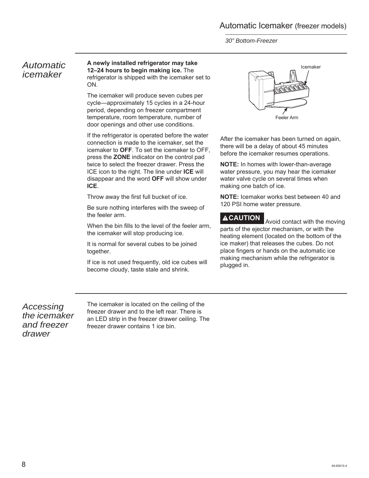*30" Bottom-Freezer*

#### *Automatic icemaker*

#### **A newly installed refrigerator may take 12–24 hours to begin making ice.** The refrigerator is shipped with the icemaker set to ON.

The icemaker will produce seven cubes per cycle—approximately 15 cycles in a 24-hour period, depending on freezer compartment temperature, room temperature, number of door openings and other use conditions.

If the refrigerator is operated before the water connection is made to the icemaker, set the icemaker to **OFF**. To set the icemaker to OFF, press the **ZONE** indicator on the control pad twice to select the freezer drawer. Press the ICE icon to the right. The line under **ICE** will disappear and the word **OFF** will show under **ICE**.

Throw away the first full bucket of ice.

Be sure nothing interferes with the sweep of the feeler arm.

When the bin fills to the level of the feeler arm, the icemaker will stop producing ice.

It is normal for several cubes to be joined together.

If ice is not used frequently, old ice cubes will become cloudy, taste stale and shrink.



After the icemaker has been turned on again, there will be a delay of about 45 minutes before the icemaker resumes operations.

**NOTE:** In homes with lower-than-average water pressure, you may hear the icemaker water valve cycle on several times when making one batch of ice.

**NOTE:** Icemaker works best between 40 and 120 PSI home water pressure.

**ACAUTION** Avoid contact with the moving parts of the ejector mechanism, or with the heating element (located on the bottom of the ice maker) that releases the cubes. Do not place fingers or hands on the automatic ice making mechanism while the refrigerator is plugged in.

*Accessing the icemaker and freezer drawer*

The icemaker is located on the ceiling of the freezer drawer and to the left rear. There is an LED strip in the freezer drawer ceiling. The freezer drawer contains 1 ice bin.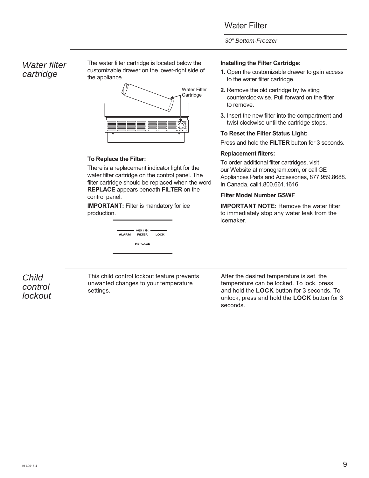#### Water Filter

#### *30" Bottom-Freezer*

#### *Water filter cartridge*

The water filter cartridge is located below the customizable drawer on the lower-right side of the appliance.



#### **To Replace the Filter:**

There is a replacement indicator light for the water filter cartridge on the control panel. The filter cartridge should be replaced when the word **REPLACE** appears beneath **FILTER** on the control panel.

**IMPORTANT:** Filter is mandatory for ice production.

| ALARM | $\overline{\phantom{a}}$ HOLD 3 SEC $\overline{\phantom{a}}$<br><b>FILTER</b> | LOCK |
|-------|-------------------------------------------------------------------------------|------|
|       | <b>REPLACE</b>                                                                |      |

#### **Installing the Filter Cartridge:**

- **1.** Open the customizable drawer to gain access to the water filter cartridge.
- **2.** Remove the old cartridge by twisting counterclockwise. Pull forward on the filter to remove.
- **3.** Insert the new filter into the compartment and twist clockwise until the cartridge stops.

#### **To Reset the Filter Status Light:**

Press and hold the **FILTER** button for 3 seconds.

#### **Replacement filters:**

To order additional filter cartridges, visit our Website at monogram.com, or call GE Appliances Parts and Accessories, 877.959.8688. In Canada, call1.800.661.1616

#### **Filter Model Number GSWF**

**IMPORTANT NOTE:** Remove the water filter to immediately stop any water leak from the icemaker.

*Child control lockout* This child control lockout feature prevents unwanted changes to your temperature settings.

After the desired temperature is set, the temperature can be locked. To lock, press and hold the **LOCK** button for 3 seconds. To unlock, press and hold the **LOCK** button for 3 seconds.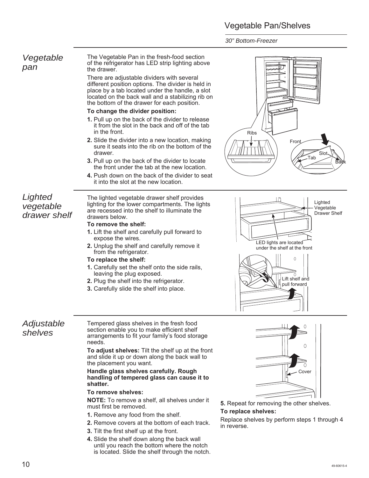### Vegetable Pan/Shelves

*30" Bottom-Freezer*

| Vegetable<br>pan                     | The Vegetable Pan in the fresh-food section<br>of the refrigerator has LED strip lighting above<br>the drawer.<br>There are adjustable dividers with several<br>different position options. The divider is held in<br>place by a tab located under the handle, a slot<br>located on the back wall and a stabilizing rib on<br>the bottom of the drawer for each position.<br>To change the divider position:<br>1. Pull up on the back of the divider to release<br>it from the slot in the back and off of the tab<br>in the front.<br>2. Slide the divider into a new location, making<br>sure it seats into the rib on the bottom of the<br>drawer.<br>3. Pull up on the back of the divider to locate<br>the front under the tab at the new location.<br>4. Push down on the back of the divider to seat<br>it into the slot at the new location. | <b>Ribs</b><br>Front<br>Slot-<br>.<br>Tab                                                                                                     |
|--------------------------------------|-------------------------------------------------------------------------------------------------------------------------------------------------------------------------------------------------------------------------------------------------------------------------------------------------------------------------------------------------------------------------------------------------------------------------------------------------------------------------------------------------------------------------------------------------------------------------------------------------------------------------------------------------------------------------------------------------------------------------------------------------------------------------------------------------------------------------------------------------------|-----------------------------------------------------------------------------------------------------------------------------------------------|
| Lighted<br>vegetable<br>drawer shelf | The lighted vegetable drawer shelf provides<br>lighting for the lower compartments. The lights<br>are recessed into the shelf to illuminate the<br>drawers below.<br>To remove the shelf:<br>1. Lift the shelf and carefully pull forward to<br>expose the wires.<br>2. Unplug the shelf and carefully remove it<br>from the refrigerator.<br>To replace the shelf:<br>1. Carefully set the shelf onto the side rails,<br>leaving the plug exposed.<br>2. Plug the shelf into the refrigerator.<br>3. Carefully slide the shelf into place.                                                                                                                                                                                                                                                                                                           | Lighted<br>Vegetable<br>Drawer Shelf<br>LED lights are located<br>under the shelf at the front<br>0<br>Lift shelf and<br>pull forward         |
| Adjustable<br>shelves                | Tempered glass shelves in the fresh food<br>section enable you to make efficient shelf<br>arrangements to fit your family's food storage<br>needs.<br>To adjust shelves: Tilt the shelf up at the front<br>and slide it up or down along the back wall to<br>the placement you want.<br>Handle glass shelves carefully. Rough<br>handling of tempered glass can cause it to<br>shatter.<br>To remove shelves:<br><b>NOTE:</b> To remove a shelf, all shelves under it<br>must first be removed.<br>1. Remove any food from the shelf.<br>2. Remove covers at the bottom of each track.                                                                                                                                                                                                                                                                | 0<br>Cover<br>5. Repeat for removing the other shelves.<br>To replace shelves:<br>Replace shelves by perform steps 1 through 4<br>in reverse. |

**4.** Slide the shelf down along the back wall until you reach the bottom where the notch is located. Slide the shelf through the notch.



# Tab Slot ron Back

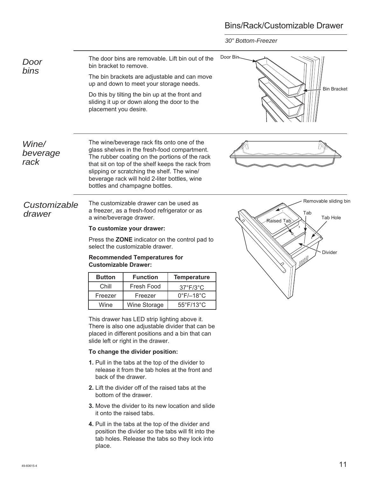### Bins/Rack/Customizable Drawer



- release it from the tab holes at the front and back of the drawer.
- **2.** Lift the divider off of the raised tabs at the bottom of the drawer.
- **3.** Move the divider to its new location and slide it onto the raised tabs.
- **4.** Pull in the tabs at the top of the divider and position the divider so the tabs will fit into the tab holes. Release the tabs so they lock into place.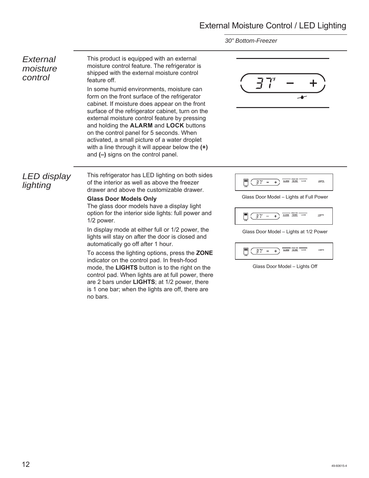### External Moisture Control / LED Lighting

*30" Bottom-Freezer*

#### *External moisture control*

This product is equipped with an external moisture control feature. The refrigerator is shipped with the external moisture control feature off.

In some humid environments, moisture can form on the front surface of the refrigerator cabinet. If moisture does appear on the front surface of the refrigerator cabinet, turn on the external moisture control feature by pressing and holding the **ALARM** and **LOCK** buttons on the control panel for 5 seconds. When activated, a small picture of a water droplet with a line through it will appear below the **(+)**  and **(–)** signs on the control panel.



#### *LED display lighting*

This refrigerator has LED lighting on both sides of the interior as well as above the freezer drawer and above the customizable drawer.

#### **Glass Door Models Only**

The glass door models have a display light option for the interior side lights: full power and 1/2 power.

In display mode at either full or 1/2 power, the lights will stay on after the door is closed and automatically go off after 1 hour.

To access the lighting options, press the **ZONE** indicator on the control pad. In fresh-food mode, the **LIGHTS** button is to the right on the control pad. When lights are at full power, there are 2 bars under **LIGHTS**; at 1/2 power, there is 1 one bar; when the lights are off, there are no bars.



Glass Door Model – Lights at Full Power



Glass Door Model – Lights at 1/2 Power

| <b>HOLD 3.5F</b><br><b>LIGHTS</b><br>LOCK<br><b>FILTER</b><br><b>ALARM</b><br>ZONE |
|------------------------------------------------------------------------------------|
|------------------------------------------------------------------------------------|

Glass Door Model – Lights Off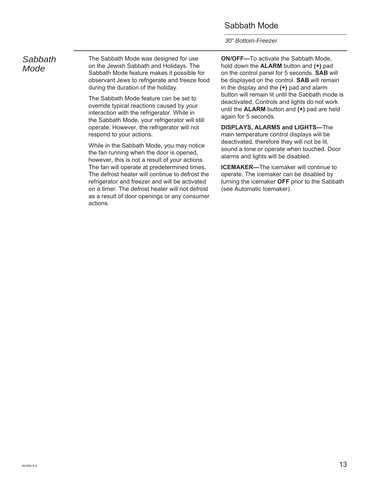#### Sabbath Mode

*30" Bottom-Freezer*

#### *Sabbath Mode*

The Sabbath Mode was designed for use on the Jewish Sabbath and Holidays. The Sabbath Mode feature makes it possible for observant Jews to refrigerate and freeze food during the duration of the holiday.

The Sabbath Mode feature can be set to override typical reactions caused by your interaction with the refrigerator. While in the Sabbath Mode, your refrigerator will still operate. However, the refrigerator will not respond to your actions.

While in the Sabbath Mode, you may notice the fan running when the door is opened, however, this is not a result of your actions. The fan will operate at predetermined times. The defrost heater will continue to defrost the refrigerator and freezer and will be activated on a timer. The defrost heater will not defrost as a result of door openings or any consumer actions.

**ON/OFF—**To activate the Sabbath Mode, hold down the **ALARM** button and **(+)** pad on the control panel for 5 seconds. **SAB** will be displayed on the control. **SAB** will remain in the display and the **(+)** pad and alarm button will remain lit until the Sabbath mode is deactivated. Controls and lights do not work until the **ALARM** button and **(+)** pad are held again for 5 seconds.

**DISPLAYS, ALARMS and LIGHTS—**The main temperature control displays will be deactivated, therefore they will not be lit, sound a tone or operate when touched. Door alarms and lights will be disabled.

**ICEMAKER—**The icemaker will continue to operate. The icemaker can be disabled by turning the icemaker **OFF** prior to the Sabbath (see Automatic Icemaker).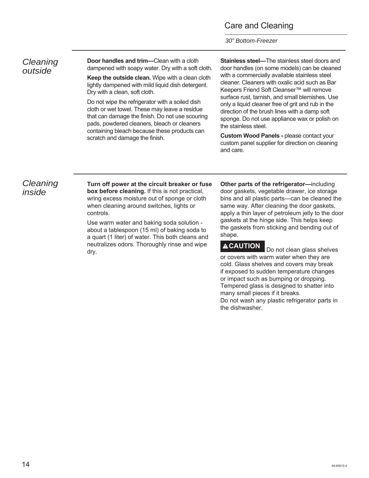#### Care and Cleaning

*30" Bottom-Freezer*

#### *Cleaning outside*

**Door handles and trim—**Clean with a cloth dampened with soapy water. Dry with a soft cloth.

**Keep the outside clean.** Wipe with a clean cloth lightly dampened with mild liquid dish detergent. Dry with a clean, soft cloth.

Do not wipe the refrigerator with a soiled dish cloth or wet towel. These may leave a residue that can damage the finish. Do not use scouring pads, powdered cleaners, bleach or cleaners containing bleach because these products can scratch and damage the finish.

**Stainless steel—**The stainless steel doors and door handles (on some models) can be cleaned with a commercially available stainless steel cleaner. Cleaners with oxalic acid such as Bar Keepers Friend Soft Cleanser™ will remove surface rust, tarnish, and small blemishes. Use only a liquid cleaner free of grit and rub in the direction of the brush lines with a damp soft sponge. Do not use appliance wax or polish on the stainless steel.

**Custom Wood Panels -** please contact your custom panel supplier for direction on cleaning and care.

#### *Cleaning inside*

**Turn off power at the circuit breaker or fuse box before cleaning.** If this is not practical, wring excess moisture out of sponge or cloth when cleaning around switches, lights or controls.

Use warm water and baking soda solution about a tablespoon (15 ml) of baking soda to a quart (1 liter) of water. This both cleans and neutralizes odors. Thoroughly rinse and wipe dry.

**Other parts of the refrigerator—**including door gaskets, vegetable drawer, ice storage bins and all plastic parts—can be cleaned the same way. After cleaning the door gaskets, apply a thin layer of petroleum jelly to the door gaskets at the hinge side. This helps keep the gaskets from sticking and bending out of shape.

**ACAUTION** Do not clean glass shelves or covers with warm water when they are cold. Glass shelves and covers may break if exposed to sudden temperature changes or impact such as bumping or dropping. Tempered glass is designed to shatter into many small pieces if it breaks. Do not wash any plastic refrigerator parts in the dishwasher.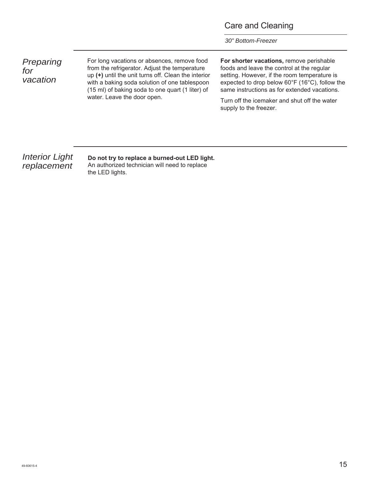#### Care and Cleaning

*30" Bottom-Freezer*

*Preparing for vacation*

For long vacations or absences, remove food from the refrigerator. Adjust the temperature up **(+)** until the unit turns off. Clean the interior with a baking soda solution of one tablespoon (15 ml) of baking soda to one quart (1 liter) of water. Leave the door open.

**For shorter vacations,** remove perishable foods and leave the control at the regular setting. However, if the room temperature is expected to drop below 60°F (16°C), follow the same instructions as for extended vacations.

Turn off the icemaker and shut off the water supply to the freezer.

#### *Interior Light replacement*

**Do not try to replace a burned-out LED light.**  An authorized technician will need to replace the LED lights.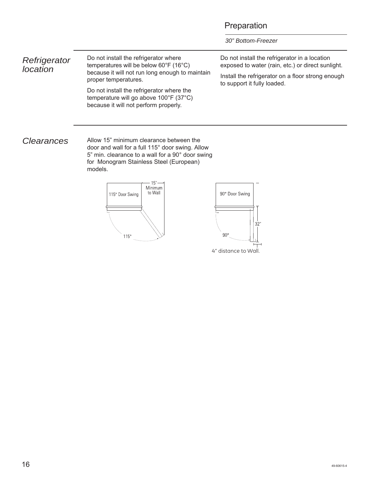#### Preparation

*30" Bottom-Freezer*

*Refrigerator location* Do not install the refrigerator where temperatures will be below 60°F (16°C) because it will not run long enough to maintain proper temperatures. Do not install the refrigerator where the temperature will go above 100°F (37°C) because it will not perform properly. Do not install the refrigerator in a location exposed to water (rain, etc.) or direct sunlight. Install the refrigerator on a floor strong enough to support it fully loaded.

**Clearances** Allow 15" minimum clearance between the door and wall for a full 115° door swing. Allow 5" min. clearance to a wall for a 90° door swing for Monogram Stainless Steel (European) models.

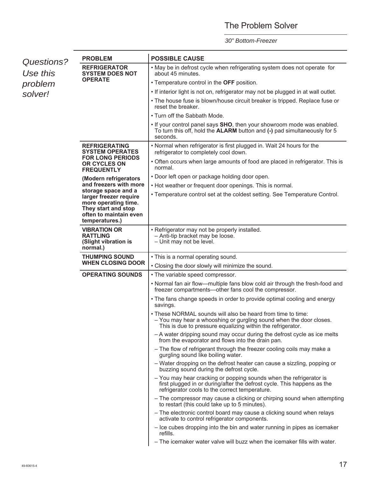### The Problem Solver

| Questions?          | <b>PROBLEM</b>                                                                                                    | <b>POSSIBLE CAUSE</b>                                                                                                                                                                            |  |  |
|---------------------|-------------------------------------------------------------------------------------------------------------------|--------------------------------------------------------------------------------------------------------------------------------------------------------------------------------------------------|--|--|
| Use this<br>problem | <b>REFRIGERATOR</b><br><b>SYSTEM DOES NOT</b>                                                                     | . May be in defrost cycle when refrigerating system does not operate for<br>about 45 minutes.                                                                                                    |  |  |
|                     | <b>OPERATE</b>                                                                                                    | • Temperature control in the OFF position.                                                                                                                                                       |  |  |
| solver!             |                                                                                                                   | . If interior light is not on, refrigerator may not be plugged in at wall outlet.                                                                                                                |  |  |
|                     |                                                                                                                   | • The house fuse is blown/house circuit breaker is tripped. Replace fuse or<br>reset the breaker.                                                                                                |  |  |
|                     |                                                                                                                   | • Turn off the Sabbath Mode.                                                                                                                                                                     |  |  |
|                     |                                                                                                                   | . If your control panel says SHO, then your showroom mode was enabled.<br>To turn this off, hold the ALARM button and (-) pad simultaneously for 5<br>seconds.                                   |  |  |
|                     | <b>REFRIGERATING</b><br><b>SYSTEM OPERATES</b>                                                                    | . Normal when refrigerator is first plugged in. Wait 24 hours for the<br>refrigerator to completely cool down.                                                                                   |  |  |
|                     | <b>FOR LONG PERIODS</b><br>OR CYCLES ON<br><b>FREQUENTLY</b>                                                      | • Often occurs when large amounts of food are placed in refrigerator. This is<br>normal.                                                                                                         |  |  |
|                     | (Modern refrigerators                                                                                             | • Door left open or package holding door open.                                                                                                                                                   |  |  |
|                     | and freezers with more<br>storage space and a                                                                     | • Hot weather or frequent door openings. This is normal.                                                                                                                                         |  |  |
|                     | larger freezer require<br>more operating time.<br>They start and stop<br>often to maintain even<br>temperatures.) | • Temperature control set at the coldest setting. See Temperature Control.                                                                                                                       |  |  |
|                     | <b>VIBRATION OR</b><br><b>RATTLING</b><br>(Slight vibration is<br>normal.)                                        | • Refrigerator may not be properly installed.<br>- Anti-tip bracket may be loose.<br>- Unit may not be level.                                                                                    |  |  |
|                     | <b>THUMPING SOUND</b><br><b>WHEN CLOSING DOOR</b>                                                                 | • This is a normal operating sound.                                                                                                                                                              |  |  |
|                     |                                                                                                                   | • Closing the door slowly will minimize the sound.                                                                                                                                               |  |  |
|                     | <b>OPERATING SOUNDS</b>                                                                                           | • The variable speed compressor.                                                                                                                                                                 |  |  |
|                     |                                                                                                                   | . Normal fan air flow—multiple fans blow cold air through the fresh-food and<br>freezer compartments---other fans cool the compressor.                                                           |  |  |
|                     |                                                                                                                   | • The fans change speeds in order to provide optimal cooling and energy<br>savings.                                                                                                              |  |  |
|                     |                                                                                                                   | . These NORMAL sounds will also be heard from time to time:<br>- You may hear a whooshing or gurgling sound when the door closes.<br>This is due to pressure equalizing within the refrigerator. |  |  |
|                     |                                                                                                                   | - A water dripping sound may occur during the defrost cycle as ice melts<br>from the evaporator and flows into the drain pan.                                                                    |  |  |
|                     |                                                                                                                   | - The flow of refrigerant through the freezer cooling coils may make a<br>gurgling sound like boiling water.                                                                                     |  |  |
|                     |                                                                                                                   | - Water dropping on the defrost heater can cause a sizzling, popping or<br>buzzing sound during the defrost cycle.                                                                               |  |  |
|                     |                                                                                                                   | - You may hear cracking or popping sounds when the refrigerator is<br>first plugged in or during/after the defrost cycle. This happens as the<br>refrigerator cools to the correct temperature.  |  |  |
|                     |                                                                                                                   | - The compressor may cause a clicking or chirping sound when attempting<br>to restart (this could take up to 5 minutes).                                                                         |  |  |
|                     |                                                                                                                   | - The electronic control board may cause a clicking sound when relays<br>activate to control refrigerator components.                                                                            |  |  |
|                     |                                                                                                                   | - Ice cubes dropping into the bin and water running in pipes as icemaker<br>refills.                                                                                                             |  |  |
|                     |                                                                                                                   | - The icemaker water valve will buzz when the icemaker fills with water.                                                                                                                         |  |  |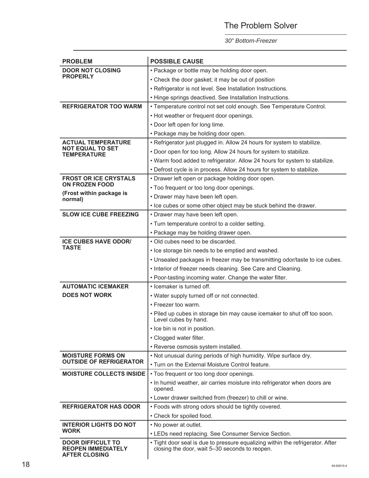### The Problem Solver

| <b>PROBLEM</b>                                                                | <b>POSSIBLE CAUSE</b>                                                                                                            |  |  |
|-------------------------------------------------------------------------------|----------------------------------------------------------------------------------------------------------------------------------|--|--|
| <b>DOOR NOT CLOSING</b>                                                       | • Package or bottle may be holding door open.                                                                                    |  |  |
| <b>PROPERLY</b>                                                               | • Check the door gasket; it may be out of position                                                                               |  |  |
|                                                                               | • Refrigerator is not level. See Installation Instructions.                                                                      |  |  |
|                                                                               | • Hinge springs deactived. See Installation Instructions.                                                                        |  |  |
| <b>REFRIGERATOR TOO WARM</b>                                                  | • Temperature control not set cold enough. See Temperature Control.                                                              |  |  |
|                                                                               | • Hot weather or frequent door openings.                                                                                         |  |  |
|                                                                               | • Door left open for long time.                                                                                                  |  |  |
|                                                                               | • Package may be holding door open.                                                                                              |  |  |
| <b>ACTUAL TEMPERATURE</b>                                                     | • Refrigerator just plugged in. Allow 24 hours for system to stabilize.                                                          |  |  |
| <b>NOT EQUAL TO SET</b><br><b>TEMPERATURE</b>                                 | . Door open for too long. Allow 24 hours for system to stabilize.                                                                |  |  |
|                                                                               | . Warm food added to refrigerator. Allow 24 hours for system to stabilize.                                                       |  |  |
|                                                                               | • Defrost cycle is in process. Allow 24 hours for system to stabilize.                                                           |  |  |
| <b>FROST OR ICE CRYSTALS</b>                                                  | • Drawer left open or package holding door open.                                                                                 |  |  |
| <b>ON FROZEN FOOD</b>                                                         | • Too frequent or too long door openings.                                                                                        |  |  |
| (Frost within package is<br>normal)                                           | • Drawer may have been left open.                                                                                                |  |  |
|                                                                               | . Ice cubes or some other object may be stuck behind the drawer.                                                                 |  |  |
| <b>SLOW ICE CUBE FREEZING</b>                                                 | • Drawer may have been left open.                                                                                                |  |  |
|                                                                               | • Turn temperature control to a colder setting.                                                                                  |  |  |
|                                                                               | • Package may be holding drawer open.                                                                                            |  |  |
| <b>ICE CUBES HAVE ODOR/</b>                                                   | • Old cubes need to be discarded.                                                                                                |  |  |
| <b>TASTE</b>                                                                  | • Ice storage bin needs to be emptied and washed.                                                                                |  |  |
|                                                                               | . Unsealed packages in freezer may be transmitting odor/taste to ice cubes.                                                      |  |  |
|                                                                               | • Interior of freezer needs cleaning. See Care and Cleaning.                                                                     |  |  |
|                                                                               | . Poor-tasting incoming water. Change the water filter.                                                                          |  |  |
| <b>AUTOMATIC ICEMAKER</b>                                                     | • Icemaker is turned off.                                                                                                        |  |  |
| <b>DOES NOT WORK</b>                                                          | • Water supply turned off or not connected.                                                                                      |  |  |
|                                                                               | • Freezer too warm.                                                                                                              |  |  |
|                                                                               | . Piled up cubes in storage bin may cause icemaker to shut off too soon.<br>Level cubes by hand.                                 |  |  |
|                                                                               | • Ice bin is not in position.                                                                                                    |  |  |
|                                                                               | • Clogged water filter.                                                                                                          |  |  |
|                                                                               | • Reverse osmosis system installed.                                                                                              |  |  |
| <b>MOISTURE FORMS ON</b>                                                      | . Not unusual during periods of high humidity. Wipe surface dry.                                                                 |  |  |
| <b>OUTSIDE OF REFRIGERATOR</b>                                                | . Turn on the External Moisture Control feature.                                                                                 |  |  |
| <b>MOISTURE COLLECTS INSIDE</b>                                               | • Too frequent or too long door openings.                                                                                        |  |  |
|                                                                               | . In humid weather, air carries moisture into refrigerator when doors are<br>opened.                                             |  |  |
|                                                                               | • Lower drawer switched from (freezer) to chill or wine.                                                                         |  |  |
| <b>REFRIGERATOR HAS ODOR</b>                                                  | • Foods with strong odors should be tightly covered.                                                                             |  |  |
|                                                                               | • Check for spoiled food.                                                                                                        |  |  |
| <b>INTERIOR LIGHTS DO NOT</b>                                                 | • No power at outlet.                                                                                                            |  |  |
| <b>WORK</b>                                                                   | • LEDs need replacing. See Consumer Service Section.                                                                             |  |  |
| <b>DOOR DIFFICULT TO</b><br><b>REOPEN IMMEDIATELY</b><br><b>AFTER CLOSING</b> | . Tight door seal is due to pressure equalizing within the refrigerator. After<br>closing the door, wait 5-30 seconds to reopen. |  |  |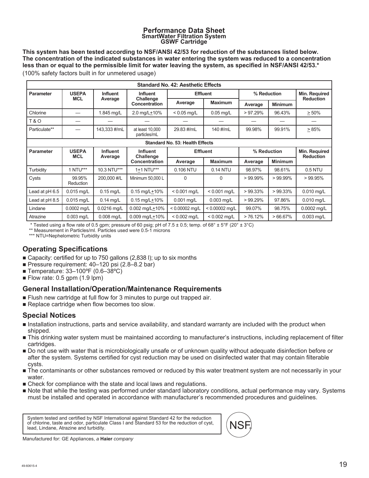#### **Performance Data Sheet SmartWater Filtration System GSWF Cartridge**

**This system has been tested according to NSF/ANSI 42/53 for reduction of the substances listed below. The concentration of the indicated substances in water entering the system was reduced to a concentration less than or equal to the permissible limit for water leaving the system, as specified in NSF/ANSI 42/53.\*** (100% safety factors built in for unmetered usage)

| <b>Standard No. 42: Aesthetic Effects</b>      |                                 |                 |                                   |                                        |                  |             |                |                                   |
|------------------------------------------------|---------------------------------|-----------------|-----------------------------------|----------------------------------------|------------------|-------------|----------------|-----------------------------------|
| <b>Parameter</b>                               | <b>USEPA</b><br><b>Influent</b> | <b>Influent</b> | <b>Effluent</b>                   |                                        | % Reduction      |             | Min. Required  |                                   |
|                                                | <b>MCL</b>                      | Average         | Challenge<br><b>Concentration</b> | Average                                | <b>Maximum</b>   | Average     | <b>Minimum</b> | <b>Reduction</b>                  |
| Chlorine                                       |                                 | 1.845 mg/L      | 2.0 mg/L $±10\%$                  | $< 0.05$ mg/L                          | $0.05$ mg/L      | $>97.29\%$  | 96.43%         | > 50%                             |
| <b>T&amp;O</b>                                 |                                 |                 |                                   |                                        |                  |             |                |                                   |
| Particulate**                                  |                                 | 143,333 #/mL    | at least 10,000<br>particles/mL   | 29.83 #/mL                             | 140 #/mL         | 99.98%      | 99.91%         | >85%                              |
|                                                |                                 |                 |                                   | <b>Standard No. 53: Health Effects</b> |                  |             |                |                                   |
| <b>USEPA</b><br><b>Parameter</b><br><b>MCL</b> |                                 | <b>Influent</b> | <b>Influent</b>                   | <b>Effluent</b>                        |                  | % Reduction |                | Min. Required<br><b>Reduction</b> |
|                                                |                                 | Average         | Challenge<br><b>Concentration</b> | Average                                | <b>Maximum</b>   | Average     | <b>Minimum</b> |                                   |
| Turbidity                                      | 1 NTU***                        | 10.3 NTU***     | 1+1 NTU***                        | 0.106 NTU                              | 0.14 NTU         | 98.97%      | 98.61%         | 0.5 NTU                           |
| Cysts                                          | 99.95%<br><b>Reduction</b>      | 200,000 #/L     | Minimum 50,000 L                  | $\Omega$                               | 0                | $>99.99\%$  | $>99.99\%$     | >99.95%                           |
| Lead at pH 6.5                                 | $0.015$ mg/L                    | $0.15$ mg/L     | $0.15$ mg/L+10%                   | $< 0.001$ mg/L                         | $< 0.001$ mg/L   | $>99.33\%$  | $>99.33\%$     | 0.010 mg/L                        |
| Lead at pH 8.5                                 | $0.015$ mg/L                    | $0.14$ mg/L     | $0.15$ mg/L+10%                   | 0.001 mg/L                             | 0.003 mg/L       | $>99.29\%$  | 97.86%         | $0.010$ mg/L                      |
| Lindane                                        | 0.0002 mg/L                     | 0.0216 mg/L     | $0.002$ mg/L $\pm$ 10%            | $< 0.00002$ mq/L                       | $< 0.00002$ mg/L | 99.07%      | 98.75%         | 0.0002 mg/L                       |
| Atrazine                                       | $0.003$ mg/L                    | 0.008 mg/L      | $0.009$ mg/L $\pm$ 10%            | $< 0.002$ mg/L                         | $< 0.002$ mg/L   | > 76.12%    | $>66.67\%$     | $0.003$ mg/L                      |

\* Tested using a flow rate of 0.5 gpm; pressure of 60 psig; pH of 7.5  $\pm$  0.5; temp. of 68°  $\pm$  5°F (20°  $\pm$  3°C)

\*\* Measurement in Particles/ml. Particles used were 0.5-1 microns

\*\*\* NTU=Nephelometric Turbidity units

#### **Operating Specifications**

- Capacity: certified for up to 750 gallons (2,838 l); up to six months
- Pressure requirement: 40–120 psi (2.8–8.2 bar)
- Temperature: 33-100°F (0.6-38°C)
- Flow rate:  $0.5$  gpm  $(1.9$  lpm)

#### **General Installation/Operation/Maintenance Requirements**

- **Flush new cartridge at full flow for 3 minutes to purge out trapped air.**
- Replace cartridge when flow becomes too slow.

#### **Special Notices**

- Installation instructions, parts and service availability, and standard warranty are included with the product when shipped.
- This drinking water system must be maintained according to manufacturer's instructions, including replacement of filter cartridges.
- Do not use with water that is microbiologically unsafe or of unknown quality without adequate disinfection before or after the system. Systems certified for cyst reduction may be used on disinfected water that may contain filterable cysts.
- The contaminants or other substances removed or reduced by this water treatment system are not necessarily in your water.
- Check for compliance with the state and local laws and regulations.
- Note that while the testing was performed under standard laboratory conditions, actual performance may vary. Systems must be installed and operated in accordance with manufacturer's recommended procedures and guidelines.

System tested and certified by NSF International against Standard 42 for the reduction of chlorine, taste and odor, particulate Class I and Standard 53 for the reduction of cyst, lead, Lindane, Atrazine and turbidity.



Manufactured for: GE Appliances, *a* **Haier** *company*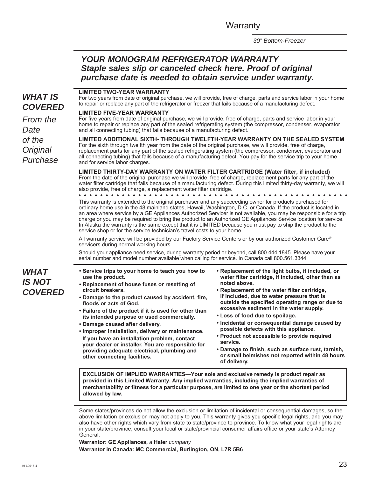**Warranty** 

*30" Bottom-Freezer*

#### *YOUR MONOGRAM REFRIGERATOR WARRANTY Staple sales slip or canceled check here. Proof of original purchase date is needed to obtain service under warranty.*

#### *WHAT IS COVERED*

*From the Date of the Original Purchase*

#### **LIMITED TWO-YEAR WARRANTY**

For two years from date of original purchase, we will provide, free of charge, parts and service labor in your home to repair or replace any part of the refrigerator or freezer that fails because of a manufacturing defect.

#### **LIMITED FIVE-YEAR WARRANTY**

For five years from date of original purchase, we will provide, free of charge, parts and service labor in your home to repair or replace any part of the sealed refrigerating system (the compressor, condenser, evaporator and all connecting tubing) that fails because of a manufacturing defect.

**LIMITED ADDITIONAL SIXTH- THROUGH TWELFTH-YEAR WARRANTY ON THE SEALED SYSTEM**  For the sixth through twelfth year from the date of the original purchase, we will provide, free of charge, replacement parts for any part of the sealed refrigerating system (the compressor, condenser, evaporator and all connecting tubing) that fails because of a manufacturing defect. You pay for the service trip to your home and for service labor charges.

**LIMITED THIRTY-DAY WARRANTY ON WATER FILTER CARTRIDGE (Water filter, if included)**  From the date of the original purchase we will provide, free of charge, replacement parts for any part of the water filter cartridge that fails because of a manufacturing defect. During this limited thirty-day warranty, we will also provide, free of charge, a replacement water filter cartridge.

This warranty is extended to the original purchaser and any succeeding owner for products purchased for ordinary home use in the 48 mainland states, Hawaii, Washington, D.C. or Canada. If the product is located in an area where service by a GE Appliances Authorized Servicer is not available, you may be responsible for a trip charge or you may be required to bring the product to an Authorized GE Appliances Service location for service. In Alaska the warranty is the same except that it is LIMITED because you must pay to ship the product to the service shop or for the service technician's travel costs to your home.

All warranty service will be provided by our Factory Service Centers or by our authorized Customer Care® servicers during normal working hours.

Should your appliance need service, during warranty period or beyond, call 800.444.1845. Please have your serial number and model number available when calling for service. In Canada call 800.561.3344

- **Service trips to your home to teach you how to use the product.**
- **Replacement of house fuses or resetting of circuit breakers.**
- **Damage to the product caused by accident, fire, floods or acts of God.**
- **Failure of the product if it is used for other than its intended purpose or used commercially.**
- **Damage caused after delivery.**

**• Improper installation, delivery or maintenance. If you have an installation problem, contact your dealer or installer. You are responsible for providing adequate electrical, plumbing and other connecting facilities.**

- **Replacement of the light bulbs, if included, or water filter cartridge, if included, other than as noted above.**
- **Replacement of the water filter cartridge, if included, due to water pressure that is outside the specified operating range or due to excessive sediment in the water supply.**
- **Loss of food due to spoilage.**
- **Incidental or consequential damage caused by possible defects with this appliance.**
- **Product not accessible to provide required service.**
- **Damage to finish, such as surface rust, tarnish, or small belmishes not reported within 48 hours of delivery.**

**EXCLUSION OF IMPLIED WARRANTIES—Your sole and exclusive remedy is product repair as provided in this Limited Warranty. Any implied warranties, including the implied warranties of merchantability or fitness for a particular purpose, are limited to one year or the shortest period allowed by law.**

Some states/provinces do not allow the exclusion or limitation of incidental or consequential damages, so the above limitation or exclusion may not apply to you. This warranty gives you specific legal rights, and you may also have other rights which vary from state to state/province to province. To know what your legal rights are in your state/province, consult your local or state/provincial consumer affairs office or your state's Attorney General.

**Warrantor: GE Appliances,** *a* **Haier** *company* **Warrantor in Canada: MC Commercial, Burlington, ON, L7R 5B6**

*WHAT*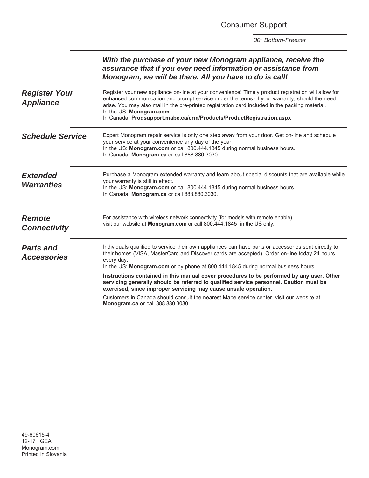Consumer Support

|                                          | With the purchase of your new Monogram appliance, receive the<br>assurance that if you ever need information or assistance from<br>Monogram, we will be there. All you have to do is call!                                                                                                                                                                                                               |
|------------------------------------------|----------------------------------------------------------------------------------------------------------------------------------------------------------------------------------------------------------------------------------------------------------------------------------------------------------------------------------------------------------------------------------------------------------|
| <b>Register Your</b><br><b>Appliance</b> | Register your new appliance on-line at your convenience! Timely product registration will allow for<br>enhanced communication and prompt service under the terms of your warranty, should the need<br>arise. You may also mail in the pre-printed registration card included in the packing material.<br>In the US: Monogram.com<br>In Canada: Prodsupport.mabe.ca/crm/Products/ProductRegistration.aspx |
| <b>Schedule Service</b>                  | Expert Monogram repair service is only one step away from your door. Get on-line and schedule<br>your service at your convenience any day of the year.<br>In the US: Monogram.com or call 800.444.1845 during normal business hours.<br>In Canada: Monogram.ca or call 888.880.3030                                                                                                                      |
| <b>Extended</b><br><b>Warranties</b>     | Purchase a Monogram extended warranty and learn about special discounts that are available while<br>your warranty is still in effect.<br>In the US: Monogram.com or call 800.444.1845 during normal business hours.<br>In Canada: Monogram.ca or call 888.880.3030.                                                                                                                                      |
| <b>Remote</b><br><b>Connectivity</b>     | For assistance with wireless network connectivity (for models with remote enable),<br>visit our website at Monogram.com or call 800.444.1845 in the US only.                                                                                                                                                                                                                                             |
| <b>Parts and</b><br><b>Accessories</b>   | Individuals qualified to service their own appliances can have parts or accessories sent directly to<br>their homes (VISA, MasterCard and Discover cards are accepted). Order on-line today 24 hours<br>every day.<br>In the US: Monogram.com or by phone at 800.444.1845 during normal business hours.                                                                                                  |
|                                          | Instructions contained in this manual cover procedures to be performed by any user. Other<br>servicing generally should be referred to qualified service personnel. Caution must be<br>exercised, since improper servicing may cause unsafe operation.                                                                                                                                                   |
|                                          | Customers in Canada should consult the nearest Mabe service center, visit our website at<br>Monogram.ca or call 888.880.3030.                                                                                                                                                                                                                                                                            |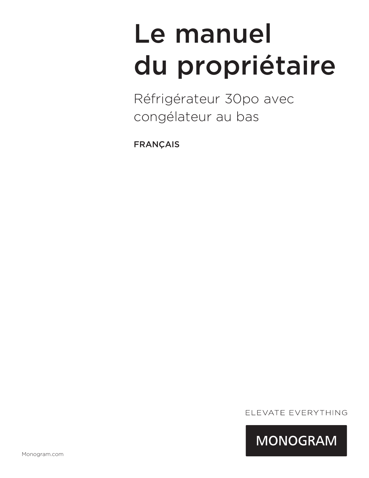# Le manuel du propriétaire

Réfrigérateur 30po avec congélateur au bas

FRANÇAIS

ELEVATE EVERYTHING

**MONOGRAM**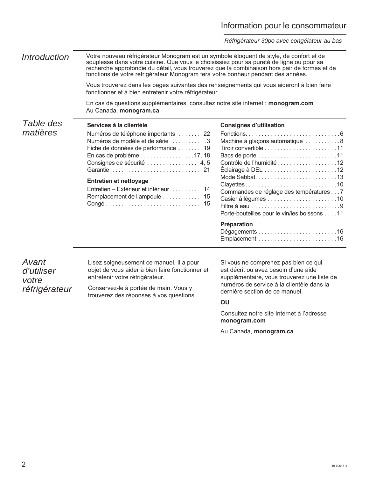#### Information pour le consommateur

*Réfrigérateur 30po avec congélateur au bas*

*Table des matières Introduction* Votre nouveau réfrigérateur Monogram est un symbole éloquent de style, de confort et de souplesse dans votre cuisine. Que vous le choisissiez pour sa pureté de ligne ou pour sa recherche approfondie du détail, vous trouverez que la combinaison hors pair de formes et de fonctions de votre réfrigérateur Monogram fera votre bonheur pendant des années. Vous trouverez dans les pages suivantes des renseignements qui vous aideront à bien faire fonctionner et à bien entretenir votre réfrigérateur. En cas de questions supplémentaires, consultez notre site internet : **monogram.com**  Au Canada, **monogram.ca Services à la clientèle** Numéros de téléphone importants . . . . . . . .22 Numéros de modèle et de série ...........3 Fiche de données de performance ........19 En cas de problème . . . . . . . . . . . . . . . . .17, 18 Consignes de sécurité . . . . . . . . . . . . . . 4, 5 Garantie . . . . . . . . . . . . . . . . . . . . . . . . . . . . . .21 **Entretien et nettoyage** Entretien – Extérieur et intérieur . . . . . . . . . .14 Remplacement de l'ampoule . . . . . . . . . . . 15 Congé . . . . . . . . . . . . . . . . . . . . . . . . . . . . . . .15 **Consignes d'utilisation** Fonctions ..............................6 Machine à glaçons automatique ............8 Tiroir convertible . . . . . . . . . . . . . . . . . . . . . . .11 Bacs de porte . . . . . . . . . . . . . . . . . . . . . . . . .11 Contrôle de l'humidité . . . . . . . . . . . . . . . . . . .12 Éclairage à DEL . . . . . . . . . . . . . . . . . . . . . . .12 Mode Sabbat. . . . . . . . . . . . . . . . . . . . . . . . . .13 Clayettes . . . . . . . . . . . . . . . . . . . . . . . . . . . . .10 Commandes de réglage des températures . . . 7 Casier à légumes . . . . . . . . . . . . . . . . . . . . . .10 Filtre à eau . . . . . . . . . . . . . . . . . . . . . . . . . . . .9 Porte-bouteilles pour le vin/les boissons . . . .11 **Préparation** Dégagements . . . . . . . . . . . . . . . . . . . . . . . . .16 Emplacement . . . . . . . . . . . . . . . . . . . . . . . . .16

*Avant d'utiliser votre réfrigérateur* 

Lisez soigneusement ce manuel. Il a pour objet de vous aider à bien faire fonctionner et entretenir votre réfrigérateur.

Conservez-le à portée de main. Vous y trouverez des réponses à vos questions.

Si vous ne comprenez pas bien ce qui est décrit ou avez besoin d'une aide supplémentaire, vous trouverez une liste de numéros de service à la clientèle dans la dernière section de ce manuel.

#### **OU**

Consultez notre site Internet à l'adresse **monogram.com**

Au Canada, **monogram.ca**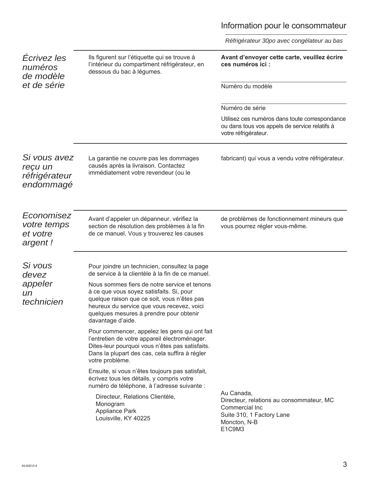# Information pour le consommateur

|                                                         |                                                                                                                                                                                                                                                       | Réfrigérateur 30po avec congélateur au bas                                                                                      |
|---------------------------------------------------------|-------------------------------------------------------------------------------------------------------------------------------------------------------------------------------------------------------------------------------------------------------|---------------------------------------------------------------------------------------------------------------------------------|
| Ecrivez les<br>numéros<br>de modèle                     | Ils figurent sur l'étiquette qui se trouve à<br>l'intérieur du compartiment réfrigérateur, en<br>dessous du bac à légumes.                                                                                                                            | Avant d'envoyer cette carte, veuillez écrire<br>ces numéros ici :                                                               |
| et de série                                             |                                                                                                                                                                                                                                                       | Numéro du modèle                                                                                                                |
|                                                         |                                                                                                                                                                                                                                                       | Numéro de série                                                                                                                 |
|                                                         |                                                                                                                                                                                                                                                       | Utilisez ces numéros dans toute correspondance<br>ou dans tous vos appels de service relatifs à<br>votre réfrigérateur.         |
| Si vous avez<br>reçu un<br>réfrigérateur<br>endommagé   | La garantie ne couvre pas les dommages<br>causés après la livraison. Contactez<br>immédiatement votre revendeur (ou le                                                                                                                                | fabricant) qui vous a vendu votre réfrigérateur.                                                                                |
| Economisez<br><i>votre temps</i><br>et votre<br>argent! | Avant d'appeler un dépanneur, vérifiez la<br>section de résolution des problèmes à la fin<br>de ce manuel. Vous y trouverez les causes                                                                                                                | de problèmes de fonctionnement mineurs que<br>vous pourrez régler vous-même.                                                    |
| Si vous<br>devez                                        | Pour joindre un technicien, consultez la page<br>de service à la clientèle à la fin de ce manuel.                                                                                                                                                     |                                                                                                                                 |
| appeler<br>un<br>technicien                             | Nous sommes fiers de notre service et tenons<br>à ce que vous soyez satisfaits. Si, pour<br>quelque raison que ce soit, vous n'êtes pas<br>heureux du service que vous recevez, voici<br>quelques mesures à prendre pour obtenir<br>davantage d'aide. |                                                                                                                                 |
|                                                         | Pour commencer, appelez les gens qui ont fait<br>l'entretien de votre appareil électroménager.<br>Dites-leur pourquoi vous n'êtes pas satisfaits.<br>Dans la plupart des cas, cela suffira à régler<br>votre problème.                                |                                                                                                                                 |
|                                                         | Ensuite, si vous n'êtes toujours pas satisfait,<br>écrivez tous les détails, y compris votre<br>numéro de téléphone, à l'adresse suivante :                                                                                                           |                                                                                                                                 |
|                                                         | Directeur, Relations Clientèle,<br>Monogram<br>Appliance Park<br>Louisville, KY 40225                                                                                                                                                                 | Au Canada,<br>Directeur, relations au consommateur, MC<br>Commercial Inc<br>Suite 310, 1 Factory Lane<br>Moncton, N-B<br>E1C9M3 |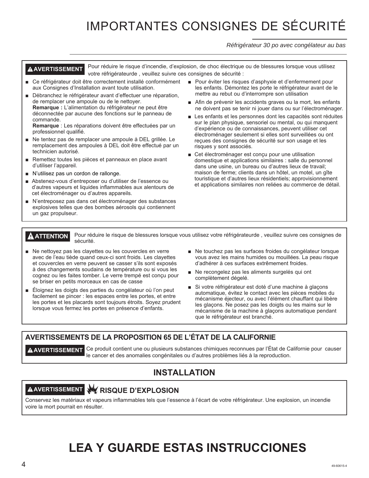# IMPORTANTES CONSIGNES DE SÉCURITÉ

*Réfrigérateur 30 po avec congélateur au bas*

**AVERTISSEMENT** Pour réduire le risque d'incendie, d'explosion, de choc électrique ou de blessures lorsque vous utilisez votre réfrigérateurde , veuillez suivre ces consignes de sécurité :

- Ce réfrigérateur doit être correctement installé conformément aux Consignes d'Installation avant toute utilisation.
- Débranchez le réfrigérateur avant d'effectuer une réparation, de remplacer une ampoule ou de le nettoyer. **Remarque :** L'alimentation du réfrigérateur ne peut être déconnectée par aucune des fonctions sur le panneau de commande.

**Remarque** : Les réparations doivent être effectuées par un professionnel qualifié.

- Ne tentez pas de remplacer une ampoule à DEL grillée. Le remplacement des ampoules à DEL doit être effectué par un technicien autorisé.
- Remettez toutes les pièces et panneaux en place avant d'utiliser l'appareil.
- $\blacksquare$  N'utilisez pas un cordon de rallonge.
- Abstenez-vous d'entreposer ou d'utiliser de l'essence ou d'autres vapeurs et liquides inflammables aux alentours de cet électroménager ou d'autres appareils.
- N'entreposez pas dans cet électroménager des substances explosives telles que des bombes aérosols qui contiennent un gaz propulseur.
- Pour éviter les risques d'asphyxie et d'enfermement pour les enfants. Démontez les porte le réfrigérateur avant de le mettre au rebut ou d'interrompre son utilisation
- Afin de prévenir les accidents graves ou la mort, les enfants ne doivent pas se tenir ni jouer dans ou sur l'électroménager.
- E Les enfants et les personnes dont les capacités sont réduites sur le plan physique, sensoriel ou mental, ou qui manquent d'expérience ou de connaissances, peuvent utiliser cet électroménager seulement si elles sont surveillées ou ont reçues des consignes de sécurité sur son usage et les risques y sont associés.
- Get électroménager est concu pour une utilisation domestique et applications similaires : salle du personnel dans une usine, un bureau ou d'autres lieux de travail; maison de ferme; clients dans un hôtel, un motel, un gîte touristique et d'autres lieux résidentiels; approvisionnement et applications similaires non reliées au commerce de détail.

**A ATTENTION** Pour réduire le risque de blessures lorsque vous utilisez votre réfrigérateurde, veuillez suivre ces consignes de sécurité.

- $\blacksquare$  Ne nettoyez pas les clayettes ou les couvercles en verre avec de l'eau tiède quand ceux-ci sont froids. Les clayettes et couvercles en verre peuvent se casser s'ils sont exposés à des changements soudains de température ou si vous les cognez ou les faites tomber. Le verre trempé est conçu pour se briser en petits morceaux en cas de casse
- $\blacksquare$  Éloignez les doigts des parties du congélateur où l'on peut facilement se pincer : les espaces entre les portes, et entre les portes et les placards sont toujours étroits. Soyez prudent lorsque vous fermez les portes en présence d'enfants.
- Ne touchez pas les surfaces froides du congélateur lorsque vous avez les mains humides ou mouillées. La peau risque d'adhérer à ces surfaces extrêmement froides.
- Ne recongelez pas les aliments surgelés qui ont complètement dégelé.
- Si votre réfrigérateur est doté d'une machine à glaçons automatique, évitez le contact avec les pièces mobiles du mécanisme éjecteur, ou avec l'élément chauffant qui libère les glaçons. Ne posez pas les doigts ou les mains sur le mécanisme de la machine à glaçons automatique pendant que le réfrigérateur est branché.

#### **AVERTISSEMENTS DE LA PROPOSITION 65 DE L'ÉTAT DE LA CALIFORNIE**

**AVERTISSEMENT** Ce produit contient une ou plusieurs substances chimiques reconnues par l'État de Californie pour causer le cancer et des anomalies congénitales ou d'autres problèmes liés à la reproduction.

#### **INSTALLATION**

# **AVERTISSEMENT RISQUE D'EXPLOSION**

Conservez les matériaux et vapeurs inflammables tels que l'essence à l'écart de votre réfrigérateur. Une explosion, un incendie voire la mort pourrait en résulter.

# **LEA Y GUARDE ESTAS INSTRUCCIONES**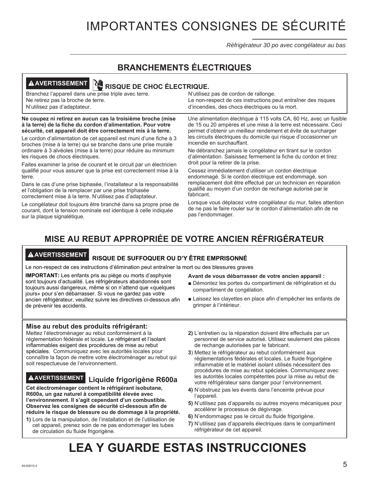# IMPORTANTES CONSIGNES DE SÉCURITÉ

*Réfrigérateur 30 po avec congélateur au bas*

#### **BRANCHEMENTS ÉLECTRIQUES**

## **A AVERTISSEMENT RUE RISQUE DE CHOC ÉLECTRIQUE.**

| Branchez l'appareil dans une prise triple avec terre. | N'utilisez pas de cordon de rallonge.                         |
|-------------------------------------------------------|---------------------------------------------------------------|
| Ne retirez pas la broche de terre.                    | Le non-respect de ces instructions peut entraîner des risques |
| N'utilisez pas d'adaptateur.                          | d'incendies, des chocs électriques ou la mort.                |
|                                                       |                                                               |

#### **Ne coupez ni retirez en aucun cas la troisième broche (mise à la terre) de la fiche du cordon d'alimentation. Pour votre sécurité, cet appareil doit être correctement mis à la terre.**

Le cordon d'alimentation de cet appareil est muni d'une fiche à 3 broches (mise à la terre) qui se branche dans une prise murale ordinaire à 3 alvéoles (mise à la terre) pour réduire au minimum les risques de chocs électriques.

Faites examiner la prise de courant et le circuit par un électricien qualifié pour vous assurer que la prise est correctement mise à la terre.

Dans le cas d'une prise biphasée, l'installateur a la responsabilité et l'obligation de la remplacer par une prise triphasée correctement mise à la terre. N'utilisez pas d'adaptateur.

Le congélateur doit toujours être branché dans sa propre prise de courant, dont la tension nominale est identique à celle indiquée sur la plaque signalétique.

Une alimentation électrique à 115 volts CA, 60 Hz, avec un fusible de 15 ou 20 ampères et une mise à la terre est nécessaire. Ceci permet d'obtenir un meilleur rendement et évite de surcharger les circuits électriques du domicile qui risque d'occasionner un incendie en surchauffant.

Ne débranchez jamais le congélateur en tirant sur le cordon d'alimentation. Saisissez fermement la fiche du cordon et tirez droit pour la retirer de la prise.

Cessez immédiatement d'utiliser un cordon électrique endommagé. Si le cordon électrique est endommagé, son remplacement doit être effectué par un technicien en réparation qualifié au moyen d'un cordon de rechange autorisé par le fabricant.

Lorsque vous déplacez votre congélateur du mur, faites attention de ne pas le faire rouler sur le cordon d'alimentation afin de ne pas l'endommager.

### **MISE AU REBUT APPROPRIÉE DE VOTRE ANCIEN RÉFRIGÉRATEUR**

#### **AVERTISSEMENT RISQUE DE SUFFOQUER OU D'Y ÊTRE EMPRISONNÉ**

Le non-respect de ces instructions d'élimination peut entraîner la mort ou des blessures graves

**IMPORTANT:** Les enfants pris au piège ou morts d'asphyxie sont toujours d'actualité. Les réfrigérateurs abandonnés sont toujours aussi dangereux, même si on n'attend que «quelques jours» pour s'en débarrasser. Si vous ne gardez pas votre ancien réfrigérateur, veuillez suivre les directives ci-dessous afin de prévenir les accidents.

#### **Mise au rebut des produits réfrigérant:**

Mettez l'électroménager au rebut conformément à la réglementation fédérale et locale. Le réfrigérant et l'isolant inflammables exigent des procédures de mise au rebut spéciales. Communiquez avec les autorités locales pour connaître la façon de mettre votre électroménager au rebut qui soit respectueuse de l'environnement.

# **AVERTISSEMENT Liquide frigorigène R600a**

**Cet électroménager contient le réfrigérant isobutane, R600a, un gaz naturel à compatibilité élevée avec l'environnement. Il s'agit cependant d'un combustible. Observez les consignes de sécurité ci-dessous afin de réduire le risque de blessure ou de dommage à la propriété.**

**1)** Lors de la manipulation, de l'installation et de l'utilisation de cet appareil, prenez soin de ne pas endommager les tubes de circulation du fluide frigorigène.

**2)** L'entretien ou la réparation doivent être effectués par un personnel de service autorisé. Utilisez seulement des pièces de rechange autorisées par le fabricant.

Ŷ Laissez les clayettes en place afin d'empêcher les enfants de

**Avant de vous débarrasser de votre ancien appareil :** Démontez les portes du compartiment de réfrigération et du

compartiment de congélation.

grimper à l'intérieur.

- **3**) Mettez le réfrigérateur au rebut conformément aux réglementations fédérales et locales. Le fluide frigorigène inflammable et le matériel isolant utilisés nécessitent des procédures de mise au rebut spéciales. Communiquez avec les autorités locales compétentes pour la mise au rebut de votre réfrigérateur sans danger pour l'environnement.
- **4)** N'obstruez pas les évents dans l'enceinte prévue pour l'appareil.
- **5)** N'utilisez pas d'appareils ou autres moyens mécaniques pour accélérer le processus de dégivrage.
- **6)** N'endommagez pas le circuit du fluide frigorigène.
- **7)** N'utilisez pas d'appareils électriques dans le compartiment réfrigérateur de cet appareil.

# **LEA Y GUARDE ESTAS INSTRUCCIONES**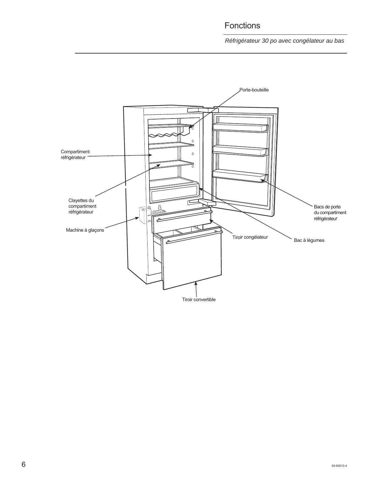### Fonctions

*Réfrigérateur 30 po avec congélateur au bas*



 $6\,$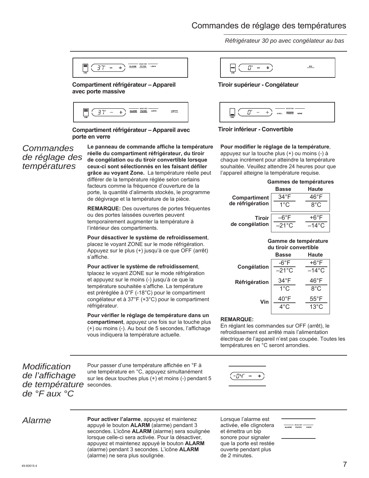#### Commandes de réglage des températures

 $+$ )  $\sim$ 

*Réfrigérateur 30 po avec congélateur au bas*

| ZONE |  |              |                             |      |  |
|------|--|--------------|-----------------------------|------|--|
|      |  | <b>ALARM</b> | HOLD 3 SEC<br><b>FILTER</b> | LOCK |  |

#### **Compartiment réfrigérateur – Appareil avec porte massive**



**Compartiment réfrigérateur – Appareil avec porte en verre**

#### *Commandes de réglage des températures*

**Le panneau de commande affiche la température réelle du compartiment réfrigérateur, du tiroir de congélation ou du tiroir convertible lorsque ceux-ci sont sélectionnés en les faisant défiler grâce au voyant Zone.** La température réelle peut différer de la température réglée selon certains facteurs comme la fréquence d'ouverture de la porte, la quantité d'aliments stockés, le programme de dégivrage et la température de la pièce.

**REMARQUE:** Des ouvertures de portes fréquentes ou des portes laissées ouvertes peuvent temporairement augmenter la température à l'intérieur des compartiments.

**Pour désactiver le système de refroidissement**, placez le voyant ZONE sur le mode réfrigération. Appuyez sur le plus (+) jusqu'à ce que OFF (arrêt) s'affiche.

#### **Pour activer le système de refroidissement**, tplacez le voyant ZONE sur le mode réfrigération et appuyez sur le moins (-) jusqu'à ce que la

température souhaitée s'affiche. La température est préréglée à 0°F (-18°C) pour le compartiment congélateur et à 37°F (+3°C) pour le compartiment réfrigérateur.

**Pour vérifier le réglage de température dans un compartiment**, appuyez une fois sur la touche plus (+) ou moins (-). Au bout de 5 secondes, l'affichage vous indiquera la température actuelle.

*Modification de l'affichage de température*  secondes. *de °F aux °C*

Pour passer d'une température affichée en °F à une température en °C, appuyez simultanément sur les deux touches plus (+) et moins (-) pendant 5



*Alarme* **Pour activer l'alarme**, appuyez et maintenez appuyé le bouton **ALARM** (alarme) pendant 3 secondes. L'icône **ALARM** (alarme) sera soulignée lorsque celle-ci sera activée. Pour la désactiver, appuyez et maintenez appuyé le bouton **ALARM** (alarme) pendant 3 secondes. L'icône **ALARM** (alarme) ne sera plus soulignée.

Lorsque l'alarme est activée, elle clignotera et émettra un bip sonore pour signaler que la porte est restée ouverte pendant plus de 2 minutes.

HOLD 3 SEC LOCK

|  | Tiroir supérieur - Congélateur |  |
|--|--------------------------------|--|
|  |                                |  |

**ICE** 





Π"

#### **Pour modifier le réglage de la température**,

appuyez sur la touche plus (+) ou moins (-) à chaque incrément pour atteindre la température souhaitée. Veuillez attendre 24 heures pour que l'appareil atteigne la température requise.

|  | Gammes de températures |
|--|------------------------|
|--|------------------------|

|                  | <b>Basse</b>   | <b>Haute</b>   |
|------------------|----------------|----------------|
| Compartiment     | $34^{\circ}$ F | $46^{\circ}$ F |
| de réfrigération | $1^{\circ}$ C  | ୫°C            |
| <b>Tiroir</b>    | –6°F           | +6°F           |
| de congélation   | –21°C          | $-14\degree$ C |

#### **Gamme de température du tiroir convertible**

|               | <b>Basse</b>    | <b>Haute</b>    |
|---------------|-----------------|-----------------|
| Congélation   | -6°F            | +6°F            |
|               | $-21^{\circ}$ C | $-14^{\circ}$ C |
| Réfrigération | $34^{\circ}$ F  | 46°F            |
|               | $1^{\circ}$ C   | $8^{\circ}$ C   |
| Vin           | $40^{\circ}$ F  | $55^{\circ}$ F  |
|               | $4^{\circ}$ C   | $13^{\circ}$ C  |
|               |                 |                 |

#### **REMARQUE:**

En réglant les commandes sur OFF (arrêt), le refroidissement est arrêté mais l'alimentation électrique de l'appareil n'est pas coupée. Toutes les températures en °C seront arrondies.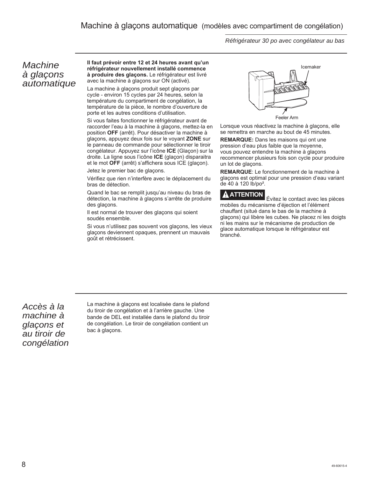*Réfrigérateur 30 po avec congélateur au bas*

#### *Machine à glaçons automatique*

**Il faut prévoir entre 12 et 24 heures avant qu'un réfrigérateur nouvellement installé commence à produire des glaçons.** Le réfrigérateur est livré avec la machine à glaçons sur ON (activé).

La machine à glaçons produit sept glaçons par cycle - environ 15 cycles par 24 heures, selon la température du compartiment de congélation, la température de la pièce, le nombre d'ouverture de porte et les autres conditions d'utilisation.

Si vous faites fonctionner le réfrigérateur avant de raccorder l'eau à la machine à glaçons, mettez-la en position **OFF** (arrêt). Pour désactiver la machine à glaçons, appuyez deux fois sur le voyant **ZONE** sur le panneau de commande pour sélectionner le tiroir congélateur. Appuyez sur l'icône **ICE** (Glaçon) sur la droite. La ligne sous l'icône **ICE** (glaçon) disparaitra et le mot **OFF** (arrêt) s'affichera sous ICE (glaçon).

Jetez le premier bac de glaçons.

Vérifiez que rien n'interfère avec le déplacement du bras de détection.

Quand le bac se remplit jusqu'au niveau du bras de détection, la machine à glaçons s'arrête de produire des glaçons.

Il est normal de trouver des glaçons qui soient soudés ensemble.

Si vous n'utilisez pas souvent vos glaçons, les vieux glaçons deviennent opaques, prennent un mauvais goût et rétrécissent.



Lorsque vous réactivez la machine à glaçons, elle se remettra en marche au bout de 45 minutes.

**REMARQUE:** Dans les maisons qui ont une pression d'eau plus faible que la moyenne, vous pouvez entendre la machine à glaçons recommencer plusieurs fois son cycle pour produire un lot de glaçons.

**REMARQUE**: Le fonctionnement de la machine à glaçons est optimal pour une pression d'eau variant de 40 à 120 lb/po².

**ATTENTION** Évitez le contact avec les pièces mobiles du mécanisme d'éjection et l'élément chauffant (situé dans le bas de la machine à glaçons) qui libère les cubes. Ne placez ni les doigts ni les mains sur le mécanisme de production de glace automatique lorsque le réfrigérateur est branché.

*Accès à la machine à glaçons et au tiroir de congélation* La machine à glaçons est localisée dans le plafond du tiroir de congélation et à l'arrière gauche. Une bande de DEL est installée dans le plafond du tiroir de congélation. Le tiroir de congélation contient un bac à glaçons.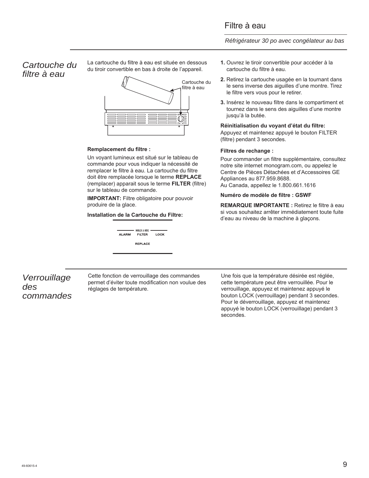*Réfrigérateur 30 po avec congélateur au bas*

#### *Cartouche du filtre à eau*

La cartouche du filtre à eau est située en dessous du tiroir convertible en bas à droite de l'appareil.



#### **Remplacement du filtre :**

Un voyant lumineux est situé sur le tableau de commande pour vous indiquer la nécessité de remplacer le filtre à eau. La cartouche du filtre doit être remplacée lorsque le terme **REPLACE** (remplacer) apparait sous le terme **FILTER** (filtre) sur le tableau de commande.

**IMPORTANT:** Filtre obligatoire pour pouvoir produire de la glace.

**Installation de la Cartouche du Filtre:**



- **1.** Ouvrez le tiroir convertible pour accéder à la cartouche du filtre à eau.
- **2.** Retirez la cartouche usagée en la tournant dans le sens inverse des aiguilles d'une montre. Tirez le filtre vers vous pour le retirer.
- **3.** Insérez le nouveau filtre dans le compartiment et tournez dans le sens des aiguilles d'une montre jusqu'à la butée.

#### **Réinitialisation du voyant d'état du filtre:**

Appuyez et maintenez appuyé le bouton FILTER (filtre) pendant 3 secondes.

#### **Filtres de rechange :**

Pour commander un filtre supplémentaire, consultez notre site internet monogram.com, ou appelez le Centre de Pièces Détachées et d'Accessoires GE Appliances au 877.959.8688. Au Canada, appellez le 1.800.661.1616

#### **Numéro de modèle de filtre : GSWF**

**REMARQUE IMPORTANTE :** Retirez le filtre à eau si vous souhaitez arrêter immédiatement toute fuite d'eau au niveau de la machine à glaçons.

#### *Verrouillage des commandes*

Cette fonction de verrouillage des commandes permet d'éviter toute modification non voulue des réglages de température.

Une fois que la température désirée est réglée, cette température peut être verrouillée. Pour le verrouillage, appuyez et maintenez appuyé le bouton LOCK (verrouillage) pendant 3 secondes. Pour le déverrouillage, appuyez et maintenez appuyé le bouton LOCK (verrouillage) pendant 3 secondes.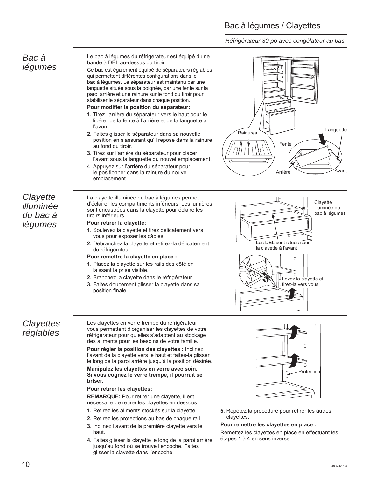### Bac à légumes / Clayettes

*Réfrigérateur 30 po avec congélateur au bas*

#### *Bac à légumes*

Le bac à légumes du réfrigérateur est équipé d'une bande à DEL au-dessus du tiroir.

Ce bac est également équipé de séparateurs réglables qui permettent différentes configurations dans le bac à légumes. Le séparateur est maintenu par une languette située sous la poignée, par une fente sur la paroi arrière et une rainure sur le fond du tiroir pour stabiliser le séparateur dans chaque position.

#### **Pour modifier la position du séparateur:**

- **1.** Tirez l'arrière du séparateur vers le haut pour le libérer de la fente à l'arrière et de la languette à l'avant.
- **2.** Faites glisser le séparateur dans sa nouvelle position en s'assurant qu'il repose dans la rainure au fond du tiroir.
- **3.** Tirez sur l'arrière du séparateur pour placer l'avant sous la languette du nouvel emplacement.
- 4. Appuyez sur l'arrière du séparateur pour le positionner dans la rainure du nouvel emplacement.

#### *Clayette illuminée du bac à légumes*

La clayette illuminée du bac à légumes permet d'éclairer les compartiments inférieurs. Les lumières sont encastrées dans la clayette pour éclaire les tiroirs inférieurs.

#### **Pour retirer la clayette:**

- **1.** Soulevez la clayette et tirez délicatement vers vous pour exposer les câbles.
- **2.** Débranchez la clayette et retirez-la délicatement du réfrigérateur.

#### **Pour remettre la clayette en place :**

- **1.** Placez la clayette sur les rails des côté en laissant la prise visible.
- **2.** Branchez la clayette dans le réfrigérateur.
- **3.** Faites doucement glisser la clayette dans sa position finale.

#### *Clayettes réglables*

Les clayettes en verre trempé du réfrigérateur vous permettent d'organiser les clayettes de votre réfrigérateur pour qu'elles s'adaptent au stockage des aliments pour les besoins de votre famille.

**Pour régler la position des clayettes :** Inclinez l'avant de la clayette vers le haut et faites-la glisser le long de la paroi arrière jusqu'à la position désirée.

#### **Manipulez les clayettes en verre avec soin. Si vous cognez le verre trempé, il pourrait se briser.**

#### **Pour retirer les clayettes:**

**REMARQUE:** Pour retirer une clayette, il est nécessaire de retirer les clayettes en dessous.

- **1.** Retirez les aliments stockés sur la clayette
- **2.** Retirez les protections au bas de chaque rail.
- **3.** Inclinez l'avant de la première clayette vers le haut.
- **4.** Faites glisser la clayette le long de la paroi arrière jusqu'au fond où se trouve l'encoche. Faites glisser la clayette dans l'encoche.







**5.** Répétez la procédure pour retirer les autres clayettes.

#### **Pour remettre les clayettes en place :**

Remettez les clayettes en place en effectuant les étapes 1 à 4 en sens inverse.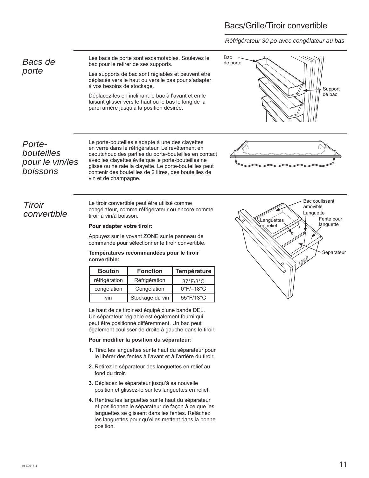### Bacs/Grille/Tiroir convertible

*Réfrigérateur 30 po avec congélateur au bas*

*Bacs de porte*

Les bacs de porte sont escamotables. Soulevez le bac pour le retirer de ses supports.

Les supports de bac sont réglables et peuvent être déplacés vers le haut ou vers le bas pour s'adapter à vos besoins de stockage.

Déplacez-les en inclinant le bac à l'avant et en le faisant glisser vers le haut ou le bas le long de la paroi arrière jusqu'à la position désirée.



*Portebouteilles pour le vin/les boissons*

Le porte-bouteilles s'adapte à une des clayettes en verre dans le réfrigérateur. Le revêtement en caoutchouc des parties du porte-bouteilles en contact avec les clayettes évite que le porte-bouteilles ne glisse ou ne raie la clayette. Le porte-bouteilles peut contenir des bouteilles de 2 litres, des bouteilles de vin et de champagne.

*Tiroir convertible* Le tiroir convertible peut être utilisé comme congélateur, comme réfrigérateur ou encore comme tiroir à vin/à boisson.

#### **Pour adapter votre tiroir:**

Appuyez sur le voyant ZONE sur le panneau de commande pour sélectionner le tiroir convertible.

**Températures recommandées pour le tiroir convertible:**

| <b>Bouton</b> | <b>Fonction</b> | Température                    |  |
|---------------|-----------------|--------------------------------|--|
| réfrigération | Réfrigération   | $37^\circ$ F/ $3^\circ$ C      |  |
| congélation   | Congélation     | $0^{\circ}$ F/ $-18^{\circ}$ C |  |
| vin           | Stockage du vin | $55^{\circ}$ F/13 $^{\circ}$ C |  |

Le haut de ce tiroir est équipé d'une bande DEL. Un séparateur réglable est également fourni qui peut être positionné différemment. Un bac peut également coulisser de droite à gauche dans le tiroir.

#### **Pour modifier la position du séparateur:**

- **1.** Tirez les languettes sur le haut du séparateur pour le libérer des fentes à l'avant et à l'arrière du tiroir.
- **2.** Retirez le séparateur des languettes en relief au fond du tiroir.
- **3.** Déplacez le séparateur jusqu'à sa nouvelle position et glissez-le sur les languettes en relief.
- **4.** Rentrez les languettes sur le haut du séparateur et positionnez le séparateur de façon à ce que les languettes se glissent dans les fentes. Relâchez les languettes pour qu'elles mettent dans la bonne position.

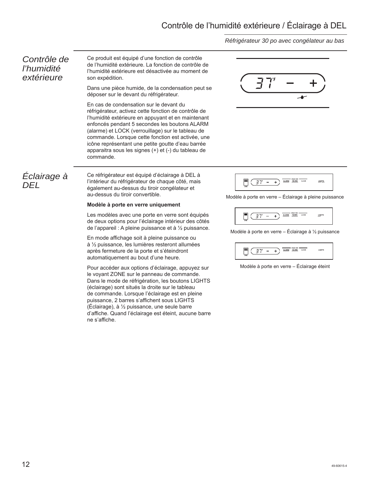### Contrôle de l'humidité extérieure / Éclairage à DEL

#### *Réfrigérateur 30 po avec congélateur au bas*

#### *Contrôle de l'humidité extérieure*

Ce produit est équipé d'une fonction de contrôle de l'humidité extérieure. La fonction de contrôle de l'humidité extérieure est désactivée au moment de son expédition.

Dans une pièce humide, de la condensation peut se déposer sur le devant du réfrigérateur.

En cas de condensation sur le devant du réfrigérateur, activez cette fonction de contrôle de l'humidité extérieure en appuyant et en maintenant enfoncés pendant 5 secondes les boutons ALARM (alarme) et LOCK (verrouillage) sur le tableau de commande. Lorsque cette fonction est activée, une icône représentant une petite goutte d'eau barrée apparaitra sous les signes (+) et (-) du tableau de commande.



Ce réfrigérateur est équipé d'éclairage à DEL à l'intérieur du réfrigérateur de chaque côté, mais également au-dessus du tiroir congélateur et au-dessus du tiroir convertible.

#### **Modèle à porte en verre uniquement**

Les modèles avec une porte en verre sont équipés de deux options pour l'éclairage intérieur des côtés de l'appareil : A pleine puissance et à ½ puissance.

En mode affichage soit à pleine puissance ou à ½ puissance, les lumières resteront allumées après fermeture de la porte et s'éteindront automatiquement au bout d'une heure.

Pour accéder aux options d'éclairage, appuyez sur le voyant ZONE sur le panneau de commande. Dans le mode de réfrigération, les boutons LIGHTS (éclairage) sont situés la droite sur le tableau de commande. Lorsque l'éclairage est en pleine puissance, 2 barres s'affichent sous LIGHTS (Éclairage), à ½ puissance, une seule barre d'affiche. Quand l'éclairage est éteint, aucune barre ne s'affiche.



Modèle à porte en verre – Éclairage à pleine puissance



Modèle à porte en verre – Éclairage à ½ puissance



Modèle à porte en verre – Éclairage éteint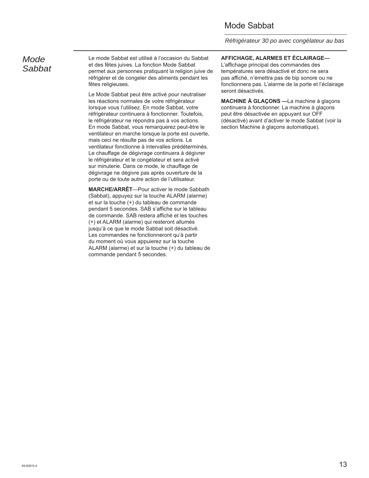#### Mode Sabbat

*Réfrigérateur 30 po avec congélateur au bas*

#### *Mode Sabbat*

Le mode Sabbat est utilisé à l'occasion du Sabbat et des fêtes juives. La fonction Mode Sabbat permet aux personnes pratiquant la religion juive de réfrigérer et de congeler des aliments pendant les fêtes religieuses.

Le Mode Sabbat peut être activé pour neutraliser les réactions normales de votre réfrigérateur lorsque vous l'utilisez. En mode Sabbat, votre réfrigérateur continuera à fonctionner. Toutefois, le réfrigérateur ne répondra pas à vos actions. En mode Sabbat, vous remarquerez peut-être le ventilateur en marche lorsque la porte est ouverte, mais ceci ne résulte pas de vos actions. Le ventilateur fonctionne à intervalles prédéterminés. Le chauffage de dégivrage continuera à dégivrer le réfrigérateur et le congélateur et sera activé sur minuterie. Dans ce mode, le chauffage de dégivrage ne dégivre pas après ouverture de la porte ou de toute autre action de l'utilisateur.

**MARCHE/ARRÊT**—Pour activer le mode Sabbath (Sabbat), appuyez sur la touche ALARM (alarme) et sur la touche (+) du tableau de commande pendant 5 secondes. SAB s'affiche sur le tableau de commande. SAB restera affiché et les touches (+) et ALARM (alarme) qui resteront allumés jusqu'à ce que le mode Sabbat soit désactivé. Les commandes ne fonctionneront qu'à partir du moment où vous appuierez sur la touche ALARM (alarme) et sur la touche (+) du tableau de commande pendant 5 secondes.

**AFFICHAGE, ALARMES ET ÉCLAIRAGE—**

L'affichage principal des commandes des températures sera désactivé et donc ne sera pas affiché, n'émettra pas de bip sonore ou ne fonctionnera pas. L'alarme de la porte et l'éclairage seront désactivés.

**MACHINE À GLAÇONS —**La machine à glaçons continuera à fonctionner. La machine à glaçons peut être désactivée en appuyant sur OFF (désactivé) avant d'activer le mode Sabbat (voir la section Machine à glaçons automatique).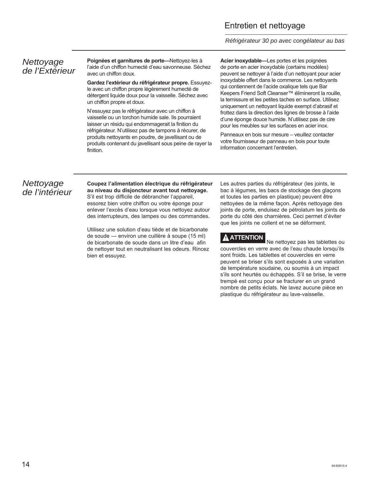#### Entretien et nettoyage

*Réfrigérateur 30 po avec congélateur au bas*

#### *Nettoyage de l'Extérieur*

**Poignées et garnitures de porte—**Nettoyez-les à l'aide d'un chiffon humecté d'eau savonneuse. Séchez avec un chiffon doux.

**Gardez l'extérieur du réfrigérateur propre.** Essuyezle avec un chiffon propre légèrement humecté de détergent liquide doux pour la vaisselle. Séchez avec un chiffon propre et doux.

N'essuyez pas le réfrigérateur avec un chiffon à vaisselle ou un torchon humide sale. Ils pourraient laisser un résidu qui endommagerait la finition du réfrigérateur. N'utilisez pas de tampons à récurer, de produits nettoyants en poudre, de javellisant ou de produits contenant du javellisant sous peine de rayer la finition.

**Acier inoxydable—**Les portes et les poignées de porte en acier inoxydable (certains modèles) peuvent se nettoyer à l'aide d'un nettoyant pour acier inoxydable offert dans le commerce. Les nettoyants qui contiennent de l'acide oxalique tels que Bar Keepers Friend Soft Cleanser™ élimineront la rouille, la ternissure et les petites taches en surface. Utilisez uniquement un nettoyant liquide exempt d'abrasif et frottez dans la direction des lignes de brosse à l'aide d'une éponge douce humide. N'utilisez pas de cire pour les meubles sur les surfaces en acier inox.

Panneaux en bois sur mesure – veuillez contacter votre fournisseur de panneau en bois pour toute information concernant l'entretien.

#### *Nettoyage de l'intérieur*

#### **Coupez l'alimentation électrique du réfrigérateur au niveau du disjoncteur avant tout nettoyage.**

S'il est trop difficile de débrancher l'appareil, essorez bien votre chiffon ou votre éponge pour enlever l'excès d'eau lorsque vous nettoyez autour des interrupteurs, des lampes ou des commandes.

Utilisez une solution d'eau tiède et de bicarbonate de soude — environ une cuillère à soupe (15 ml) de bicarbonate de soude dans un litre d'eau afin de nettoyer tout en neutralisant les odeurs. Rincez bien et essuyez.

Les autres parties du réfrigérateur (les joints, le bac à légumes, les bacs de stockage des glaçons et toutes les parties en plastique) peuvent être nettoyées de la même façon. Après nettoyage des joints de porte, enduisez de pétrolatum les joints de porte du côté des charnières. Ceci permet d'éviter que les joints ne collent et ne se déforment.

#### **A** ATTENTION

 Ne nettoyez pas les tablettes ou couvercles en verre avec de l'eau chaude lorsqu'ils sont froids. Les tablettes et couvercles en verre peuvent se briser s'ils sont exposés à une variation de température soudaine, ou soumis à un impact s'ils sont heurtés ou échappés. S'il se brise, le verre trempé est conçu pour se fracturer en un grand nombre de petits éclats. Ne lavez aucune pièce en plastique du réfrigérateur au lave-vaisselle.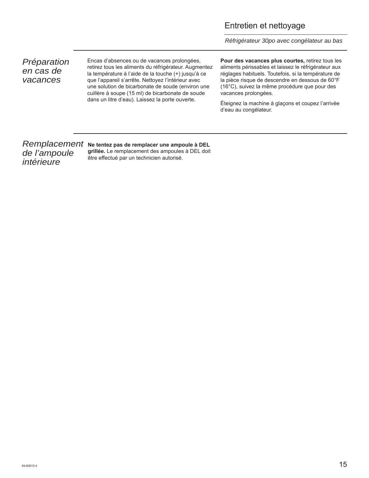#### Entretien et nettoyage

*Réfrigérateur 30po avec congélateur au bas*

*Préparation en cas de vacances*

Encas d'absences ou de vacances prolongées, retirez tous les aliments du réfrigérateur. Augmentez la température à l'aide de la touche (+) jusqu'à ce que l'appareil s'arrête. Nettoyez l'intérieur avec une solution de bicarbonate de soude (environ une cuillère à soupe (15 ml) de bicarbonate de soude dans un litre d'eau). Laissez la porte ouverte.

**Pour des vacances plus courtes,** retirez tous les aliments périssables et laissez le réfrigérateur aux réglages habituels. Toutefois, si la température de la pièce risque de descendre en dessous de 60°F (16°C), suivez la même procédure que pour des vacances prolongées.

Éteignez la machine à glaçons et coupez l'arrivée d'eau au congélateur.

# *de l'ampoule intérieure*

Remplacement Ne tentez pas de remplacer une ampoule à DEL **grillée.** Le remplacement des ampoules à DEL doit être effectué par un technicien autorisé.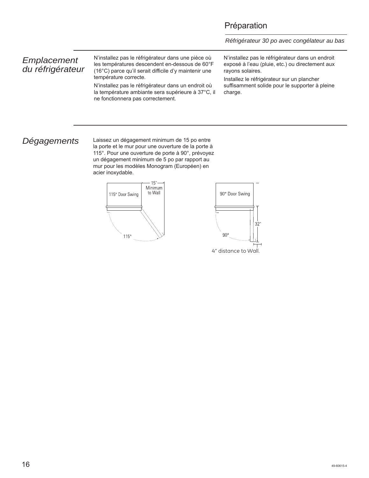#### Préparation

*Réfrigérateur 30 po avec congélateur au bas*

#### *Emplacement du réfrigérateur*

N'installez pas le réfrigérateur dans une pièce où les températures descendent en-dessous de 60°F (16°C) parce qu'il serait difficile d'y maintenir une température correcte.

N'installez pas le réfrigérateur dans un endroit où la température ambiante sera supérieure à 37°C, il ne fonctionnera pas correctement.

N'installez pas le réfrigérateur dans un endroit exposé à l'eau (pluie, etc.) ou directement aux rayons solaires.

Installez le réfrigérateur sur un plancher suffisamment solide pour le supporter à pleine charge.

*Dégagements* Laissez un dégagement minimum de 15 po entre la porte et le mur pour une ouverture de la porte à 115°. Pour une ouverture de porte à 90°, prévoyez un dégagement minimum de 5 po par rapport au mur pour les modèles Monogram (Européen) en acier inoxydable.



4" distance to Wall.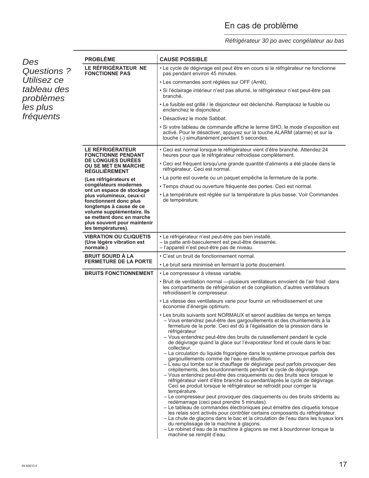# En cas de problème

#### *Réfrigérateur 30 po avec congélateur au bas*

| Des                      | <b>PROBLÈME</b>                                                                                              | <b>CAUSE POSSIBLE</b>                                                                                                                                                                                                                                                                                                                                                                                                                                                                                                                            |
|--------------------------|--------------------------------------------------------------------------------------------------------------|--------------------------------------------------------------------------------------------------------------------------------------------------------------------------------------------------------------------------------------------------------------------------------------------------------------------------------------------------------------------------------------------------------------------------------------------------------------------------------------------------------------------------------------------------|
| Questions?               | LE RÉFRIGÉRATEUR NE<br><b>FONCTIONNE PAS</b>                                                                 | · Le cycle de dégivrage est peut être en cours si le réfrigérateur ne fonctionne<br>pas pendant environ 45 minutes.                                                                                                                                                                                                                                                                                                                                                                                                                              |
| Utilisez ce              |                                                                                                              | • Les commandes sont réglées sur OFF (Arrêt).                                                                                                                                                                                                                                                                                                                                                                                                                                                                                                    |
| tableau des<br>problèmes |                                                                                                              | · Si l'éclairage intérieur n'est pas allumé, le réfrigérateur n'est peut-être pas<br>branché.                                                                                                                                                                                                                                                                                                                                                                                                                                                    |
| les plus                 |                                                                                                              | • Le fusible est grillé / le disjoncteur est déclenché. Remplacez le fusible ou<br>enclenchez le disjoncteur.                                                                                                                                                                                                                                                                                                                                                                                                                                    |
| fréquents                |                                                                                                              | • Désactivez le mode Sabbat.                                                                                                                                                                                                                                                                                                                                                                                                                                                                                                                     |
|                          |                                                                                                              | • Si votre tableau de commande affiche le terme SHO, le mode d'exposition est<br>activé. Pour le désactiver, appuyez sur la touche ALARM (alarme) et sur la<br>touche (-) simultanément pendant 5 secondes.                                                                                                                                                                                                                                                                                                                                      |
|                          | LE RÉFRIGÉRATEUR<br><b>FONCTIONNE PENDANT</b>                                                                | • Ceci est normal lorsque le réfrigérateur vient d'être branché. Attendez 24<br>heures pour que le réfrigérateur refroidisse complètement.                                                                                                                                                                                                                                                                                                                                                                                                       |
|                          | <b>DE LONGUES DUREES</b><br><b>OU SE MET EN MARCHE</b><br><b>RÉGULIÈREMENT</b>                               | · Ceci est fréquent lorsqu'une grande quantité d'aliments a été placée dans le<br>réfrigérateur. Ceci est normal.                                                                                                                                                                                                                                                                                                                                                                                                                                |
|                          | (Les réfrigérateurs et                                                                                       | · La porte est ouverte ou un paquet empêche la fermeture de la porte.                                                                                                                                                                                                                                                                                                                                                                                                                                                                            |
|                          | congélateurs modernes<br>ont un espace de stockage                                                           | · Temps chaud ou ouverture fréquente des portes. Ceci est normal.                                                                                                                                                                                                                                                                                                                                                                                                                                                                                |
|                          | plus volumineux, ceux-ci<br>fonctionnent donc plus<br>longtemps à cause de ce                                | • La température est réglée sur la température la plus basse. Voir Commandes<br>de température.                                                                                                                                                                                                                                                                                                                                                                                                                                                  |
|                          | volume supplémentaire. Ils<br>se mettent donc en marche<br>plus souvent pour maintenir<br>les températures). |                                                                                                                                                                                                                                                                                                                                                                                                                                                                                                                                                  |
|                          | <b>VIBRATION OU CLIQUETIS</b><br>(Une légère vibration est<br>normale.)                                      | • Le réfrigérateur n'est peut-être pas bien installé.<br>- la patte anti-basculement est peut-être desserrée.<br>- l'appareil n'est peut-être pas de niveau.                                                                                                                                                                                                                                                                                                                                                                                     |
|                          | <b>BRUIT SOURD À LA</b><br><b>FERMETURE DE LA PORTE</b>                                                      | • C'est un bruit de fonctionnement normal.                                                                                                                                                                                                                                                                                                                                                                                                                                                                                                       |
|                          |                                                                                                              | • Le bruit sera minimisé en fermant la porte doucement.                                                                                                                                                                                                                                                                                                                                                                                                                                                                                          |
|                          | <b>BRUITS FONCTIONNEMENT</b>                                                                                 | • Le compresseur à vitesse variable.                                                                                                                                                                                                                                                                                                                                                                                                                                                                                                             |
|                          |                                                                                                              | • Bruit de ventilation normal - plusieurs ventilateurs envoient de l'air froid dans<br>les compartiments de réfrigération et de congélation, d'autres ventilateurs<br>refroidissent le compresseur.                                                                                                                                                                                                                                                                                                                                              |
|                          |                                                                                                              | . La vitesse des ventilateurs varie pour fournir un refroidissement et une<br>économie d'énergie optimum.                                                                                                                                                                                                                                                                                                                                                                                                                                        |
|                          |                                                                                                              | • Les bruits suivants sont NORMAUX et seront audibles de temps en temps<br>- Vous entendrez peut-être des gargouillements et des chuintements à la<br>fermeture de la porte. Ceci est dû à l'égalisation de la pression dans le<br>réfrigérateur<br>- Vous entendrez peut-être des bruits de ruissellement pendant le cycle<br>de dégivrage quand la glace sur l'évaporateur fond et coule dans le bac                                                                                                                                           |
|                          |                                                                                                              | collecteur.<br>- La circulation du liquide frigorigène dans le système provoque parfois des<br>gargouillements comme de l'eau en ébullition.<br>- L'eau qui tombe sur le chauffage de dégivrage peut parfois provoquer des<br>crépitements, des bourdonnements pendant le cycle de dégivrage.<br>- Vous entendrez peut-être des craquements ou des bruits secs lorsque le<br>réfrigérateur vient d'être branché ou pendant/après le cycle de dégivrage.<br>Ceci se produit lorsque le réfrigérateur se refroidit pour corriger la                |
|                          |                                                                                                              | température.<br>- Le compresseur peut provoquer des claquements ou des bruits stridents au<br>redémarrage (ceci peut prendre 5 minutes).<br>- Le tableau de commandes électroniques peut émettre des cliquetis lorsque<br>les relais sont activés pour contrôler certains composants du réfrigérateur.<br>- La chute de glaçons dans le bac et la circulation de l'eau dans les tuyaux lors<br>du remplissage de la machine à glaçons.<br>- Le robinet d'eau de la machine à glaçons se met à bourdonner lorsque la<br>machine se remplit d'eau. |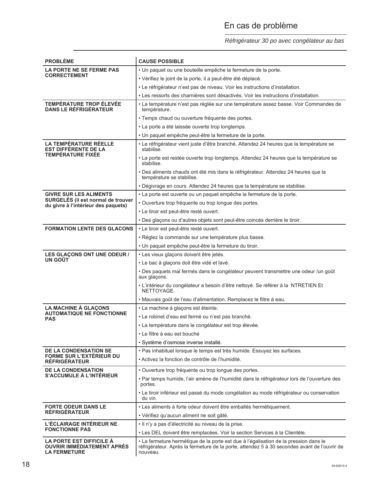# En cas de problème

#### *Réfrigérateur 30 po avec congélateur au bas*

| <b>PROBLÈME</b>                                                                      | <b>CAUSE POSSIBLE</b>                                                                                                                                                                            |  |  |
|--------------------------------------------------------------------------------------|--------------------------------------------------------------------------------------------------------------------------------------------------------------------------------------------------|--|--|
| LA PORTE NE SE FERME PAS                                                             | · Un paquet ou une bouteille empêche la fermeture de la porte.                                                                                                                                   |  |  |
| <b>CORRECTEMENT</b>                                                                  | • Vérifiez le joint de la porte, il a peut-être été déplacé.                                                                                                                                     |  |  |
|                                                                                      | • Le réfrigérateur n'est pas de niveau. Voir les instructions d'installation.                                                                                                                    |  |  |
|                                                                                      | • Les ressorts des charnières sont désactivés. Voir les instructions d'installation.                                                                                                             |  |  |
| <b>TEMPÉRATURE TROP ÉLEVÉE</b><br><b>DANS LE RÉFRIGÉRATEUR</b>                       | • La température n'est pas réglée sur une température assez basse. Voir Commandes de<br>température.                                                                                             |  |  |
|                                                                                      | · Temps chaud ou ouverture fréquente des portes.                                                                                                                                                 |  |  |
|                                                                                      | • La porte a été laissée ouverte trop longtemps.                                                                                                                                                 |  |  |
|                                                                                      | • Un paquet empêche peut-être la fermeture de la porte.                                                                                                                                          |  |  |
| <b>LA TEMPÉRATURE RÉELLE</b><br><b>EST DIFFERENTE DE LA</b>                          | • Le réfrigérateur vient juste d'être branché. Attendez 24 heures que la température se<br>stabilise.                                                                                            |  |  |
| <b>TEMPERATURE FIXEE</b>                                                             | • La porte est restée ouverte trop longtemps. Attendez 24 heures que la température se<br>stabilise.                                                                                             |  |  |
|                                                                                      | · Des aliments chauds ont été mis dans le réfrigérateur. Attendez 24 heures que la<br>température se stabilise.                                                                                  |  |  |
|                                                                                      | • Dégivrage en cours. Attendez 24 heures que la température se stabilise.                                                                                                                        |  |  |
| <b>GIVRE SUR LES ALIMENTS</b>                                                        | • La porte est ouverte ou un paquet empêche la fermeture de la porte.                                                                                                                            |  |  |
| SURGELÉS (il est normal de trouver<br>du givre à l'intérieur des paquets)            | • Ouverture trop fréquente ou trop longue des portes.                                                                                                                                            |  |  |
|                                                                                      | • Le tiroir est peut-être resté ouvert.                                                                                                                                                          |  |  |
|                                                                                      | . Des glaçons ou d'autres objets sont peut-être coincés derrière le tiroir.                                                                                                                      |  |  |
| <b>FORMATION LENTE DES GLACONS</b>                                                   | • Le tiroir est peut-être resté ouvert.                                                                                                                                                          |  |  |
|                                                                                      | • Réglez la commande sur une température plus basse.                                                                                                                                             |  |  |
|                                                                                      | · Un paquet empêche peut-être la fermeture du tiroir.                                                                                                                                            |  |  |
| LES GLAÇONS ONT UNE ODEUR /                                                          | • Les vieux glaçons doivent être jetés.                                                                                                                                                          |  |  |
| UN GOÜT                                                                              | • Le bac à glaçons doit être vidé et lavé.                                                                                                                                                       |  |  |
|                                                                                      | · Des paquets mal fermés dans le congélateur peuvent transmettre une odeur /un goût<br>aux glaçons.                                                                                              |  |  |
|                                                                                      | · L'intérieur du congélateur a besoin d'être nettoyé. Se référer à la NTRETIEN Et<br>NETTOYAGE.                                                                                                  |  |  |
|                                                                                      | · Mauvais goût de l'eau d'alimentation. Remplacez le filtre à eau.                                                                                                                               |  |  |
| <b>LA MACHINE À GLAÇONS</b>                                                          | · La machine à glaçons est éteinte.                                                                                                                                                              |  |  |
| <b>AUTOMATIQUE NE FONCTIONNE</b><br><b>PAS</b>                                       | • Le robinet d'eau est fermé ou n'est pas branché.                                                                                                                                               |  |  |
|                                                                                      | • La température dans le congélateur est trop élevée.                                                                                                                                            |  |  |
|                                                                                      | • Le filtre à eau est bouché                                                                                                                                                                     |  |  |
|                                                                                      | · Système d'osmose inverse installé.                                                                                                                                                             |  |  |
| <b>DE LA CONDENSATION SE</b>                                                         | · Pas inhabituel lorsque le temps est très humide. Essuyez les surfaces.                                                                                                                         |  |  |
| <b>FORME SUR L'EXTÉRIEUR DU</b><br><b>REFRIGERATEUR</b>                              | • Activez la fonction de contrôle de l'humidité.                                                                                                                                                 |  |  |
| <b>DE LA CONDENSATION</b><br><b>S'ACCUMULE À L'INTÉRIEUR</b>                         | · Ouverture trop fréquente ou trop longue des portes.                                                                                                                                            |  |  |
|                                                                                      | • Par temps humide, l'air amène de l'humidité dans le réfrigérateur lors de l'ouverture des<br>portes.                                                                                           |  |  |
|                                                                                      | · Le tiroir inférieur est passé du mode congélation au mode réfrigérateur ou conservation<br>du vin.                                                                                             |  |  |
| <b>FORTE ODEUR DANS LE</b><br><b>RÉFRIGÉRATEUR</b>                                   | · Les aliments à forte odeur doivent être emballés hermétiquement.                                                                                                                               |  |  |
|                                                                                      | · Vérifiez qu'aucun aliment ne soit gâté.                                                                                                                                                        |  |  |
| L'ÉCLAIRAGE INTÉRIEUR NE<br><b>FONCTIONNE PAS</b>                                    | · Il n'y a pas d'électricité au niveau de la prise.                                                                                                                                              |  |  |
|                                                                                      | • Les DEL doivent être remplacées. Voir la section Services à la Clientèle.                                                                                                                      |  |  |
| LA PORTE EST DIFFICILE À<br><b>OUVRIR IMMÉDIATEMENT APRÈS</b><br><b>LA FERMETURE</b> | • La fermeture hermétique de la porte est due à l'égalisation de la pression dans le<br>réfrigérateur. Après la fermeture de la porte, attendez 5 à 30 secondes avant de l'ouvrir de<br>nouveau. |  |  |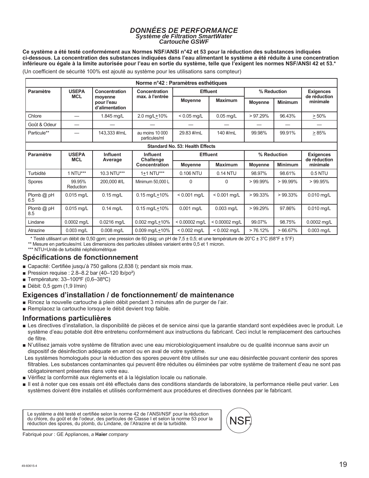#### *DONNÉES DE PERFORMANCE Système de Filtration SmartWater Cartouche GSWF*

**Ce système a été testé conformément aux Normes NSF/ANSI n°42 et 53 pour la réduction des substances indiquées ci-dessous. La concentration des substances indiquées dans l'eau alimentant le système a été réduite à une concentration inférieure ou égale à la limite autorisée pour l'eau en sortie du système, telle que l'exigent les normes NSF/ANSI 42 et 53.\*** (Un coefficient de sécurité 100% est ajouté au système pour les utilisations sans compteur)

| Norme n°42 : Paramètres esthétiques |                                 |                                         |                                  |                                        |                  |                |                |                          |
|-------------------------------------|---------------------------------|-----------------------------------------|----------------------------------|----------------------------------------|------------------|----------------|----------------|--------------------------|
| Paramètre                           | <b>USEPA</b><br>Concentration   |                                         | Concentration                    | <b>Effluent</b>                        |                  | % Reduction    |                | <b>Exigences</b>         |
|                                     | <b>MCL</b>                      | moyenne<br>pour l'eau<br>d'alimentation | max. à l'entrée                  | <b>Moyenne</b>                         | <b>Maximum</b>   | <b>Movenne</b> | <b>Minimum</b> | de réduction<br>minimale |
| Chlore                              | —                               | 1.845 mg/L                              | 2.0 mg/L+10%                     | $< 0.05$ mg/L                          | $0.05$ mg/L      | $>97.29\%$     | 96.43%         | $\geq 50\%$              |
| Goût & Odeur                        |                                 |                                         |                                  |                                        |                  |                |                |                          |
| Particule**                         |                                 | 143,333 #/mL                            | au moins 10 000<br>particules/ml | 29.83 #/mL                             | 140 #/mL         | 99.98%         | 99.91%         | >85%                     |
|                                     |                                 |                                         |                                  | <b>Standard No. 53: Health Effects</b> |                  |                |                |                          |
| Paramètre                           | <b>USEPA</b><br><b>Influent</b> |                                         | <b>Influent</b>                  | <b>Effluent</b>                        |                  | % Reduction    |                | <b>Exigences</b>         |
|                                     | <b>MCL</b>                      | Average                                 | Challenge<br>Concentration       | <b>Movenne</b>                         | <b>Maximum</b>   | <b>Movenne</b> | <b>Minimum</b> | de réduction<br>minimale |
| Turbidité                           | 1 NTU***                        | 10.3 NTU***                             | 1+1 NTU***                       | 0.106 NTU                              | 0.14 NTU         | 98.97%         | 98.61%         | 0.5 NTU                  |
| Spores                              | 99.95%<br>Reduction             | 200,000 #/L                             | Minimum 50,000 L                 | $\Omega$                               | $\Omega$         | $>99.99\%$     | $>99.99\%$     | >99.95%                  |
| Plomb $@$ pH<br>6.5                 | $0.015$ mg/L                    | $0.15$ mg/L                             | $0.15$ mg/L $\pm$ 10%            | $< 0.001$ mg/L                         | $< 0.001$ mg/L   | $>99.33\%$     | $>99.33\%$     | 0.010 mg/L               |
| Plomb $@$ pH<br>8.5                 | 0.015 mg/L                      | $0.14$ mg/L                             | $0.15$ mg/L $\pm$ 10%            | $0.001$ mg/L                           | 0.003 mg/L       | $>99.29\%$     | 97.86%         | $0.010$ mg/L             |
| Lindane                             | 0.0002 mg/L                     | 0.0216 mg/L                             | $0.002$ mg/L $+10%$              | $< 0.00002$ mq/L                       | $< 0.00002$ mg/L | 99.07%         | 98.75%         | 0.0002 mg/L              |
| Atrazine                            | $0.003$ mg/L                    | $0.008$ mg/L                            | 0.009 mg/L+10%                   | $< 0.002$ mg/L                         | $< 0.002$ mg/L   | >76.12%        | $>66.67\%$     | $0.003$ mg/L             |

\* Testé utilisant un débit de 0,50 gpm; une pression de 60 psig; un pH de 7,5 ± 0,5; et une température de 20°C ± 3°C (68°F ± 5°F)

\*\* Mesure en particules/ml. Les dimensions des particules utilisées variaient entre 0,5 et 1 micron.

\*\*\* NTU=Unité de turbidité néphélométrique

#### **Spécifications de fonctionnement**

- Gapacité: Certifiée jusqu'à 750 gallons (2,838 l); pendant six mois max.
- Pression requise :  $2.8-8.2$  bar (40-120 lb/po<sup>2</sup>)
- Température:  $33-100^{\circ}F(0,6-38^{\circ}C)$
- $\blacksquare$  Débit: 0,5 gpm (1,9 l/min)

#### **Exigences d'installation / de fonctionnement/ de maintenance**

- Rincez la nouvelle cartouche à plein débit pendant 3 minutes afin de purger de l'air.
- Remplacez la cartouche lorsque le débit devient trop faible.

#### **Informations particulières**

- E Les directives d'installation, la disponibilité de pièces et de service ainsi que la garantie standard sont expédiées avec le produit. Le système d'eau potable doit être entretenu conformément aux instructions du fabricant. Ceci inclut le remplacement des cartouches de filtre.
- N'utilisez jamais votre système de filtration avec une eau microbiologiquement insalubre ou de qualité inconnue sans avoir un dispositif de désinfection adéquate en amont ou en aval de votre système.
- Les systèmes homologués pour la réduction des spores peuvent être utilisés sur une eau désinfectée pouvant contenir des spores filtrables. Les substances contaminantes qui peuvent être réduites ou éliminées par votre système de traitement d'eau ne sont pas obligatoirement présentes dans votre eau.
- Vérifiez la conformité aux règlements et à la législation locale ou nationale.
- II lest à noter que ces essais ont été effectués dans des conditions standards de laboratoire, la performance réelle peut varier. Les systèmes doivent être installés et utilisés conformément aux procédures et directives données par le fabricant.

Le système a été testé et certifiée selon la norme 42 de l'ANSI/NSF pour la réduction du chlore, du goût et de l'odeur, des particules de Classe I et selon la norme 53 pour la réduction des spores, du plomb, du Lindane, de l'Atrazine et de la turbidité.



Fabriqué pour : GE Appliances, *a* **Haier** *company*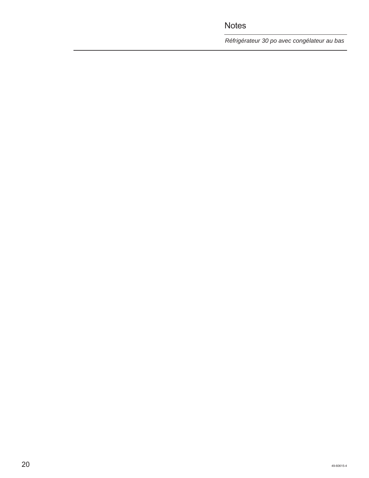*Réfrigérateur 30 po avec congélateur au bas*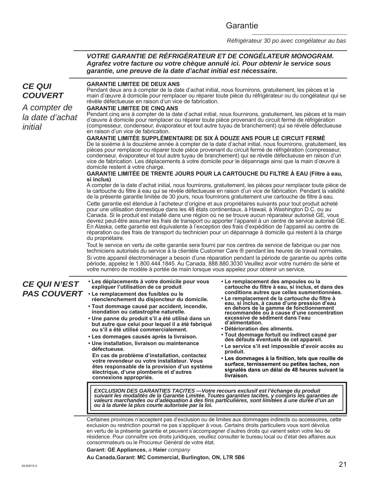Garantie

*Réfrigérateur 30 po avec congélateur au bas*

#### *VOTRE GARANTIE DE RÉFRIGÉRATEUR ET DE CONGÉLATEUR MONOGRAM. Agrafez votre facture ou votre chèque annulé ici. Pour obtenir le service sous garantie, une preuve de la date d'achat initial est nécessaire.*

#### *CE QUI COUVERT A compter de la date d'achat initial* **GARANTIE LIMITEE DE DEUX ANS** Pendant deux ans à compter de la date d'achat initial, nous fournirons, gratuitement, les pièces et la main d'œuvre à domicile pour remplacer ou réparer toute pièce du réfrigérateur ou du congélateur qui se révèle défectueuse en raison d'un vice de fabrication. **GARANTIE LIMITEE DE CINQ ANS** Pendant cinq ans à compter de la date d'achat initial, nous fournirons, gratuitement, les pièces et la main d'œuvre à domicile pour remplacer ou réparer toute pièce provenant du circuit fermé de réfrigération (compresseur, condenseur, évaporateur et tout autre tuyau de branchement) qui se révèle défectueuse en raison d'un vice de fabrication. **GARANTIE LIMITÉE SUPPLÉMENTAIRE DE SIX À DOUZE ANS POUR LE CIRCUIT FERMÉ** De la sixième à la douzième année à compter de la date d'achat initial, nous fournirons, gratuitement, les pièces pour remplacer ou réparer toute pièce provenant du circuit fermé de réfrigération (compresseur, condenseur, évaporateur et tout autre tuyau de branchement) qui se révèle défectueuse en raison d'un vice de fabrication. Les déplacements à votre domicile pour le dépannage ainsi que la main d'œuvre à domicile restent à votre charge. **GARANTIE LIMITÉE DE TRENTE JOURS POUR LA CARTOUCHE DU FILTRE À EAU (Filtre à eau, si inclus)** A compter de la date d'achat initial, nous fournirons, gratuitement, les pièces pour remplacer toute pièce de la cartouche du filtre à eau qui se révèle défectueuse en raison d'un vice de fabrication. Pendant la validité de la présente garantie limitée de 30 jours, nous fournirons gratuitement une cartouche de filtre à eau. Cette garantie est étendue à l'acheteur d'origine et aux propriétaires suivants pour tout produit acheté pour une utilisation domestique dans les 48 états continentaux, à Hawaii, à Washington D.C. ou au Canada. Si le produit est installé dans une région où ne se trouve aucun réparateur autorisé GE, vous devrez peut-être assumer les frais de transport ou apporter l'appareil à un centre de service autorisé GE. En Alaska, cette garantie est équivalente à l'exception des frais d'expédition de l'appareil au centre de réparation ou des frais de transport du technicien pour un dépannage à domicile qui restent à la charge du propriétaire. Tout le service en vertu de cette garantie sera fourni par nos centres de service de fabrique ou par nos techniciens autorisés du service à la clientèle Customer Care ® pendant les heures de travail normales. Si votre appareil électroménager a besoin d'une réparation pendant la période de garantie ou après cette période, appelez le 1.800.444.1845. Au Canada, 888.880.3030 Veuillez avoir votre numéro de série et votre numéro de modèle à portée de main lorsque vous appelez pour obtenir un service. *CE QUI N'EST PAS COUVERT* **• Le remplacement des fusibles ou le**  Certaines provinces n'acceptent pas d'exclusion ou de limites aux dommages indirects ou accessoires, cette exclusion ou restriction pourrait ne pas s'appliquer à vous. Certains droits particuliers vous sont dévolus en vertu de la présente garantie et peuvent s'accompagner d'autres droits qui varient selon votre lieu de résidence. Pour connaître vos droits juridiques, veuillez consulter le bureau local ou d'état des affaires aux consommateurs ou le Procureur Général de votre état. **Garant: GE Appliances,** *a* **Haier** *company* **• Les déplacements à votre domicile pour vous expliquer l'utilisation de ce produit réenclenchement du disjoncteur du domicile. • Tout dommage causé par accident, incendie, inondation ou catastrophe naturelle. • Une panne du produit s'il a été utilisé dans un but autre que celui pour lequel il a été fabriqué ou s'il a été utilisé commercialement. • Les dommages causés après la livraison. • Une installation, livraison ou maintenance défectueuse. En cas de problème d'installation, contactez votre revendeur ou votre installateur. Vous êtes responsable de la provision d'un système électrique, d'une plomberie et d'autres connexions appropriés. • Le remplacement des ampoules ou la cartouche du filtre à eau, si inclus, et dans des conditions autres que celles susmentionnées. • Le remplacement de la cartouche du filtre à eau, si inclus, à cause d'une pression d'eau en dehors de la gamme de fonctionnement recommandée ou à cause d'une concentration excessive de sédiment dans l'eau d'alimentation. • Détérioration des aliments. • Tout dommage fortuit ou indirect causé par des défauts éventuels de cet appareil. • Le service s'il est impossible d'avoir accès au produit. • Les dommages à la finition, tels que rouille de surface, ternissement ou petites taches, non signalés dans un délai de 48 heures suivant la livraison.** *EXCLUSION DES GARANTIES TACITES —Votre recours exclusif est l'échange du produit suivant les modalités de la Garantie Limitée. Toutes garanties tacites, y compris les garanties de valeurs marchandes ou d'adéquation à des fins particulières, sont limitées à une durée d'un an ou à la durée la plus courte autorisée par la loi.*

**Au Canada,Garant: MC Commercial, Burlington, ON, L7R 5B6**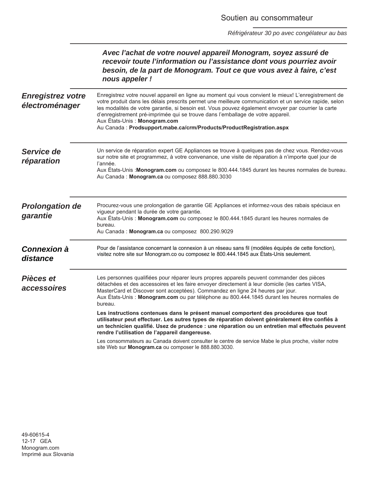*Réfrigérateur 30 po avec congélateur au bas*

|                                            | Avec l'achat de votre nouvel appareil Monogram, soyez assuré de<br>recevoir toute l'information ou l'assistance dont vous pourriez avoir<br>besoin, de la part de Monogram. Tout ce que vous avez à faire, c'est<br>nous appeler !                                                                                                                                                                                                                                                                                |
|--------------------------------------------|-------------------------------------------------------------------------------------------------------------------------------------------------------------------------------------------------------------------------------------------------------------------------------------------------------------------------------------------------------------------------------------------------------------------------------------------------------------------------------------------------------------------|
| <b>Enregistrez votre</b><br>électroménager | Enregistrez votre nouvel appareil en ligne au moment qui vous convient le mieux! L'enregistrement de<br>votre produit dans les délais prescrits permet une meilleure communication et un service rapide, selon<br>les modalités de votre garantie, si besoin est. Vous pouvez également envoyer par courrier la carte<br>d'enregistrement pré-imprimée qui se trouve dans l'emballage de votre appareil.<br>Aux États-Unis : Monogram.com<br>Au Canada: Prodsupport.mabe.ca/crm/Products/ProductRegistration.aspx |
| Service de<br>réparation                   | Un service de réparation expert GE Appliances se trouve à quelques pas de chez vous. Rendez-vous<br>sur notre site et programmez, à votre convenance, une visite de réparation à n'importe quel jour de<br>l'année.<br>Aux États-Unis : Monogram.com ou composez le 800.444.1845 durant les heures normales de bureau.<br>Au Canada: Monogram.ca ou composez 888.880.3030                                                                                                                                         |
| <b>Prolongation de</b><br>garantie         | Procurez-vous une prolongation de garantie GE Appliances et informez-vous des rabais spéciaux en<br>vigueur pendant la durée de votre garantie.<br>Aux États-Unis : Monogram.com ou composez le 800.444.1845 durant les heures normales de<br>bureau.<br>Au Canada: Monogram.ca ou composez 800.290.9029                                                                                                                                                                                                          |
| <b>Connexion à</b><br>distance             | Pour de l'assistance concernant la connexion à un réseau sans fil (modèles équipés de cette fonction),<br>visitez notre site sur Monogram.co ou composez le 800.444.1845 aux États-Unis seulement.                                                                                                                                                                                                                                                                                                                |
| Pièces et<br><i>accessoires</i>            | Les personnes qualifiées pour réparer leurs propres appareils peuvent commander des pièces<br>détachées et des accessoires et les faire envoyer directement à leur domicile (les cartes VISA,<br>MasterCard et Discover sont acceptées). Commandez en ligne 24 heures par jour.<br>Aux États-Unis : Monogram.com ou par téléphone au 800.444.1845 durant les heures normales de<br>bureau.<br>Les instructions contenues dans le présent manuel comportent des procédures que tout                                |
|                                            | utilisateur peut effectuer. Les autres types de réparation doivent généralement être confiés à<br>un technicien qualifié. Usez de prudence : une réparation ou un entretien mal effectués peuvent<br>rendre l'utilisation de l'appareil dangereuse.<br>Les consommateurs au Canada doivent consulter le centre de service Mabe le plus proche, visiter notre                                                                                                                                                      |
|                                            | site Web sur Monogram.ca ou composer le 888.880.3030.                                                                                                                                                                                                                                                                                                                                                                                                                                                             |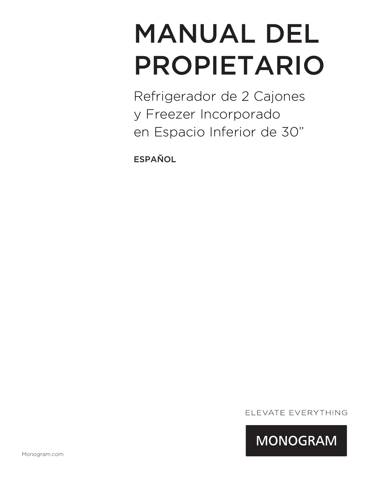# MANUAL DEL PROPIETARIO

Refrigerador de 2 Cajones y Freezer Incorporado en Espacio Inferior de 30"

ESPAÑOL

ELEVATE EVERYTHING

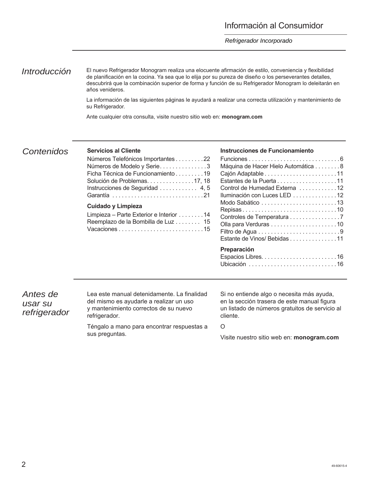#### *Refrigerador Incorporado*

*Introducción* El nuevo Refrigerador Monogram realiza una elocuente afirmación de estilo, conveniencia y flexibilidad de planificación en la cocina. Ya sea que lo elija por su pureza de diseño o los perseverantes detalles, descubrirá que la combinación superior de forma y función de su Refrigerador Monogram lo deleitarán en años venideros.

> La información de las siguientes páginas le ayudará a realizar una correcta utilización y mantenimiento de su Refrigerador.

Ante cualquier otra consulta, visite nuestro sitio web en: **monogram.com**

#### *Contenidos* **Servicios al Cliente**

| Números Telefónicos Importantes 22<br>Números de Modelo y Serie3<br>Ficha Técnica de Funcionamiento 19<br>Solución de Problemas17, 18<br>Instrucciones de Seguridad  4,5 |
|--------------------------------------------------------------------------------------------------------------------------------------------------------------------------|
| Cuidado y Limpieza<br>Limpieza – Parte Exterior e Interior 14<br>Reemplazo de la Bombilla de Luz 15                                                                      |

#### **Instrucciones de Funcionamiento**

| Máquina de Hacer Hielo Automática 8 |
|-------------------------------------|
|                                     |
| Estantes de la Puerta 11            |
| Control de Humedad Externa 12       |
| Iluminación con Luces LED 12        |
|                                     |
| Repisas10                           |
| Controles de Temperatura 7          |
|                                     |
|                                     |
| Estante de Vinos/ Bebidas 11        |
| Preparación                         |
|                                     |
| Ubicación 16                        |

*Antes de usar su refrigerador* Lea este manual detenidamente. La finalidad del mismo es ayudarle a realizar un uso y mantenimiento correctos de su nuevo refrigerador.

Téngalo a mano para encontrar respuestas a sus preguntas.

Si no entiende algo o necesita más ayuda, en la sección trasera de este manual figura un listado de números gratuitos de servicio al cliente.

#### O

Visite nuestro sitio web en: **monogram.com**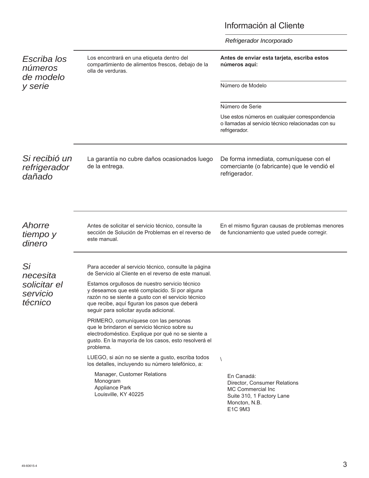### Información al Cliente

|                                                       |                                                                                                                                                                                                                                                                                                                                                                                                                                                                                                                                                                                                                                                                                                                                                                                     | Refrigerador Incorporado                                                                                                               |
|-------------------------------------------------------|-------------------------------------------------------------------------------------------------------------------------------------------------------------------------------------------------------------------------------------------------------------------------------------------------------------------------------------------------------------------------------------------------------------------------------------------------------------------------------------------------------------------------------------------------------------------------------------------------------------------------------------------------------------------------------------------------------------------------------------------------------------------------------------|----------------------------------------------------------------------------------------------------------------------------------------|
| Escriba los<br>números<br>de modelo                   | Los encontrará en una etiqueta dentro del<br>compartimiento de alimentos frescos, debajo de la<br>olla de verduras.                                                                                                                                                                                                                                                                                                                                                                                                                                                                                                                                                                                                                                                                 | Antes de enviar esta tarjeta, escriba estos<br>números aquí:                                                                           |
| y serie                                               |                                                                                                                                                                                                                                                                                                                                                                                                                                                                                                                                                                                                                                                                                                                                                                                     | Número de Modelo                                                                                                                       |
|                                                       |                                                                                                                                                                                                                                                                                                                                                                                                                                                                                                                                                                                                                                                                                                                                                                                     | Número de Serie                                                                                                                        |
|                                                       |                                                                                                                                                                                                                                                                                                                                                                                                                                                                                                                                                                                                                                                                                                                                                                                     | Use estos números en cualquier correspondencia<br>o llamadas al servicio técnico relacionadas con su<br>refrigerador.                  |
| Si recibió un<br>refrigerador<br>dañado               | La garantía no cubre daños ocasionados luego<br>de la entrega.                                                                                                                                                                                                                                                                                                                                                                                                                                                                                                                                                                                                                                                                                                                      | De forma inmediata, comuníquese con el<br>comerciante (o fabricante) que le vendió el<br>refrigerador.                                 |
| Ahorre<br>tiempo y<br>dinero                          | Antes de solicitar el servicio técnico, consulte la<br>sección de Solución de Problemas en el reverso de<br>este manual.                                                                                                                                                                                                                                                                                                                                                                                                                                                                                                                                                                                                                                                            | En el mismo figuran causas de problemas menores<br>de funcionamiento que usted puede corregir.                                         |
| Si<br>necesita<br>solicitar el<br>servicio<br>técnico | Para acceder al servicio técnico, consulte la página<br>de Servicio al Cliente en el reverso de este manual.<br>Estamos orgullosos de nuestro servicio técnico<br>y deseamos que esté complacido. Si por alguna<br>razón no se siente a gusto con el servicio técnico<br>que recibe, aquí figuran los pasos que deberá<br>seguir para solicitar ayuda adicional.<br>PRIMERO, comuníquese con las personas<br>que le brindaron el servicio técnico sobre su<br>electrodoméstico. Explique por qué no se siente a<br>gusto. En la mayoría de los casos, esto resolverá el<br>problema.<br>LUEGO, si aún no se siente a gusto, escriba todos<br>los detalles, incluyendo su número telefónico, a:<br>Manager, Customer Relations<br>Monogram<br>Appliance Park<br>Louisville, KY 40225 | $\sqrt{2}$<br>En Canadá:<br>Director, Consumer Relations<br>MC Commercial Inc<br>Suite 310, 1 Factory Lane<br>Moncton, N.B.<br>E1C 9M3 |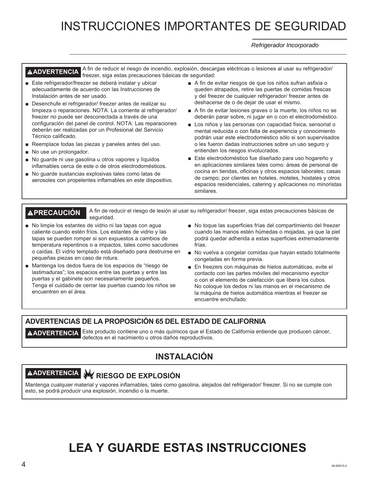# INSTRUCCIONES IMPORTANTES DE SEGURIDAD

*Refrigerador Incorporado* 

A ADVERTENCIA <sup>A fin</sup> de reducir el riesgo de incendio, explosión, descargas eléctricas o lesiones al usar su refrigerador/ freezer, siga estas precauciones básicas de seguridad:

- Este refrigerador/freezer se deberá instalar y ubicar adecuadamente de acuerdo con las Instrucciones de Instalación antes de ser usado.
- Desenchufe el refrigerador/ freezer antes de realizar su limpieza o reparaciones. NOTA: La corriente al refrigerador/ freezer no puede ser desconectada a través de una configuración del panel de control. NOTA: Las reparaciones deberán ser realizadas por un Profesional del Servicio Técnico calificado.
- Reemplace todas las piezas y paneles antes del uso.
- No use un prolongador.
- No guarde ni use gasolina u otros vapores y líquidos inflamables cerca de este o de otros electrodomésticos.
- No quarde sustancias explosivas tales como latas de aerosoles con propelentes inflamables en este dispositivo.
- A fin de evitar riesgos de que los niños sufran asfixia o queden atrapados, retire las puertas de comidas frescas y del freezer de cualquier refrigerador/ freezer antes de deshacerse de o de dejar de usar el mismo.
- A fin de evitar lesiones graves o la muerte, los niños no se deberán parar sobre, ni jugar en o con el electrodoméstico.
- Los niños y las personas con capacidad física. sensorial o mental reducida o con falta de experiencia y conocimiento podrán usar este electrodoméstico sólo si son supervisados o les fueron dadas instrucciones sobre un uso seguro y entienden los riesgos involucrados.
- Este electrodoméstico fue diseñado para uso hogareño y en aplicaciones similares tales como: áreas de personal de cocina en tiendas, oficinas y otros espacios laborales; casas de campo; por clientes en hoteles, moteles, hostales y otros espacios residenciales, catering y aplicaciones no minoristas similares.

**PRECAUCIÓN** A fin de reducir el riesgo de lesión al usar su refrigerador/ freezer, siga estas precauciones básicas de seguridad.

- No limpie los estantes de vidrio ni las tapas con agua caliente cuando estén fríos. Los estantes de vidrio y las tapas se pueden romper si son expuestos a cambios de temperatura repentinos o a impactos, tales como sacudones o caídas. El vidrio templado está diseñado para destruirse en pequeñas piezas en caso de rotura.
- Mantenga los dedos fuera de los espacios de "riesgo de lastimaduras"; los espacios entre las puertas y entre las puertas y el gabinete son necesariamente pequeños. Tenga el cuidado de cerrar las puertas cuando los niños se encuentren en el área.
- No toque las superficies frías del compartimiento del freezer cuando las manos estén húmedas o mojadas, ya que la piel podrá quedar adherida a estas superficies extremadamente frías.
- No vuelva a congelar comidas que hayan estado totalmente congeladas en forma previa.
- En freezers con máquinas de hielos automáticas, evite el contacto con las partes móviles del mecanismo eyector o con el elemento de calefacción que libera los cubos. No coloque los dedos ni las manos en el mecanismo de la máquina de hielos automática mientras el freezer se encuentre enchufado.

#### **ADVERTENCIAS DE LA PROPOSICIÓN 65 DEL ESTADO DE CALIFORNIA**

**ADVERTENCIA** Este producto contiene uno o más químicos que el Estado de California entiende que producen cáncer, defectos en el nacimiento u otros daños reproductivos.

### **INSTALACIÓN**

### **ADVERTENCIA RIESGO DE EXPLOSIÓN**

Mantenga cualquier material y vapores inflamables, tales como gasolina, alejados del refrigerador/ freezer. Si no se cumple con esto, se podrá producir una explosión, incendio o la muerte.

# **LEA Y GUARDE ESTAS INSTRUCCIONES**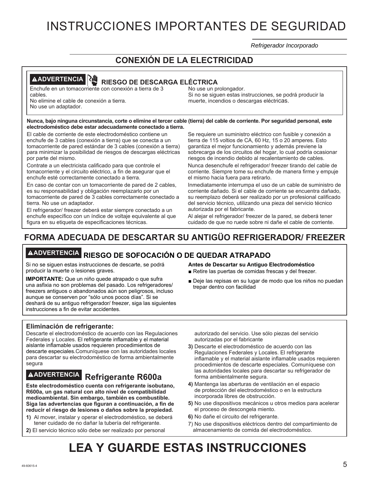# INSTRUCCIONES IMPORTANTES DE SEGURIDAD

*Refrigerador Incorporado* 

#### **CONEXIÓN DE LA ELECTRICIDAD**

#### **ADVERTENCIA RIESGO DE DESCARGA ELÉCTRICA**

Enchufe en un tomacorriente con conexión a tierra de 3 cables.

No elimine el cable de conexión a tierra. No use un adaptador.

No use un prolongador. Si no se siguen estas instrucciones, se podrá producir la muerte, incendios o descargas eléctricas.

#### **Nunca, bajo ninguna circunstancia, corte o elimine el tercer cable (tierra) del cable de corriente. Por seguridad personal, este electrodoméstico debe estar adecuadamente conectado a tierra.**

El cable de corriente de este electrodoméstico contiene un enchufe de 3 cables (conexión a tierra) que se conecta a un tomacorriente de pared estándar de 3 cables (conexión a tierra) para minimizar la posibilidad de riesgos de descargas eléctricas por parte del mismo.

Contrate a un electricista calificado para que controle el tomacorriente y el circuito eléctrico, a fin de asegurar que el enchufe esté correctamente conectado a tierra.

En caso de contar con un tomacorriente de pared de 2 cables, es su responsabilidad y obligación reemplazarlo por un tomacorriente de pared de 3 cables correctamente conectado a tierra. No use un adaptador.

El refrigerador/ freezer deberá estar siempre conectado a un enchufe específico con un índice de voltaje equivalente al que figura en su etiqueta de especificaciones técnicas.

Se requiere un suministro eléctrico con fusible y conexión a tierra de 115 voltios de CA, 60 Hz, 15 o 20 amperes. Esto garantiza el mejor funcionamiento y además previene la sobrecarga de los circuitos del hogar, lo cual podría ocasionar riesgos de incendio debido al recalentamiento de cables.

Nunca desenchufe el refrigerador/ freezer tirando del cable de corriente. Siempre tome su enchufe de manera firme y empuje el mismo hacia fuera para retirarlo.

Inmediatamente interrumpa el uso de un cable de suministro de corriente dañado. Si el cable de corriente se encuentra dañado, su reemplazo deberá ser realizado por un profesional calificado del servicio técnico, utilizando una pieza del servicio técnico autorizada por el fabricante.

Al alejar el refrigerador/ freezer de la pared, se deberá tener cuidado de que no ruede sobre ni dañe el cable de corriente.

### **FORMA ADECUADA DE DESCARTAR SU ANTIGÜO REFRIGERADOR/ FREEZER**

# **ADVERTENCIA RIESGO DE SOFOCACIÓN O DE QUEDAR ATRAPADO**

Si no se siguen estas instrucciones de descarte, se podrá producir la muerte o lesiones graves.

**IMPORTANTE:** Que un niño quede atrapado o que sufra una asfixia no son problemas del pasado. Los refrigeradores/ freezers antiguos o abandonados aún son peligrosos, incluso aunque se conserven por "sólo unos pocos días". Si se deshará de su antiguo refrigerador/ freezer, siga las siguientes instrucciones a fin de evitar accidentes.

#### **Eliminación de refrigerante:**

Descarte el electrodoméstico de acuerdo con las Regulaciones Federales y Locales. El refrigerante inflamable y el material aislante inflamable usados requieren procedimientos de descarte especiales.Comuníquese con las autoridades locales para descartar su electrodoméstico de forma ambientalmente segura

# **ADVERTENCIA Refrigerante R600a**

**Este electrodoméstico cuenta con refrigerante isobutano, R600a, un gas natural con alto nivel de compatibilidad medioambiental. Sin embargo, también es combustible. Siga las advertencias que figuran a continuación, a fin de reducir el riesgo de lesiones o daños sobre la propiedad.**

- **1)** Al mover, instalar y operar el electrodoméstico, se deberá tener cuidado de no dañar la tubería del refrigerante.
- **2)** El servicio técnico sólo debe ser realizado por personal

**Antes de Descartar su Antiguo Electrodoméstico** 

- Retire las puertas de comidas frescas y del freezer.
- Deje las repisas en su lugar de modo que los niños no puedan trepar dentro con facilidad

autorizado del servicio. Use sólo piezas del servicio autorizadas por el fabricante

- **3)** Descarte el electrodoméstico de acuerdo con las Regulaciones Federales y Locales. El refrigerante inflamable y el material aislante inflamable usados requieren procedimientos de descarte especiales. Comuníquese con las autoridades locales para descartar su refrigerador de forma ambientalmente segura.
- **4)** Mantenga las aberturas de ventilación en el espacio de protección del electrodoméstico o en la estructura incorporada libres de obstrucción.
- **5)** No use dispositivos mecánicos u otros medios para acelerar el proceso de descongela miento.
- **6)** No dañe el circuito del refrigerante.
- 7)No use dispositivos eléctricos dentro del compartimiento de almacenamiento de comida del electrodoméstico.

# **LEA Y GUARDE ESTAS INSTRUCCIONES**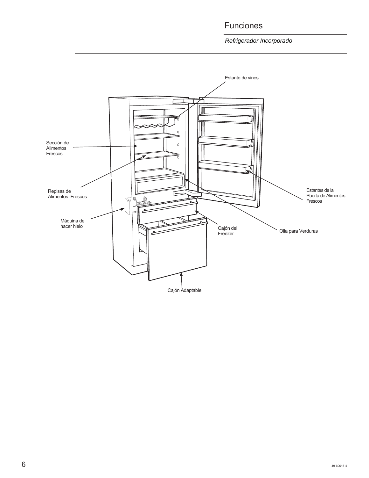### Funciones

*Refrigerador Incorporado* 

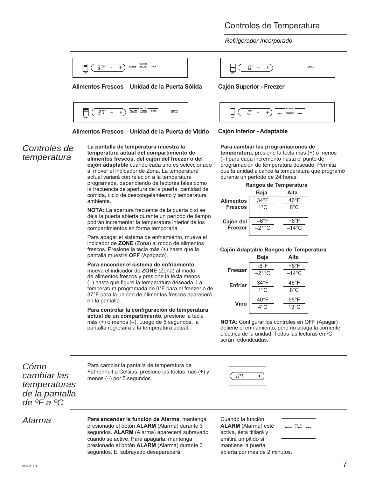#### Controles de Temperatura

*Refrigerador Incorporado* 

| HOLD 3 SEC -<br>LOCK<br><b>FILTER</b><br><b>ALARM</b><br>-<br>ZONE |
|--------------------------------------------------------------------|
|--------------------------------------------------------------------|

#### **Alimentos Frescos – Unidad de la Puerta Sólida**



#### **Alimentos Frescos – Unidad de la Puerta de Vidrio**

#### *Controles de temperatura*

**La pantalla de temperatura muestra la temperatura actual del compartimiento de alimentos frescos, del cajón del freezer o del cajón adaptable** cuando cada uno es seleccionado al mover el indicador de Zona. La temperatura actual variará con relación a la temperatura programada, dependiendo de factores tales como la frecuencia de apertura de la puerta, cantidad de comida, ciclo de descongelamiento y temperatura ambiente.

**NOTA:** La apertura frecuente de la puerta o si se deja la puerta abierta durante un período de tiempo podrán incrementar la temperatura interior de los compartimientos en forma temporaria.

Para apagar el sistema de enfriamiento, mueva el indicador de **ZONE** (Zona) al modo de alimentos frescos. Presione la tecla más (+) hasta que la pantalla muestre **OFF** (Apagado).

#### **Para encender el sistema de enfriamiento,**

mueva el indicador de **ZONE** (Zona) al modo de alimentos frescos y presione la tecla menos (–) hasta que figure la temperatura deseada. La temperatura programada de 0°F para el freezer o de 37°F para la unidad de alimentos frescos aparecerá en la pantalla.

**Para controlar la configuración de temperatura actual de un compartimiento,** presione la tecla más (+) o menos (–). Luego de 5 segundos, la pantalla regresará a la temperatura actual.

**ICE**  $\varPi^*$  $+$ )  $\sim$ 

#### **Cajón Superior - Freezer**



#### **Cajón Inferior - Adaptable**

#### **Para cambiar las programaciones de**

**temperatura,** presione la tecla más (+) o menos (–) para cada incremento hasta el punto de programación de temperatura deseado. Permita que la unidad alcance la temperatura que programó durante un período de 24 horas.

|                  |               | Rangos de Temperatura |
|------------------|---------------|-----------------------|
|                  | <b>Baja</b>   | Alta                  |
| <b>Alimentos</b> | $34^{\circ}F$ | $46^{\circ}$ F        |
| <b>Frescos</b>   | $1^{\circ}$ C | 8°C                   |
| Cajón del        | –6°F          | +6°F                  |
| Freezer          |               | –14°C                 |

#### **Cajón Adaptable Rangos de Temperatura Baja Alta**

|                | .               |                 |
|----------------|-----------------|-----------------|
|                | $-6^{\circ}$ F  | +6°F            |
| <b>Freezer</b> | $-21^{\circ}$ C | $-14^{\circ}$ C |
| <b>Enfriar</b> | $34^{\circ}$ F  | $46^{\circ}$ F  |
|                | $1^{\circ}$ C   | $8^{\circ}$ C   |
|                | $40^{\circ}$ F  | $55^{\circ}$ F  |
| <b>Vino</b>    | $4^{\circ}$ C   | $13^{\circ}$ C  |
|                |                 |                 |

**NOTA:** Configurar los controles en OFF (Apagar) detiene el enfriamiento, pero no apaga la corriente eléctrica de la unidad. Todas las lecturas en ºC serán redondeadas.

*Cómo cambiar las temperaturas de la pantalla de ºF a ºC*

Para cambiar la pantalla de temperatura de Fahrenheit a Celsius, presione las teclas más (+) y menos (–) por 5 segundos.



*Alarma* **Para encender la función de Alarma,** mantenga presionado el botón **ALARM** (Alarma) durante 3 segundos. **ALARM** (Alarma) aparecerá subrayado cuando se active. Para apagarla, mantenga presionado el botón **ALARM** (Alarma) durante 3 segundos. El subrayado desaparecerá

Cuando la función **ALARM** (Alarma) esté activa, ésta titilará y emitirá un pitido si mantiene la puerta abierta por más de 2 minutos.

HOLD 3 SEC<br>ALARM FILTER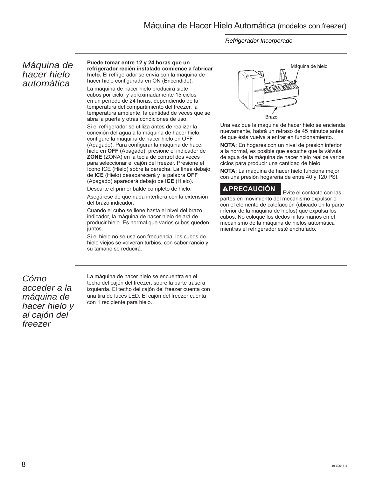*Refrigerador Incorporado* 

#### *Máquina de hacer hielo automática*

**Puede tomar entre 12 y 24 horas que un refrigerador recién instalado comience a fabricar hielo.** El refrigerador se envía con la máquina de hacer hielo configurada en ON (Encendido).

La máquina de hacer hielo producirá siete cubos por ciclo, y aproximadamente 15 ciclos en un período de 24 horas, dependiendo de la temperatura del compartimiento del freezer, la temperatura ambiente, la cantidad de veces que se abra la puerta y otras condiciones de uso.

Si el refrigerador se utiliza antes de realizar la conexión del agua a la máquina de hacer hielo, configure la máquina de hacer hielo en OFF (Apagado). Para configurar la máquina de hacer hielo en **OFF** (Apagado), presione el indicador de **ZONE** (ZONA) en la tecla de control dos veces para seleccionar el cajón del freezer. Presione el ícono ICE (Hielo) sobre la derecha. La línea debajo de **ICE** (Hielo) desaparecerá y la palabra **OFF** (Apagado) aparecerá debajo de **ICE** (Hielo).

Descarte el primer balde completo de hielo.

Asegúrese de que nada interfiera con la extensión del brazo indicador.

Cuando el cubo se llene hasta el nivel del brazo indicador, la máquina de hacer hielo dejará de producir hielo. Es normal que varios cubos queden juntos.

Si el hielo no se usa con frecuencia, los cubos de hielo viejos se volverán turbios, con sabor rancio y su tamaño se reducirá.



Una vez que la máquina de hacer hielo se encienda nuevamente, habrá un retraso de 45 minutos antes de que ésta vuelva a entrar en funcionamiento.

**NOTA:** En hogares con un nivel de presión inferior a la normal, es posible que escuche que la válvula de agua de la máquina de hacer hielo realice varios ciclos para producir una cantidad de hielo.

**NOTA:** La máquina de hacer hielo funciona mejor con una presión hogareña de entre 40 y 120 PSI.

#### **PRECAUCIÓN** Evite el contacto con las

partes en movimiento del mecanismo expulsor o con el elemento de calefacción (ubicado en la parte inferior de la máquina de hielos) que expulsa los cubos. No coloque los dedos ni las manos en el mecanismo de la máquina de hielos automática mientras el refrigerador esté enchufado.

*Cómo acceder a la máquina de hacer hielo y al cajón del freezer*

La máquina de hacer hielo se encuentra en el techo del cajón del freezer, sobre la parte trasera izquierda. El techo del cajón del freezer cuenta con una tira de luces LED. El cajón del freezer cuenta con 1 recipiente para hielo.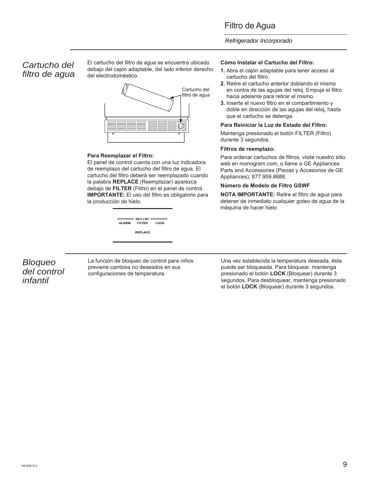#### *Refrigerador Incorporado*

#### *Cartucho del filtro de agua*

El cartucho del filtro de agua se encuentra ubicado debajo del cajón adaptable, del lado inferior derecho del electrodoméstico.



#### **Para Reemplazar el Filtro:**

El panel de control cuenta con una luz indicadora de reemplazo del cartucho del filtro de agua. El cartucho del filtro deberá ser reemplazado cuando la palabra **REPLACE** (Reemplazar) aparezca debajo de **FILTER** (Filtro) en el panel de control. **IMPORTANTE:** El uso del filtro es obligatorio para la producción de hielo.

| ALARM | $HOLD 3 SEC$ $\longrightarrow$<br><b>FILTER</b> | LOCK |
|-------|-------------------------------------------------|------|
|       | REPLACE                                         |      |

#### **Cómo Instalar el Cartucho del Filtro:**

- **1.** Abra el cajón adaptable para tener acceso al cartucho del filtro.
- **2.** Retire el cartucho anterior doblando el mismo en contra de las agujas del reloj. Empuje el filtro hacia adelante para retirar el mismo.
- **3.** Inserte el nuevo filtro en el compartimiento y doble en dirección de las agujas del reloj, hasta que el cartucho se detenga.

#### **Para Reiniciar la Luz de Estado del Filtro:**

Mantenga presionado el botón FILTER (Filtro) durante 3 segundos.

#### **Filtros de reemplazo:**

Para ordenar cartuchos de filtros, visite nuestro sitio web en monogram.com, o llame a GE Appliances Parts and Accessories (Piezas y Accesorios de GE Appliances), 877.959.8688.

#### **Número de Modelo de Filtro GSWF**

**NOTA IMPORTANTE:** Reitre el filtro de agua para detener de inmediato cualquier goteo de agua de la máquina de hacer hielo

#### *Bloqueo del control infantil*

La función de bloqueo de control para niños previene cambios no deseados en sus configuraciones de temperatura.

Una vez establecida la temperatura deseada, ésta puede ser bloqueada. Para bloquear, mantenga presionado el botón **LOCK** (Bloquear) durante 3 segundos. Para desbloquear, mantenga presionado el botón **LOCK** (Bloquear) durante 3 segundos.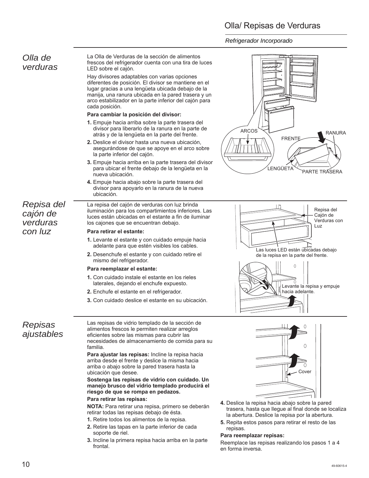#### Olla/ Repisas de Verduras

*Refrigerador Incorporado* 

#### *Olla de verduras*

La Olla de Verduras de la sección de alimentos frescos del refrigerador cuenta con una tira de luces LED sobre el cajón.

Hay divisores adaptables con varias opciones diferentes de posición. El divisor se mantiene en el lugar gracias a una lengüeta ubicada debajo de la manija, una ranura ubicada en la pared trasera y un arco estabilizador en la parte inferior del cajón para cada posición.

#### **Para cambiar la posición del divisor:**

- **1.** Empuje hacia arriba sobre la parte trasera del divisor para liberarlo de la ranura en la parte de atrás y de la lengüeta en la parte del frente.
- **2.** Deslice el divisor hasta una nueva ubicación, asegurándose de que se apoye en el arco sobre la parte inferior del cajón.
- **3.** Empuje hacia arriba en la parte trasera del divisor para ubicar el frente debajo de la lengüeta en la nueva ubicación.
- **4.** Empuje hacia abajo sobre la parte trasera del divisor para apoyarlo en la ranura de la nueva ubicación.

La repisa del cajón de verduras con luz brinda iluminación para los compartimientos inferiores. Las luces están ubicadas en el estante a fin de iluminar

*Repisa del cajón de verduras con luz*

#### los cajones que se encuentran debajo. **Para retirar el estante:**

- **1.** Levante el estante y con cuidado empuje hacia adelante para que estén visibles los cables.
- **2.** Desenchufe el estante y con cuidado retire el mismo del refrigerador.

#### **Para reemplazar el estante:**

- **1.** Con cuidado instale el estante en los rieles laterales, dejando el enchufe expuesto.
- **2.** Enchufe el estante en el refrigerador.
- **3.** Con cuidado deslice el estante en su ubicación.





*Repisas ajustables* Las repisas de vidrio templado de la sección de alimentos frescos le permiten realizar arreglos eficientes sobre las mismas para cubrir las necesidades de almacenamiento de comida para su familia.

**Para ajustar las repisas:** Incline la repisa hacia arriba desde el frente y deslice la misma hacia arriba o abajo sobre la pared trasera hasta la ubicación que desee.

#### **Sostenga las repisas de vidrio con cuidado. Un manejo brusco del vidrio templado producirá el riesgo de que se rompa en pedazos.**

#### **Para retirar las repisas:**

**NOTA:** Para retirar una repisa, primero se deberán retirar todas las repisas debajo de ésta.

- **1.** Retire todos los alimentos de la repisa.
- **2.** Retire las tapas en la parte inferior de cada soporte de riel.
- **3.** Incline la primera repisa hacia arriba en la parte frontal.



- **4.** Deslice la repisa hacia abajo sobre la pared trasera, hasta que llegue al final donde se localiza la abertura. Deslice la repisa por la abertura.
- **5.** Repita estos pasos para retirar el resto de las repisas.

#### **Para reemplazar repisas:**

Reemplace las repisas realizando los pasos 1 a 4 en forma inversa.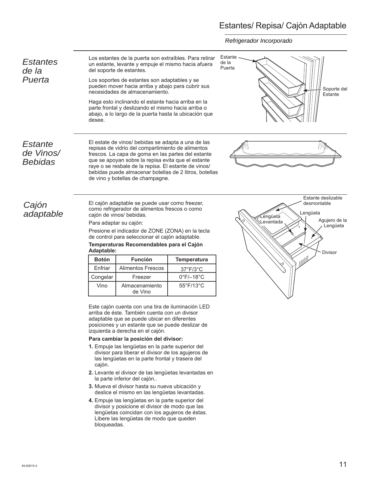#### Estantes/ Repisa/ Cajón Adaptable

*Refrigerador Incorporado* 

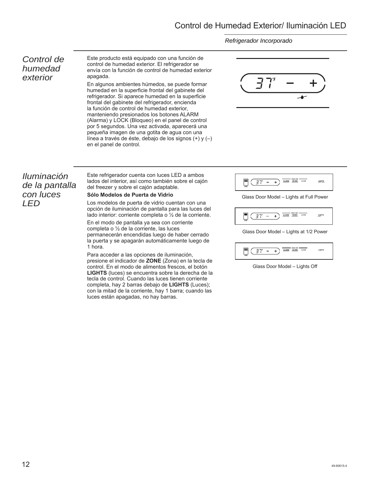*Refrigerador Incorporado* 

#### *Control de humedad exterior*

Este producto está equipado con una función de control de humedad exterior. El refrigerador se envía con la función de control de humedad exterior apagada.

En algunos ambientes húmedos, se puede formar humedad en la superficie frontal del gabinete del refrigerador. Si aparece humedad en la superficie frontal del gabinete del refrigerador, encienda la función de control de humedad exterior, manteniendo presionados los botones ALARM (Alarma) y LOCK (Bloqueo) en el panel de control por 5 segundos. Una vez activada, aparecerá una pequeña imagen de una gotita de agua con una línea a través de éste, debajo de los signos (+) y (–) en el panel de control.



*Iluminación de la pantalla con luces LED*

Este refrigerador cuenta con luces LED a ambos lados del interior, así como también sobre el cajón del freezer y sobre el cajón adaptable.

#### **Sólo Modelos de Puerta de Vidrio**

Los modelos de puerta de vidrio cuentan con una opción de iluminación de pantalla para las luces del lado interior: corriente completa o ½ de la corriente.

En el modo de pantalla ya sea con corriente completa o ½ de la corriente, las luces permanecerán encendidas luego de haber cerrado la puerta y se apagarán automáticamente luego de 1 hora.

Para acceder a las opciones de iluminación, presione el indicador de **ZONE** (Zona) en la tecla de control. En el modo de alimentos frescos, el botón **LIGHTS** (luces) se encuentra sobre la derecha de la tecla de control. Cuando las luces tienen corriente completa, hay 2 barras debajo de **LIGHTS** (Luces); con la mitad de la corriente, hay 1 barra; cuando las luces están apagadas, no hay barras.



Glass Door Model – Lights at Full Power



Glass Door Model – Lights at 1/2 Power

$$
\frac{1}{\sinh(\frac{\pi}{2})^2 - 1} \left( \frac{1}{\pi} \frac{1}{\pi} \right)^2 \frac{1}{\sinh(\frac{\pi}{2})^2} \frac{1}{\sinh(\frac{\pi}{2})^2} \frac{1}{\cosh(\frac{\pi}{2})^2} \frac{1}{\cosh(\frac{\pi}{2})^2} \frac{1}{\cosh(\frac{\pi}{2})^2} \frac{1}{\cosh(\frac{\pi}{2})^2}
$$

Glass Door Model – Lights Off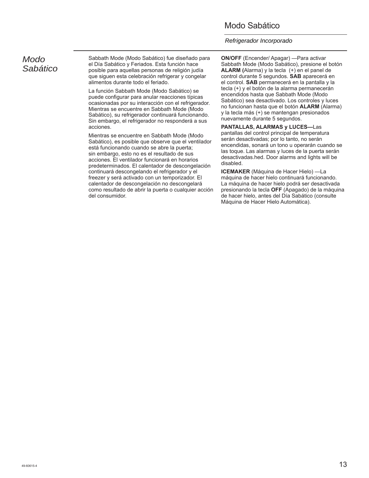#### Modo Sabático

#### *Refrigerador Incorporado*

#### *Modo Sabático*

Sabbath Mode (Modo Sabático) fue diseñado para el Día Sabático y Feriados. Esta función hace posible para aquellas personas de religión judía que siguen esta celebración refrigerar y congelar alimentos durante todo el feriado.

La función Sabbath Mode (Modo Sabático) se puede configurar para anular reacciones típicas ocasionadas por su interacción con el refrigerador. Mientras se encuentre en Sabbath Mode (Modo Sabático), su refrigerador continuará funcionando. Sin embargo, el refrigerador no responderá a sus acciones.

Mientras se encuentre en Sabbath Mode (Modo Sabático), es posible que observe que el ventilador está funcionando cuando se abre la puerta; sin embargo, esto no es el resultado de sus acciones. El ventilador funcionará en horarios predeterminados. El calentador de descongelación continuará descongelando el refrigerador y el freezer y será activado con un temporizador. El calentador de descongelación no descongelará como resultado de abrir la puerta o cualquier acción del consumidor.

**ON/OFF** (Encender/ Apagar) —Para activar Sabbath Mode (Modo Sabático), presione el botón **ALARM (**Alarma) y la tecla (+) en el panel de control durante 5 segundos. **SAB** aparecerá en el control. **SAB** permanecerá en la pantalla y la tecla (+) y el botón de la alarma permanecerán encendidos hasta que Sabbath Mode (Modo Sabático) sea desactivado. Los controles y luces no funcionan hasta que el botón **ALARM** (Alarma) y la tecla más (+) se mantengan presionados nuevamente durante 5 segundos.

**PANTALLAS, ALARMAS y LUCES—**Las pantallas del control principal de temperatura serán desactivadas; por lo tanto, no serán encendidas, sonará un tono u operarán cuando se las toque. Las alarmas y luces de la puerta serán desactivadas.hed. Door alarms and lights will be disabled.

**ICEMAKER** (Máquina de Hacer Hielo) —La máquina de hacer hielo continuará funcionando. La máquina de hacer hielo podrá ser desactivada presionando la tecla **OFF** (Apagado) de la máquina de hacer hielo, antes del Día Sabático (consulte Máquina de Hacer Hielo Automática).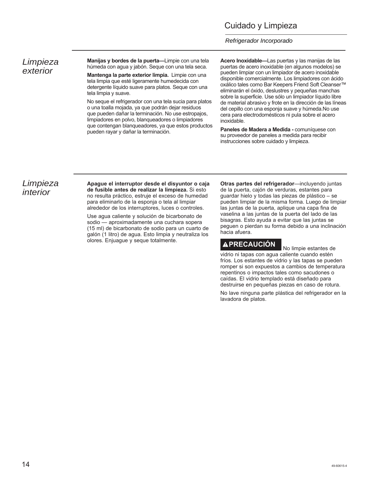#### Cuidado y Limpieza

#### *Refrigerador Incorporado*

#### *Limpieza exterior*

**Manijas y bordes de la puerta—**Limpie con una tela húmeda con agua y jabón. Seque con una tela seca.

**Mantenga la parte exterior limpia.** Limpie con una tela limpia que esté ligeramente humedecida con detergente líquido suave para platos. Seque con una tela limpia y suave.

No seque el refrigerador con una tela sucia para platos o una toalla mojada, ya que podrán dejar residuos que pueden dañar la terminación. No use estropajos, limpiadores en polvo, blanqueadores o limpiadores que contengan blanqueadores, ya que estos productos pueden rayar y dañar la terminación.

**Acero Inoxidable—**Las puertas y las manijas de las puertas de acero inoxidable (en algunos modelos) se pueden limpiar con un limpiador de acero inoxidable disponible comercialmente. Los limpiadores con ácido oxálico tales como Bar Keepers Friend Soft Cleanser™ eliminarán el óxido, deslustres y pequeñas manchas sobre la superficie. Use sólo un limpiador líquido libre de material abrasivo y frote en la dirección de las líneas del cepillo con una esponja suave y húmeda.No use cera para electrodomésticos ni pula sobre el acero inoxidable.

**Paneles de Madera a Medida -** comuníquese con su proveedor de paneles a medida para recibir instrucciones sobre cuidado y limpieza.

#### *Limpieza interior*

**Apague el interruptor desde el disyuntor o caja de fusible antes de realizar la limpieza.** Si esto no resulta práctico, estruje el exceso de humedad para eliminarlo de la esponja o tela al limpiar alrededor de los interruptores, luces o controles.

Use agua caliente y solución de bicarbonato de sodio — aproximadamente una cuchara sopera (15 ml) de bicarbonato de sodio para un cuarto de galón (1 litro) de agua. Esto limpia y neutraliza los olores. Enjuague y seque totalmente.

**Otras partes del refrigerador**—incluyendo juntas de la puerta, cajón de verduras, estantes para guardar hielo y todas las piezas de plástico – se pueden limpiar de la misma forma. Luego de limpiar las juntas de la puerta, aplique una capa fina de vaselina a las juntas de la puerta del lado de las bisagras. Esto ayuda a evitar que las juntas se peguen o pierdan su forma debido a una inclinación hacia afuera.

### **APRECAUCIÓN** No limpie estantes de

vidrio ni tapas con agua caliente cuando estén fríos. Los estantes de vidrio y las tapas se pueden romper si son expuestos a cambios de temperatura repentinos o impactos tales como sacudones o caídas. El vidrio templado está diseñado para destruirse en pequeñas piezas en caso de rotura.

No lave ninguna parte plástica del refrigerador en la lavadora de platos.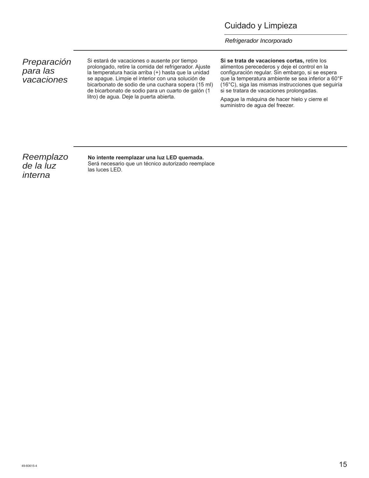#### Cuidado y Limpieza

*Refrigerador Incorporado* 

*Preparación para las vacaciones*

Si estará de vacaciones o ausente por tiempo prolongado, retire la comida del refrigerador. Ajuste la temperatura hacia arriba (+) hasta que la unidad se apague. Limpie el interior con una solución de bicarbonato de sodio de una cuchara sopera (15 ml) de bicarbonato de sodio para un cuarto de galón (1 litro) de agua. Deje la puerta abierta.

**Si se trata de vacaciones cortas,** retire los alimentos perecederos y deje el control en la configuración regular. Sin embargo, si se espera que la temperatura ambiente se sea inferior a 60°F (16°C), siga las mismas instrucciones que seguiría si se tratara de vacaciones prolongadas.

Apague la máquina de hacer hielo y cierre el suministro de agua del freezer.

*Reemplazo de la luz interna*

#### **No intente reemplazar una luz LED quemada.**

Será necesario que un técnico autorizado reemplace las luces LED.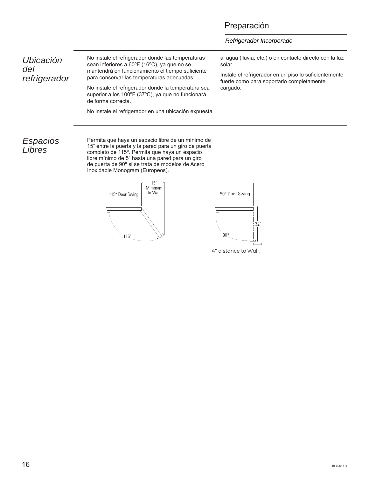#### Preparación

*Refrigerador Incorporado* 

*Ubicación del refrigerador* No instale el refrigerador donde las temperaturas sean inferiores a 60ºF (16ºC), ya que no se mantendrá en funcionamiento el tiempo suficiente para conservar las temperaturas adecuadas.

No instale el refrigerador donde la temperatura sea superior a los 100ºF (37ºC), ya que no funcionará de forma correcta.

No instale el refrigerador en una ubicación expuesta

al agua (lluvia, etc.) o en contacto directo con la luz solar.

Instale el refrigerador en un piso lo suficientemente fuerte como para soportarlo completamente cargado.

#### *Espacios Libres*

Permita que haya un espacio libre de un mínimo de 15" entre la puerta y la pared para un giro de puerta completo de 115º. Permita que haya un espacio libre mínimo de 5" hasta una pared para un giro de puerta de 90º si se trata de modelos de Acero Inoxidable Monogram (Europeos).



4" distance to Wall.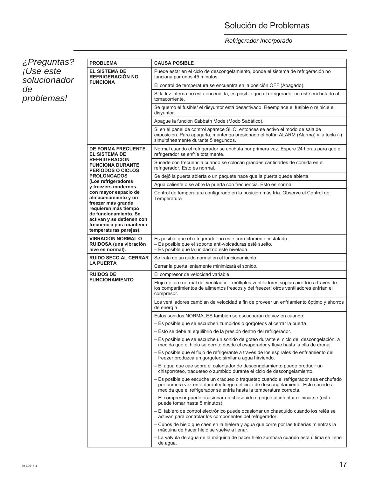### Solución de Problemas

#### *Refrigerador Incorporado*

*¿Preguntas? ¡Use este solucionador de problemas!*

| <b>PROBLEMA</b>                                                                                                                                                                                       | <b>CAUSA POSIBLE</b>                                                                                                                                                                                                                            |  |  |
|-------------------------------------------------------------------------------------------------------------------------------------------------------------------------------------------------------|-------------------------------------------------------------------------------------------------------------------------------------------------------------------------------------------------------------------------------------------------|--|--|
| <b>EL SISTEMA DE</b><br><b>REFRIGERACIÓN NO</b><br><b>FUNCIONA</b>                                                                                                                                    | Puede estar en el ciclo de descongelamiento, donde el sistema de refrigeración no<br>funciona por unos 45 minutos.                                                                                                                              |  |  |
|                                                                                                                                                                                                       | El control de temperatura se encuentra en la posición OFF (Apagado).                                                                                                                                                                            |  |  |
|                                                                                                                                                                                                       | Si la luz interna no está encendida, es posible que el refrigerador no esté enchufado al<br>tomacorriente.                                                                                                                                      |  |  |
|                                                                                                                                                                                                       | Se quemó el fusible/ el disyuntor está desactivado. Reemplace el fusible o reinicie el<br>disyuntor.                                                                                                                                            |  |  |
|                                                                                                                                                                                                       | Apague la función Sabbath Mode (Modo Sabático).                                                                                                                                                                                                 |  |  |
|                                                                                                                                                                                                       | Si en el panel de control aparece SHO, entonces se activó el modo de sala de<br>exposición. Para apagarla, mantenga presionado el botón ALARM (Alarma) y la tecla (-)<br>simultáneamente durante 5 segundos.                                    |  |  |
| <b>DE FORMA FRECUENTE</b><br><b>EL SISTEMA DE</b>                                                                                                                                                     | Normal cuando el refrigerador se enchufa por primera vez. Espere 24 horas para que el<br>refrigerador se enfríe totalmente.                                                                                                                     |  |  |
| <b>REFRIGERACION</b><br><b>FUNCIONA DURANTE</b><br><b>PERIODOS O CICLOS</b>                                                                                                                           | Sucede con frecuencia cuando se colocan grandes cantidades de comida en el<br>refrigerador. Esto es normal.                                                                                                                                     |  |  |
| <b>PROLONGADOS</b>                                                                                                                                                                                    | Se dejó la puerta abierta o un paquete hace que la puerta quede abierta.                                                                                                                                                                        |  |  |
| (Los refrigeradores<br>y freezers modernos                                                                                                                                                            | Agua caliente o se abre la puerta con frecuencia. Esto es normal.                                                                                                                                                                               |  |  |
| con mayor espacio de<br>almacenamiento y un<br>freezer más grande<br>requieren más tiempo<br>de funcionamiento. Se<br>activan y se detienen con<br>frecuencia para mantener<br>temperaturas parejas). | Control de temperatura configurado en la posición más fría. Observe el Control de<br>Temperatura                                                                                                                                                |  |  |
| <b>VIBRACIÓN NORMAL O</b>                                                                                                                                                                             | Es posible que el refrigerador no esté correctamente instalado.                                                                                                                                                                                 |  |  |
| RUIDOSA (una vibración<br>leve es normal).                                                                                                                                                            | - Es posible que el soporte anti-volcaduras esté suelto.<br>- Es posible que la unidad no esté nivelada.                                                                                                                                        |  |  |
| <b>RUIDO SECO AL CERRAR</b>                                                                                                                                                                           | Se trata de un ruido normal en el funcionamiento.                                                                                                                                                                                               |  |  |
| <b>LA PUERTA</b>                                                                                                                                                                                      | Cerrar la puerta lentamente minimizará el sonido.                                                                                                                                                                                               |  |  |
| <b>RUIDOS DE</b>                                                                                                                                                                                      | El compresor de velocidad variable.                                                                                                                                                                                                             |  |  |
| <b>FUNCIONAMIENTO</b>                                                                                                                                                                                 | Flujo de aire normal del ventilador - múltiples ventiladores soplan aire frío a través de<br>los compartimientos de alimentos frescos y del freezer; otros ventiladores enfrían el<br>compresor.                                                |  |  |
|                                                                                                                                                                                                       | Los ventiladores cambian de velocidad a fin de proveer un enfriamiento óptimo y ahorros<br>de energía.                                                                                                                                          |  |  |
|                                                                                                                                                                                                       | Estos sonidos NORMALES también se escucharán de vez en cuando:                                                                                                                                                                                  |  |  |
|                                                                                                                                                                                                       | - Es posible que se escuchen zumbidos o gorgoteos al cerrar la puerta.                                                                                                                                                                          |  |  |
|                                                                                                                                                                                                       | - Esto se debe al equilibrio de la presión dentro del refrigerador.                                                                                                                                                                             |  |  |
|                                                                                                                                                                                                       | – Es posible que se escuche un sonido de goteo durante el ciclo de descongelación, a<br>medida que el hielo se derrite desde el evaporador y fluye hasta la olla de drenaj.                                                                     |  |  |
|                                                                                                                                                                                                       | - Es posible que el flujo de refrigerante a través de los espirales de enfriamiento del<br>freezer produzca un gorgoteo similar a agua hirviendo.                                                                                               |  |  |
|                                                                                                                                                                                                       | – El agua que cae sobre el calentador de descongelamiento puede producir un<br>chisporroteo, traqueteo o zumbido durante el ciclo de descongelamiento.                                                                                          |  |  |
|                                                                                                                                                                                                       | - Es posible que escuche un craqueo o traqueteo cuando el refrigerador sea enchufado<br>por primera vez en o durante/ luego del ciclo de descongelamiento. Esto sucede a<br>medida que el refrigerador se enfría hasta la temperatura correcta. |  |  |
|                                                                                                                                                                                                       | – El compresor puede ocasionar un chasquido o gorjeo al intentar reiniciarse (esto<br>puede tomar hasta 5 minutos).                                                                                                                             |  |  |
|                                                                                                                                                                                                       | - El tablero de control electrónico puede ocasionar un chasquido cuando los relés se<br>activan para controlar los componentes del refrigerador.                                                                                                |  |  |
|                                                                                                                                                                                                       | - Cubos de hielo que caen en la hielera y agua que corre por las tuberías mientras la<br>máquina de hacer hielo se vuelve a llenar.                                                                                                             |  |  |
|                                                                                                                                                                                                       | - La válvula de agua de la máquina de hacer hielo zumbará cuando esta última se llene<br>de agua.                                                                                                                                               |  |  |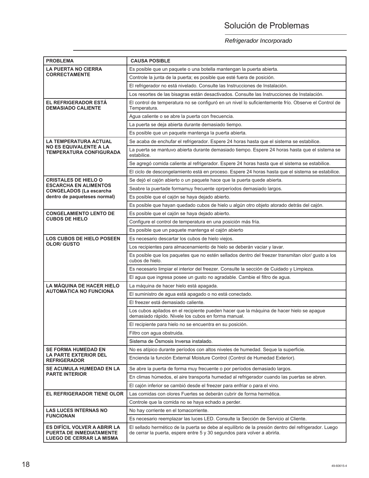### Solución de Problemas

*Refrigerador Incorporado* 

| <b>PROBLEMA</b>                                                                                    | <b>CAUSA POSIBLE</b>                                                                                                                                                             |  |  |  |  |
|----------------------------------------------------------------------------------------------------|----------------------------------------------------------------------------------------------------------------------------------------------------------------------------------|--|--|--|--|
| <b>LA PUERTA NO CIERRA</b>                                                                         | Es posible que un paquete o una botella mantengan la puerta abierta.                                                                                                             |  |  |  |  |
| <b>CORRECTAMENTE</b>                                                                               | Controle la junta de la puerta; es posible que esté fuera de posición.                                                                                                           |  |  |  |  |
|                                                                                                    | El refrigerador no está nivelado. Consulte las Instrucciones de Instalación.                                                                                                     |  |  |  |  |
|                                                                                                    | Los resortes de las bisagras están desactivados. Consulte las Instrucciones de Instalación.                                                                                      |  |  |  |  |
| EL REFRIGERADOR ESTÁ<br><b>DEMASIADO CALIENTE</b>                                                  | El control de temperatura no se configuró en un nivel lo suficientemente frío. Observe el Control de<br>Temperatura.                                                             |  |  |  |  |
|                                                                                                    | Agua caliente o se abre la puerta con frecuencia.                                                                                                                                |  |  |  |  |
|                                                                                                    | La puerta se deja abierta durante demasiado tiempo.                                                                                                                              |  |  |  |  |
|                                                                                                    | Es posible que un paquete mantenga la puerta abierta.                                                                                                                            |  |  |  |  |
| LA TEMPERATURA ACTUAL                                                                              | Se acaba de enchufar el refrigerador. Espere 24 horas hasta que el sistema se estabilice.                                                                                        |  |  |  |  |
| <b>NO ES EQUIVALENTE A LA</b><br>TEMPERATURA CONFIGURADA                                           | La puerta se mantuvo abierta durante demasiado tiempo. Espere 24 horas hasta que el sistema se<br>estabilice.                                                                    |  |  |  |  |
|                                                                                                    | Se agregó comida caliente al refrigerador. Espere 24 horas hasta que el sistema se estabilice.                                                                                   |  |  |  |  |
|                                                                                                    | El ciclo de descongelamiento está en proceso. Espere 24 horas hasta que el sistema se estabilice.                                                                                |  |  |  |  |
| <b>CRISTALES DE HIELO O</b>                                                                        | Se dejó el cajón abierto o un paquete hace que la puerta quede abierta.                                                                                                          |  |  |  |  |
| <b>ESCARCHA EN ALIMENTOS</b><br><b>CONGELADOS (La escarcha</b>                                     | Seabre la puertade formamuy frecuente oprperíodos demasiado largos.                                                                                                              |  |  |  |  |
| dentro de paqueteses normal)                                                                       | Es posible que el cajón se haya dejado abierto.                                                                                                                                  |  |  |  |  |
|                                                                                                    | Es posible que hayan quedado cubos de hielo u algún otro objeto atorado detrás del cajón.                                                                                        |  |  |  |  |
| <b>CONGELAMIENTO LENTO DE</b>                                                                      | Es posible que el cajón se haya dejado abierto.                                                                                                                                  |  |  |  |  |
| <b>CUBOS DE HIELO</b>                                                                              | Configure el control de temperatura en una posición más fría.                                                                                                                    |  |  |  |  |
|                                                                                                    | Es posible que un paquete mantenga el cajón abierto                                                                                                                              |  |  |  |  |
| <b>LOS CUBOS DE HIELO POSEEN</b>                                                                   | Es necesario descartar los cubos de hielo viejos.                                                                                                                                |  |  |  |  |
| <b>OLOR/ GUSTO</b>                                                                                 | Los recipientes para almacenamiento de hielo se deberán vaciar y lavar.                                                                                                          |  |  |  |  |
|                                                                                                    | Es posible que los paquetes que no estén sellados dentro del freezer transmitan olor/ gusto a los<br>cubos de hielo.                                                             |  |  |  |  |
|                                                                                                    | Es necesario limpiar el interior del freezer. Consulte la sección de Cuidado y Limpieza.                                                                                         |  |  |  |  |
|                                                                                                    | El agua que ingresa posee un gusto no agradable. Cambie el filtro de agua.                                                                                                       |  |  |  |  |
| <b>LA MÁQUINA DE HACER HIELO</b>                                                                   | La máquina de hacer hielo está apagada.                                                                                                                                          |  |  |  |  |
| <b>AUTOMÁTICA NO FUNCIONA</b>                                                                      | El suministro de agua está apagado o no está conectado.                                                                                                                          |  |  |  |  |
|                                                                                                    | El freezer está demasiado caliente.                                                                                                                                              |  |  |  |  |
|                                                                                                    | Los cubos apilados en el recipiente pueden hacer que la máquina de hacer hielo se apague<br>demasiado rápido. Nivele los cubos en forma manual.                                  |  |  |  |  |
|                                                                                                    | El recipiente para hielo no se encuentra en su posición.                                                                                                                         |  |  |  |  |
|                                                                                                    | Filtro con aqua obstruida.                                                                                                                                                       |  |  |  |  |
|                                                                                                    | Sistema de Ósmosis Inversa instalado.                                                                                                                                            |  |  |  |  |
| <b>SE FORMA HUMEDAD EN</b>                                                                         | No es atípico durante períodos con altos niveles de humedad. Seque la superficie.                                                                                                |  |  |  |  |
| LA PARTE EXTERIOR DEL<br><b>REFRIGERADOR</b>                                                       | Encienda la función External Moisture Control (Control de Humedad Exterior).                                                                                                     |  |  |  |  |
| SE ACUMULA HUMEDAD EN LA                                                                           | Se abre la puerta de forma muy frecuente o por períodos demasiado largos.                                                                                                        |  |  |  |  |
| <b>PARTE INTERIOR</b>                                                                              | En climas húmedos, el aire transporta humedad al refrigerador cuando las puertas se abren.                                                                                       |  |  |  |  |
|                                                                                                    | El cajón inferior se cambió desde el freezer para enfriar o para el vino.                                                                                                        |  |  |  |  |
| <b>EL REFRIGERADOR TIENE OLOR</b>                                                                  | Las comidas con olores Fuertes se deberán cubrir de forma hermética.                                                                                                             |  |  |  |  |
|                                                                                                    | Controle que la comida no se haya echado a perder.                                                                                                                               |  |  |  |  |
| <b>LAS LUCES INTERNAS NO</b>                                                                       | No hay corriente en el tomacorriente.                                                                                                                                            |  |  |  |  |
| <b>FUNCIONAN</b>                                                                                   | Es necesario reemplazar las luces LED. Consulte la Sección de Servicio al Cliente.                                                                                               |  |  |  |  |
| ES DIFÍCIL VOLVER A ABRIR LA<br><b>PUERTA DE INMEDIATAMENTE</b><br><b>LUEGO DE CERRAR LA MISMA</b> | El sellado hermético de la puerta se debe al equilibrio de la presión dentro del refrigerador. Luego<br>de cerrar la puerta, espere entre 5 y 30 segundos para volver a abrirla. |  |  |  |  |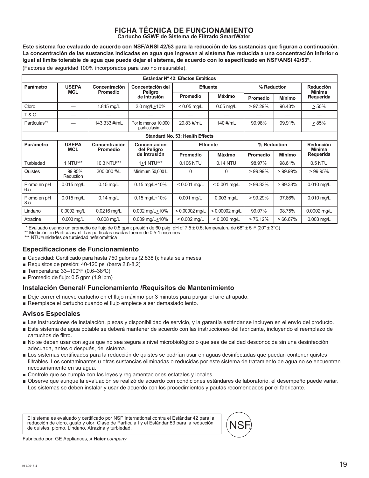#### **FICHA TÉCNICA DE FUNCIONAMIENTO Cartucho GSWF de Sistema de Filtrado SmartWater**

**Este sistema fue evaluado de acuerdo con NSF/ANSI 42/53 para la reducción de las sustancias que figuran a continuación. La concentración de las sustancias indicadas en agua que ingresan al sistema fue reducida a una concentración inferior o igual al límite tolerable de agua que puede dejar el sistema, de acuerdo con lo especificado en NSF/ANSI 42/53\*.** 

(Factores de seguridad 100% incorporados para uso no mesurable).

| Estándar Nº 42: Efectos Estéticos |                            |                                  |                                      |                                        |                  |                 |               |                            |
|-----------------------------------|----------------------------|----------------------------------|--------------------------------------|----------------------------------------|------------------|-----------------|---------------|----------------------------|
| Parámetro                         | <b>USEPA</b>               | Concentración                    | Concentación del                     | <b>Efluente</b>                        |                  | % Reduction     |               | Reducción                  |
|                                   | <b>MCL</b>                 | <b>Promedio</b>                  | Peligro<br>de Intrusión              | <b>Promedio</b>                        | Máximo           | <b>Promedio</b> | <b>Mínimo</b> | <b>Mínima</b><br>Requerida |
| Cloro                             |                            | 1.845 mg/L                       | 2.0 mg/L+10%                         | $< 0.05$ mg/L                          | $0.05$ mg/L      | $>97.29\%$      | 96.43%        | > 50%                      |
| <b>T&amp;O</b>                    | —                          |                                  |                                      |                                        |                  |                 |               |                            |
| Partículas**                      |                            | 143,333 #/mL                     | Por lo menos 10.000<br>partículas/mL | 29.83 #/mL                             | 140 #/mL         | 99.98%          | 99.91%        | > 85%                      |
|                                   |                            |                                  |                                      | <b>Standard No. 53: Health Effects</b> |                  |                 |               |                            |
| <b>Parámetro</b>                  | <b>USEPA</b><br><b>MCL</b> | Concentración<br><b>Promedio</b> | Concentación<br>del Peligro          | <b>Efluente</b>                        |                  | % Reduction     |               | Reducción<br><b>Mínima</b> |
|                                   |                            |                                  | de Intrusión                         | Promedio                               | <b>Máximo</b>    | <b>Promedio</b> | <b>Mínimo</b> | Requerida                  |
| Turbiedad                         | 1 NTU***                   | 10.3 NTU***                      | 1+1 NTU***                           | 0.106 NTU                              | 0.14 NTU         | 98.97%          | 98.61%        | 0.5 NTU                    |
| Quistes                           | 99.95%<br><b>Reduction</b> | 200,000 #/L                      | Minimum 50,000 L                     | 0                                      | $\Omega$         | $>99.99\%$      | $>99.99\%$    | >99.95%                    |
| Plomo en pH<br>6.5                | $0.015$ mg/L               | $0.15$ mg/L                      | $0.15$ mg/L+10%                      | $< 0.001$ mg/L                         | $< 0.001$ mg/L   | $>99.33\%$      | $>99.33\%$    | $0.010$ mg/L               |
| Plomo en pH<br>8.5                | $0.015$ mg/L               | $0.14$ mg/L                      | $0.15 \,\mathrm{mq/L} + 10\%$        | 0.001 mg/L                             | $0.003$ mg/L     | $>99.29\%$      | 97.86%        | $0.010$ mg/L               |
| Lindano                           | 0.0002 mg/L                | 0.0216 mg/L                      | $0.002$ mg/L $\pm$ 10%               | $< 0.00002$ mg/L                       | $< 0.00002$ mg/L | 99.07%          | 98.75%        | 0.0002 mg/L                |
| Atrazine                          | $0.003$ mg/L               | $0.008$ mg/L                     | 0.009 mg/L $±10\%$                   | $< 0.002$ mg/L                         | $< 0.002$ mg/L   | >76.12%         | $>66.67\%$    | $0.003$ mg/L               |

\* Evaluado usando un promedio de flujo de 0.5 gpm; presión de 60 psig; pH of 7.5 ± 0.5; temperatura de 68° ± 5°F (20° ± 3°C)

\*\* Medición en Partículas/ml. Las partículas usadas fueron de 0.5-1 micrones

\*\*\* NTU=unidades de turbiedad nefelométrica

#### **Especificaciones de Funcionamiento**

- Gapacidad: Certificado para hasta 750 galones (2.838 I); hasta seis meses
- Requisitos de presión: 40-120 psi (barra 2.8-8.2)
- Temperatura:  $33-100^{\circ}F (0.6-38^{\circ}C)$
- Promedio de flujo:  $0.5$  gpm  $(1.9$  lpm)

#### **Instalación General/ Funcionamiento /Requisitos de Mantenimiento**

- Deje correr el nuevo cartucho en el flujo máximo por 3 minutos para purgar el aire atrapado.
- Reemplace el cartucho cuando el flujo empiece a ser demasiado lento.

#### **Avisos Especiales**

- Exposite Las instrucciones de instalación, piezas y disponibilidad de servicio, y la garantía estándar se incluyen en el envío del producto.
- Este sistema de agua potable se deberá mantener de acuerdo con las instrucciones del fabricante, incluyendo el reemplazo de cartuchos de filtro.
- No se deben usar con agua que no sea segura a nivel microbiológico o que sea de calidad desconocida sin una desinfección adecuada, antes o después, del sistema.
- Los sistemas certificados para la reducción de quistes se podrían usar en aguas desinfectadas que puedan contener quistes filtrables. Los contaminantes u otras sustancias eliminadas o reducidas por este sistema de tratamiento de agua no se encuentran necesariamente en su agua.
- Controle que se cumpla con las leyes y reglamentaciones estatales y locales.
- Observe que aunque la evaluación se realizó de acuerdo con condiciones estándares de laboratorio, el desempeño puede variar. Los sistemas se deben instalar y usar de acuerdo con los procedimientos y pautas recomendados por el fabricante.

El sistema es evaluado y certificado por NSF International contra el Estándar 42 para la reducción de cloro, gusto y olor, Clase de Partícula I y el Estándar 53 para la reducción de quistes, plomo, Lindano, Atrazina y turbiedad.



Fabricado por: GE Appliances, *ਠ* **Haier** *company*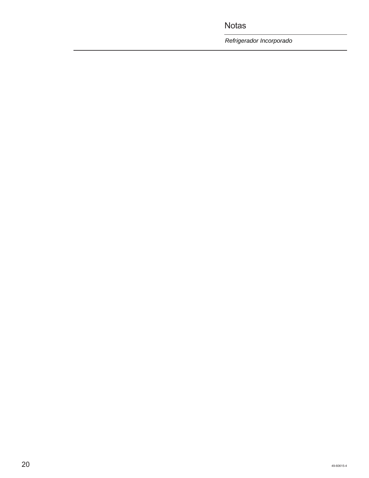Notas

*Refrigerador Incorporado*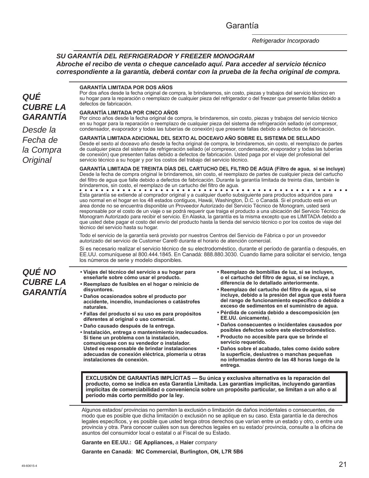#### Garantía

#### *SU GARANTÍA DEL REFRIGERADOR Y FREEZER MONOGRAM Abroche el recibo de venta o cheque cancelado aquí. Para acceder al servicio técnico correspondiente a la garantía, deberá contar con la prueba de la fecha original de compra.*

#### *QUÉ CUBRE LA GARANTÍA*

*Desde la Fecha de la Compra Original*

**GARANTÍA LIMITADA POR DOS AÑOS** 

Por dos años desde la fecha original de compra, le brindaremos, sin costo, piezas y trabajos del servicio técnico en su hogar para la reparación o reemplazo de cualquier pieza del refrigerador o del freezer que presente fallas debido a defectos de fabricación.

#### **GARANTÍA LIMITADA POR CINCO AÑOS**

Por cinco años desde la fecha original de compra, le brindaremos, sin costo, piezas y trabajos del servicio técnico en su hogar para la reparación o reemplazo de cualquier pieza del sistema de refrigeración sellado (el compresor, condensador, evaporador y todas las tuberías de conexión) que presente fallas debido a defectos de fabricación.

**GARANTÍA LIMITADA ADICIONAL DEL SEXTO AL DOCEAVO AÑO SOBRE EL SISTEMA DE SELLADO** Desde el sexto al doceavo año desde la fecha original de compra, le brindaremos, sin costo, el reemplazo de partes de cualquier pieza del sistema de refrigeración sellado (el compresor, condensador, evaporador y todas las tuberías de conexión) que presenten fallas debido a defectos de fabricación. Usted paga por el viaje del profesional del servicio técnico a su hogar y por los costos del trabajo del servicio técnico.

**GARANTÍA LIMITADA DE TREINTA DÍAS DEL CARTUCHO DEL FILTRO DE AGUA (Filtro de agua, si se incluye)** Desde la fecha de compra original le brindaremos, sin costo, el reemplazo de partes de cualquier pieza del cartucho del filtro de agua que falle debido a defectos de fabricación. Durante la garantía limitada de treinta días, también le brindaremos, sin costo, el reemplazo de un cartucho del filtro de agua.

Esta garantía se extiende al comprador original y a cualquier dueño subsiguiente para productos adquiridos para uso normal en el hogar en los 48 estados contiguos, Hawái, Washington, D.C. o Canadá. Si el producto está en un área donde no se encuentra disponible un Proveedor Autorizado del Servicio Técnico de Monogram, usted será responsable por el costo de un viaje o se podrá requerir que traiga el producto a una ubicación del Servicio Técnico de Monogram Autorizado para recibir el servicio. En Alaska, la garantía es la misma excepto que es LIMITADA debido a que usted debe pagar el costo del envío del producto hasta la tienda del servicio técnico o por los costos de viaje del técnico del servicio hasta su hogar.

Todo el servicio de la garantía será provisto por nuestros Centros del Servicio de Fábrica o por un proveedor autorizado del servicio de Customer Care® durante el horario de atención comercial.

Si es necesario realizar el servicio técnico de su electrodoméstico, durante el período de garantía o después, en EE.UU. comuníquese al 800.444.1845. En Canadá: 888.880.3030. Cuando llame para solicitar el servicio, tenga los números de serie y modelo disponibles.

### *QUÉ NO CUBRE LA GARANTÍA*

- **Viajes del técnico del servicio a su hogar para enseñarle sobre cómo usar el producto.**
- **Reemplazo de fusibles en el hogar o reinicio de disyuntores.**
- **Daños ocasionados sobre el producto por accidente, incendio, inundaciones o catástrofes naturales.**
- **Fallas del producto si su uso es para propósitos diferentes al original o uso comercial.**
- **Daño causado después de la entrega.**
- **Instalación, entrega o mantenimiento inadecuados. Si tiene un problema con la instalación, comuníquese con su vendedor o instalador. Usted es responsable de brindar instalaciones adecuadas de conexión eléctrica, plomería u otras instalaciones de conexión.**
- **Reemplazo de bombillas de luz, si se incluyen, o el cartucho del filtro de agua, si se incluye, a diferencia de lo detallado anteriormente.**
- **Reemplazo del cartucho del filtro de agua, si se incluye, debido a la presión del agua que está fuera del rango de funcionamiento específico o debido a exceso de sedimentos en el suministro de agua.**
- **Pérdida de comida debido a descomposición (en EE.UU. únicamente).**
- **Daños consecuentes o incidentales causados por posibles defectos sobre este electrodoméstico.**
- **Producto no accesible para que se brinde el servicio requerido.**
- **Daños sobre el acabado, tales como óxido sobre la superficie, deslustres o manchas pequeñas no informadas dentro de las 48 horas luego de la entrega.**

**EXCLUSIÓN DE GARANTÍAS IMPLÍCITAS — Su única y exclusiva alternativa es la reparación del producto, como se indica en esta Garantía Limitada. Las garantías implícitas, incluyendo garantías implícitas de comerciabilidad o conveniencia sobre un propósito particular, se limitan a un año o al período más corto permitido por la ley.**

Algunos estados/ provincias no permiten la exclusión o limitación de daños incidentales o consecuentes, de modo que es posible que dicha limitación o exclusión no se aplique en su caso. Esta garantía le da derechos legales específicos, y es posible que usted tenga otros derechos que varían entre un estado y otro, o entre una provincia y otra. Para conocer cuáles son sus derechos legales en su estado/ provincia, consulte a la oficina de asuntos del consumidor local o estatal o al Fiscal de su Estado.

**Garante en EE.UU.: GE Appliances,** *a* **Haier** *company*

**Garante en Canadá: MC Commercial, Burlington, ON, L7R 5B6**